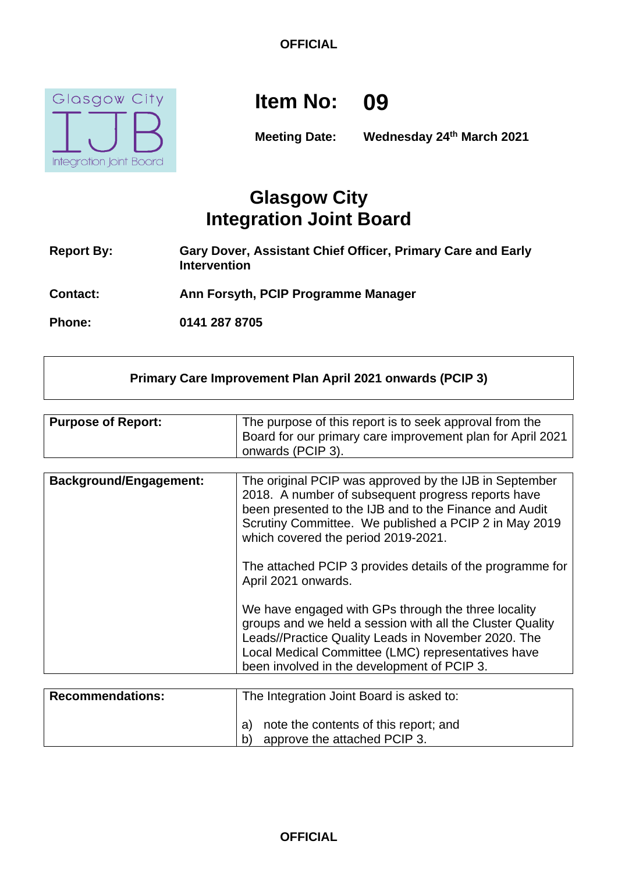

# **Item No: 09**

**Meeting Date: Wednesday 24th March 2021**

# **Glasgow City Integration Joint Board**

- **Report By: Gary Dover, Assistant Chief Officer, Primary Care and Early Intervention**
- **Contact: Ann Forsyth, PCIP Programme Manager**

**Phone: 0141 287 8705**

#### **Primary Care Improvement Plan April 2021 onwards (PCIP 3)**

| <b>Purpose of Report:</b> | The purpose of this report is to seek approval from the    |
|---------------------------|------------------------------------------------------------|
|                           | Board for our primary care improvement plan for April 2021 |
|                           | onwards (PCIP 3).                                          |

| <b>Background/Engagement:</b> | The original PCIP was approved by the IJB in September<br>2018. A number of subsequent progress reports have<br>been presented to the IJB and to the Finance and Audit<br>Scrutiny Committee. We published a PCIP 2 in May 2019<br>which covered the period 2019-2021.       |
|-------------------------------|------------------------------------------------------------------------------------------------------------------------------------------------------------------------------------------------------------------------------------------------------------------------------|
|                               | The attached PCIP 3 provides details of the programme for<br>April 2021 onwards.                                                                                                                                                                                             |
|                               | We have engaged with GPs through the three locality<br>groups and we held a session with all the Cluster Quality<br>Leads//Practice Quality Leads in November 2020. The<br>Local Medical Committee (LMC) representatives have<br>been involved in the development of PCIP 3. |

| <b>Recommendations:</b> | The Integration Joint Board is asked to:                                    |
|-------------------------|-----------------------------------------------------------------------------|
|                         | note the contents of this report; and<br>approve the attached PCIP 3.<br>b) |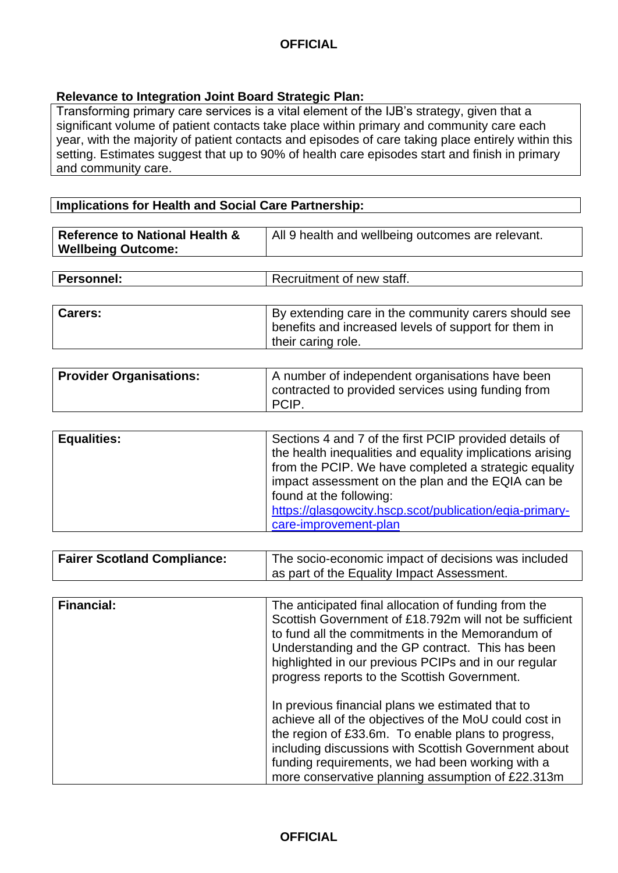#### **Relevance to Integration Joint Board Strategic Plan:**

Transforming primary care services is a vital element of the IJB's strategy, given that a significant volume of patient contacts take place within primary and community care each year, with the majority of patient contacts and episodes of care taking place entirely within this setting. Estimates suggest that up to 90% of health care episodes start and finish in primary and community care.

#### **Implications for Health and Social Care Partnership:**

| Reference to National Health & | All 9 health and wellbeing outcomes are relevant. |
|--------------------------------|---------------------------------------------------|
| <b>Wellbeing Outcome:</b>      |                                                   |
|                                |                                                   |

| <b>Personnel:</b> | Recruitment of new staff. |
|-------------------|---------------------------|
|                   |                           |

| Carers: | By extending care in the community carers should see<br>I benefits and increased levels of support for them in |
|---------|----------------------------------------------------------------------------------------------------------------|
|         | their caring role.                                                                                             |

| <b>Provider Organisations:</b> | A number of independent organisations have been<br>contracted to provided services using funding from<br><b>PCIP</b> |
|--------------------------------|----------------------------------------------------------------------------------------------------------------------|
|--------------------------------|----------------------------------------------------------------------------------------------------------------------|

| <b>Equalities:</b> | Sections 4 and 7 of the first PCIP provided details of    |
|--------------------|-----------------------------------------------------------|
|                    | the health inequalities and equality implications arising |
|                    | from the PCIP. We have completed a strategic equality     |
|                    | impact assessment on the plan and the EQIA can be         |
|                    | found at the following:                                   |
|                    | https://glasgowcity.hscp.scot/publication/eqia-primary-   |
|                    | care-improvement-plan                                     |

| <b>Fairer Scotland Compliance:</b> | The socio-economic impact of decisions was included |
|------------------------------------|-----------------------------------------------------|
|                                    | as part of the Equality Impact Assessment.          |

| <b>Financial:</b> | The anticipated final allocation of funding from the<br>Scottish Government of £18.792m will not be sufficient<br>to fund all the commitments in the Memorandum of<br>Understanding and the GP contract. This has been<br>highlighted in our previous PCIPs and in our regular<br>progress reports to the Scottish Government.    |
|-------------------|-----------------------------------------------------------------------------------------------------------------------------------------------------------------------------------------------------------------------------------------------------------------------------------------------------------------------------------|
|                   | In previous financial plans we estimated that to<br>achieve all of the objectives of the MoU could cost in<br>the region of £33.6m. To enable plans to progress,<br>including discussions with Scottish Government about<br>funding requirements, we had been working with a<br>more conservative planning assumption of £22.313m |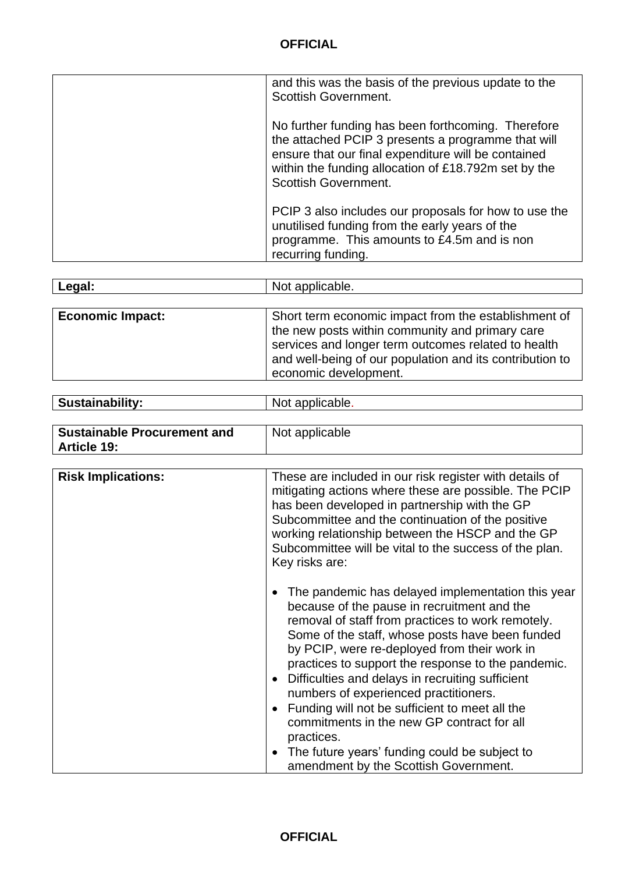| and this was the basis of the previous update to the<br>Scottish Government.                                                                                                                                                                           |
|--------------------------------------------------------------------------------------------------------------------------------------------------------------------------------------------------------------------------------------------------------|
| No further funding has been forthcoming. Therefore<br>the attached PCIP 3 presents a programme that will<br>ensure that our final expenditure will be contained<br>within the funding allocation of £18.792m set by the<br><b>Scottish Government.</b> |
| PCIP 3 also includes our proposals for how to use the<br>unutilised funding from the early years of the<br>programme. This amounts to £4.5m and is non<br>recurring funding.                                                                           |

| Legal:                  | Not applicable.                                                                                                                                                                                                                                     |
|-------------------------|-----------------------------------------------------------------------------------------------------------------------------------------------------------------------------------------------------------------------------------------------------|
|                         |                                                                                                                                                                                                                                                     |
| <b>Economic Impact:</b> | Short term economic impact from the establishment of<br>the new posts within community and primary care<br>services and longer term outcomes related to health<br>and well-being of our population and its contribution to<br>economic development. |

| <b>Sustainability:</b> | Not applicable. |
|------------------------|-----------------|
|                        |                 |

| <b>Sustainable Procurement and</b> | Not applicable |
|------------------------------------|----------------|
| <b>Article 19:</b>                 |                |

| <b>Risk Implications:</b> | These are included in our risk register with details of<br>mitigating actions where these are possible. The PCIP<br>has been developed in partnership with the GP<br>Subcommittee and the continuation of the positive<br>working relationship between the HSCP and the GP<br>Subcommittee will be vital to the success of the plan.<br>Key risks are:                                                                                                                                                                                                                                                                                                     |
|---------------------------|------------------------------------------------------------------------------------------------------------------------------------------------------------------------------------------------------------------------------------------------------------------------------------------------------------------------------------------------------------------------------------------------------------------------------------------------------------------------------------------------------------------------------------------------------------------------------------------------------------------------------------------------------------|
|                           | The pandemic has delayed implementation this year<br>because of the pause in recruitment and the<br>removal of staff from practices to work remotely.<br>Some of the staff, whose posts have been funded<br>by PCIP, were re-deployed from their work in<br>practices to support the response to the pandemic.<br>Difficulties and delays in recruiting sufficient<br>$\bullet$<br>numbers of experienced practitioners.<br>Funding will not be sufficient to meet all the<br>$\bullet$<br>commitments in the new GP contract for all<br>practices.<br>The future years' funding could be subject to<br>$\bullet$<br>amendment by the Scottish Government. |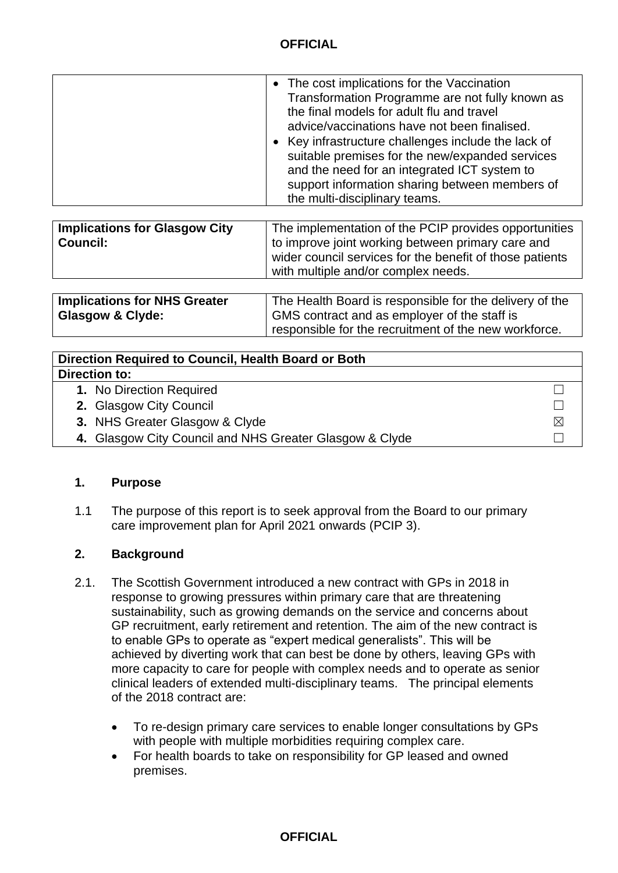| <b>Implications for Glasgow City</b><br><b>Council:</b>            | The implementation of the PCIP provides opportunities<br>to improve joint working between primary care and<br>wider council services for the benefit of those patients<br>with multiple and/or complex needs. |
|--------------------------------------------------------------------|---------------------------------------------------------------------------------------------------------------------------------------------------------------------------------------------------------------|
|                                                                    |                                                                                                                                                                                                               |
| <b>Implications for NHS Greater</b><br><b>Glasgow &amp; Clyde:</b> | The Health Board is responsible for the delivery of the<br>GMS contract and as employer of the staff is                                                                                                       |

responsible for the recruitment of the new workforce.

| Direction Required to Council, Health Board or Both     |             |
|---------------------------------------------------------|-------------|
| Direction to:                                           |             |
| 1. No Direction Required                                |             |
| 2. Glasgow City Council                                 |             |
| 3. NHS Greater Glasgow & Clyde                          | $\boxtimes$ |
| 4. Glasgow City Council and NHS Greater Glasgow & Clyde |             |

#### **1. Purpose**

1.1 The purpose of this report is to seek approval from the Board to our primary care improvement plan for April 2021 onwards (PCIP 3).

#### **2. Background**

- 2.1. The Scottish Government introduced a new contract with GPs in 2018 in response to growing pressures within primary care that are threatening sustainability, such as growing demands on the service and concerns about GP recruitment, early retirement and retention. The aim of the new contract is to enable GPs to operate as "expert medical generalists". This will be achieved by diverting work that can best be done by others, leaving GPs with more capacity to care for people with complex needs and to operate as senior clinical leaders of extended multi-disciplinary teams. The principal elements of the 2018 contract are:
	- To re-design primary care services to enable longer consultations by GPs with people with multiple morbidities requiring complex care.
	- For health boards to take on responsibility for GP leased and owned premises.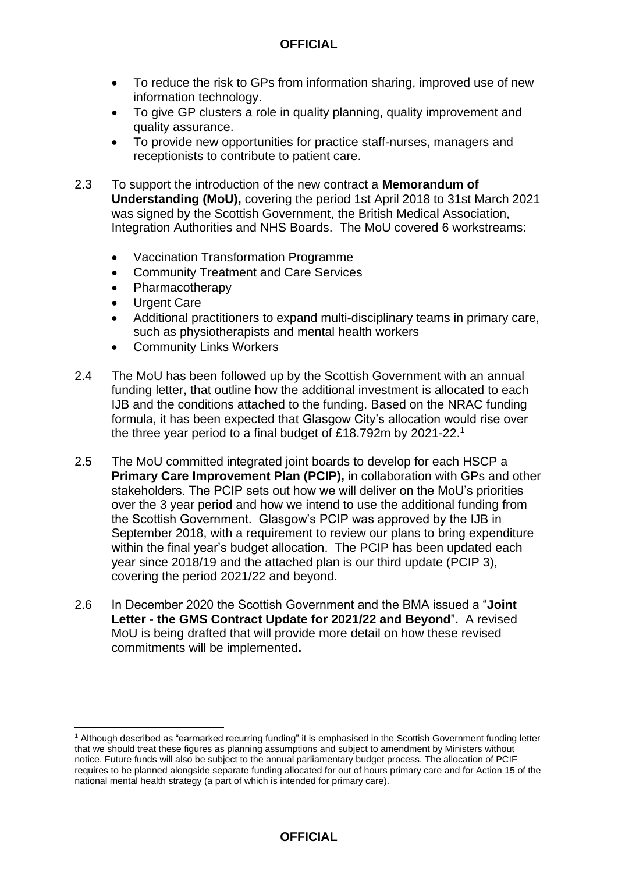- To reduce the risk to GPs from information sharing, improved use of new information technology.
- To give GP clusters a role in quality planning, quality improvement and quality assurance.
- To provide new opportunities for practice staff-nurses, managers and receptionists to contribute to patient care.
- 2.3 To support the introduction of the new contract a **Memorandum of Understanding (MoU),** covering the period 1st April 2018 to 31st March 2021 was signed by the Scottish Government, the British Medical Association, Integration Authorities and NHS Boards. The MoU covered 6 workstreams:
	- Vaccination Transformation Programme
	- Community Treatment and Care Services
	- Pharmacotherapy
	- Urgent Care

1

- Additional practitioners to expand multi-disciplinary teams in primary care, such as physiotherapists and mental health workers
- **Community Links Workers**
- 2.4 The MoU has been followed up by the Scottish Government with an annual funding letter, that outline how the additional investment is allocated to each IJB and the conditions attached to the funding. Based on the NRAC funding formula, it has been expected that Glasgow City's allocation would rise over the three year period to a final budget of £18.792m by 2021-22.<sup>1</sup>
- 2.5 The MoU committed integrated joint boards to develop for each HSCP a **Primary Care Improvement Plan (PCIP),** in collaboration with GPs and other stakeholders. The PCIP sets out how we will deliver on the MoU's priorities over the 3 year period and how we intend to use the additional funding from the Scottish Government. Glasgow's PCIP was approved by the IJB in September 2018, with a requirement to review our plans to bring expenditure within the final year's budget allocation. The PCIP has been updated each year since 2018/19 and the attached plan is our third update (PCIP 3), covering the period 2021/22 and beyond.
- 2.6 In December 2020 the Scottish Government and the BMA issued a "**Joint Letter - the GMS Contract Update for 2021/22 and Beyond**"**.** A revised MoU is being drafted that will provide more detail on how these revised commitments will be implemented**.**

<sup>1</sup> Although described as "earmarked recurring funding" it is emphasised in the Scottish Government funding letter that we should treat these figures as planning assumptions and subject to amendment by Ministers without notice. Future funds will also be subject to the annual parliamentary budget process. The allocation of PCIF requires to be planned alongside separate funding allocated for out of hours primary care and for Action 15 of the national mental health strategy (a part of which is intended for primary care).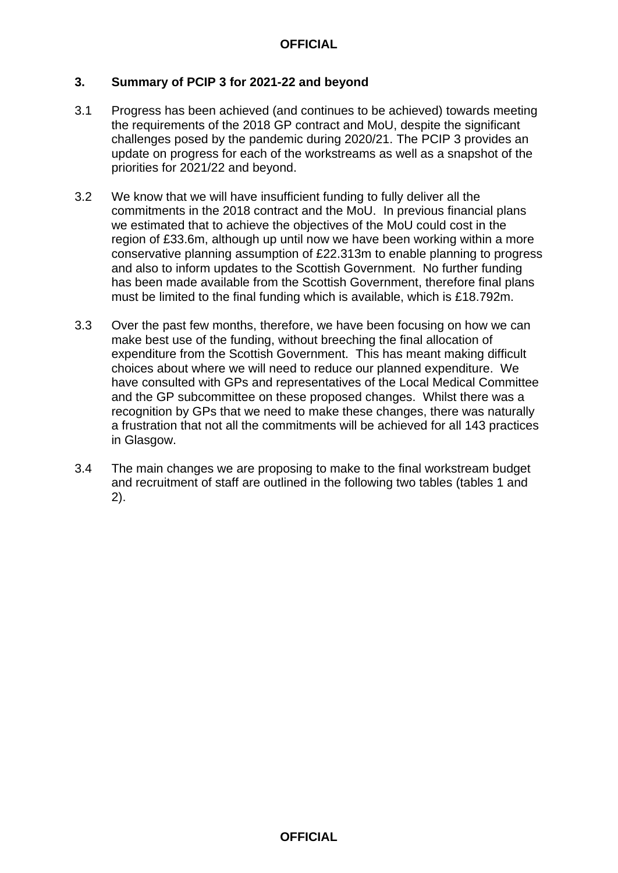#### **3. Summary of PCIP 3 for 2021-22 and beyond**

- 3.1 Progress has been achieved (and continues to be achieved) towards meeting the requirements of the 2018 GP contract and MoU, despite the significant challenges posed by the pandemic during 2020/21. The PCIP 3 provides an update on progress for each of the workstreams as well as a snapshot of the priorities for 2021/22 and beyond.
- 3.2 We know that we will have insufficient funding to fully deliver all the commitments in the 2018 contract and the MoU. In previous financial plans we estimated that to achieve the objectives of the MoU could cost in the region of £33.6m, although up until now we have been working within a more conservative planning assumption of £22.313m to enable planning to progress and also to inform updates to the Scottish Government. No further funding has been made available from the Scottish Government, therefore final plans must be limited to the final funding which is available, which is £18.792m.
- 3.3 Over the past few months, therefore, we have been focusing on how we can make best use of the funding, without breeching the final allocation of expenditure from the Scottish Government. This has meant making difficult choices about where we will need to reduce our planned expenditure. We have consulted with GPs and representatives of the Local Medical Committee and the GP subcommittee on these proposed changes. Whilst there was a recognition by GPs that we need to make these changes, there was naturally a frustration that not all the commitments will be achieved for all 143 practices in Glasgow.
- 3.4 The main changes we are proposing to make to the final workstream budget and recruitment of staff are outlined in the following two tables (tables 1 and 2).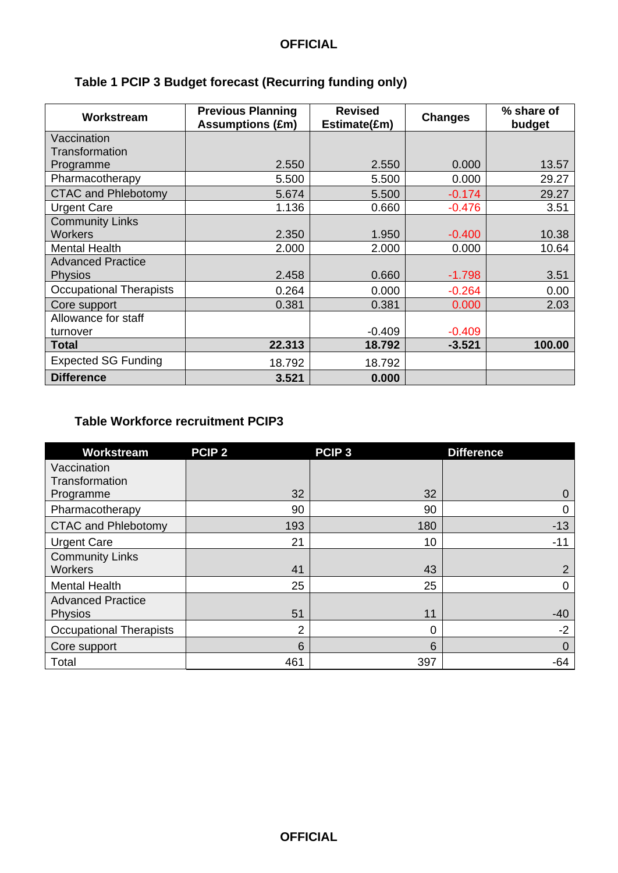| Workstream                 | <b>Previous Planning</b><br><b>Assumptions (£m)</b> | <b>Revised</b><br>Estimate(£m) | <b>Changes</b> | % share of<br>budget |
|----------------------------|-----------------------------------------------------|--------------------------------|----------------|----------------------|
| Vaccination                |                                                     |                                |                |                      |
| Transformation             |                                                     |                                |                |                      |
| Programme                  | 2.550                                               | 2.550                          | 0.000          | 13.57                |
| Pharmacotherapy            | 5.500                                               | 5.500                          | 0.000          | 29.27                |
| <b>CTAC and Phlebotomy</b> | 5.674                                               | 5.500                          | $-0.174$       | 29.27                |
| <b>Urgent Care</b>         | 1.136                                               | 0.660                          | $-0.476$       | 3.51                 |
| <b>Community Links</b>     |                                                     |                                |                |                      |
| <b>Workers</b>             | 2.350                                               | 1.950                          | $-0.400$       | 10.38                |
| <b>Mental Health</b>       | 2.000                                               | 2.000                          | 0.000          | 10.64                |
| <b>Advanced Practice</b>   |                                                     |                                |                |                      |
| <b>Physios</b>             | 2.458                                               | 0.660                          | $-1.798$       | 3.51                 |
| Occupational Therapists    | 0.264                                               | 0.000                          | $-0.264$       | 0.00                 |
| Core support               | 0.381                                               | 0.381                          | 0.000          | 2.03                 |
| Allowance for staff        |                                                     |                                |                |                      |
| turnover                   |                                                     | $-0.409$                       | $-0.409$       |                      |
| Total                      | 22.313                                              | 18.792                         | $-3.521$       | 100.00               |
| <b>Expected SG Funding</b> | 18.792                                              | 18.792                         |                |                      |
| <b>Difference</b>          | 3.521                                               | 0.000                          |                |                      |

# **Table 1 PCIP 3 Budget forecast (Recurring funding only)**

### **Table Workforce recruitment PCIP3**

| Workstream                     | PCIP <sub>2</sub> | PCIP <sub>3</sub> | <b>Difference</b> |
|--------------------------------|-------------------|-------------------|-------------------|
| Vaccination                    |                   |                   |                   |
| Transformation                 |                   |                   |                   |
| Programme                      | 32                | 32                | O                 |
| Pharmacotherapy                | 90                | 90                | 0                 |
| <b>CTAC and Phlebotomy</b>     | 193               | 180               | $-13$             |
| <b>Urgent Care</b>             | 21                | 10                | $-11$             |
| <b>Community Links</b>         |                   |                   |                   |
| <b>Workers</b>                 | 41                | 43                | $\overline{2}$    |
| <b>Mental Health</b>           | 25                | 25                | 0                 |
| <b>Advanced Practice</b>       |                   |                   |                   |
| Physios                        | 51                | 11                | $-40$             |
| <b>Occupational Therapists</b> | $\overline{2}$    | 0                 | $-2$              |
| Core support                   | 6                 | 6                 | $\Omega$          |
| Total                          | 461               | 397               | $-64$             |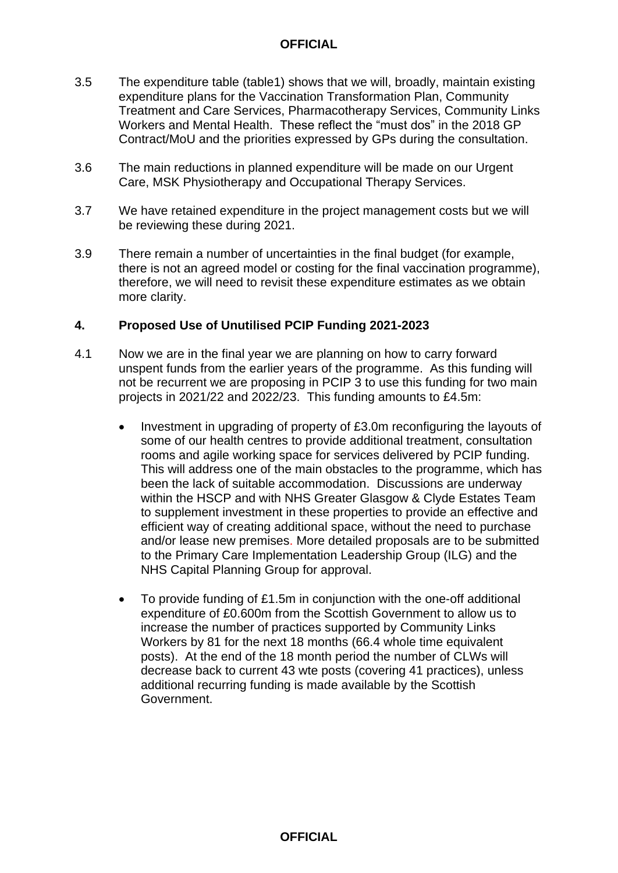- 3.5 The expenditure table (table1) shows that we will, broadly, maintain existing expenditure plans for the Vaccination Transformation Plan, Community Treatment and Care Services, Pharmacotherapy Services, Community Links Workers and Mental Health. These reflect the "must dos" in the 2018 GP Contract/MoU and the priorities expressed by GPs during the consultation.
- 3.6 The main reductions in planned expenditure will be made on our Urgent Care, MSK Physiotherapy and Occupational Therapy Services.
- 3.7 We have retained expenditure in the project management costs but we will be reviewing these during 2021.
- 3.9 There remain a number of uncertainties in the final budget (for example, there is not an agreed model or costing for the final vaccination programme), therefore, we will need to revisit these expenditure estimates as we obtain more clarity.

#### **4. Proposed Use of Unutilised PCIP Funding 2021-2023**

- 4.1 Now we are in the final year we are planning on how to carry forward unspent funds from the earlier years of the programme. As this funding will not be recurrent we are proposing in PCIP 3 to use this funding for two main projects in 2021/22 and 2022/23. This funding amounts to £4.5m:
	- Investment in upgrading of property of £3.0m reconfiguring the layouts of some of our health centres to provide additional treatment, consultation rooms and agile working space for services delivered by PCIP funding. This will address one of the main obstacles to the programme, which has been the lack of suitable accommodation. Discussions are underway within the HSCP and with NHS Greater Glasgow & Clyde Estates Team to supplement investment in these properties to provide an effective and efficient way of creating additional space, without the need to purchase and/or lease new premises. More detailed proposals are to be submitted to the Primary Care Implementation Leadership Group (ILG) and the NHS Capital Planning Group for approval.
	- To provide funding of £1.5m in conjunction with the one-off additional expenditure of £0.600m from the Scottish Government to allow us to increase the number of practices supported by Community Links Workers by 81 for the next 18 months (66.4 whole time equivalent posts). At the end of the 18 month period the number of CLWs will decrease back to current 43 wte posts (covering 41 practices), unless additional recurring funding is made available by the Scottish Government.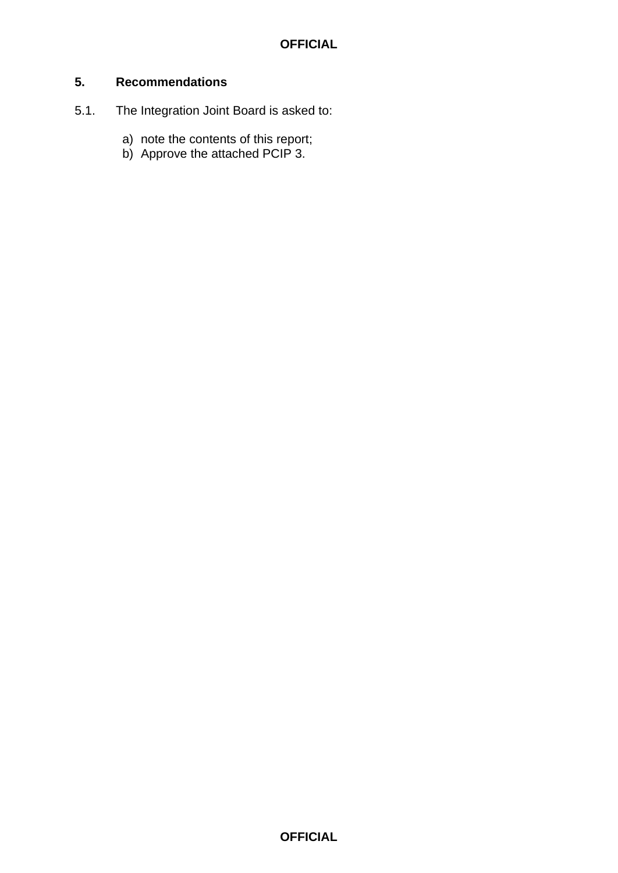#### **5. Recommendations**

- 5.1. The Integration Joint Board is asked to:
	- a) note the contents of this report;
	- b) Approve the attached PCIP 3.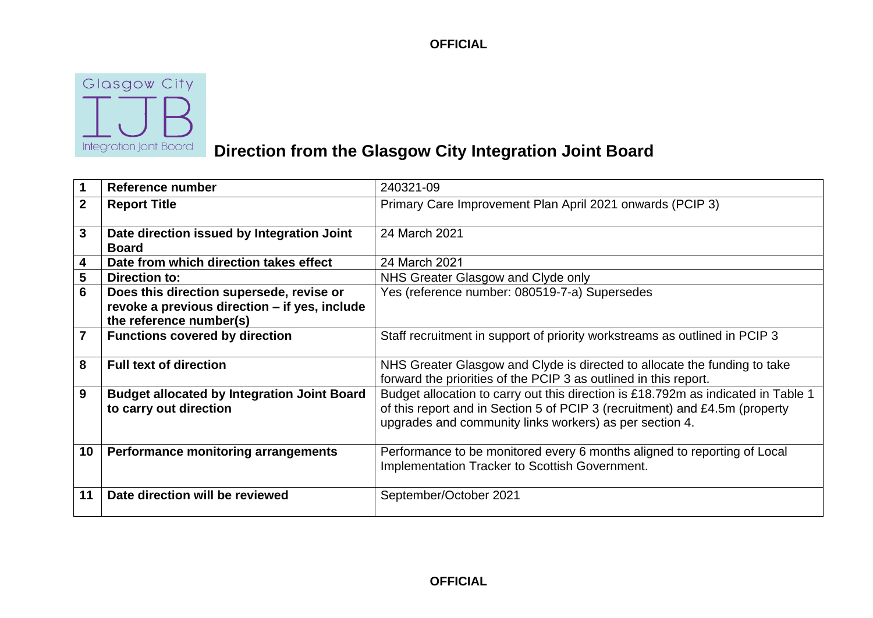

# **Direction from the Glasgow City Integration Joint Board**

| $\overline{\mathbf{1}}$ | Reference number                                                                                                     | 240321-09                                                                                                                                                                                                                   |
|-------------------------|----------------------------------------------------------------------------------------------------------------------|-----------------------------------------------------------------------------------------------------------------------------------------------------------------------------------------------------------------------------|
| $\overline{2}$          | <b>Report Title</b>                                                                                                  | Primary Care Improvement Plan April 2021 onwards (PCIP 3)                                                                                                                                                                   |
| $\overline{3}$          | Date direction issued by Integration Joint<br><b>Board</b>                                                           | 24 March 2021                                                                                                                                                                                                               |
| $\boldsymbol{4}$        | Date from which direction takes effect                                                                               | 24 March 2021                                                                                                                                                                                                               |
| $\overline{\mathbf{5}}$ | <b>Direction to:</b>                                                                                                 | NHS Greater Glasgow and Clyde only                                                                                                                                                                                          |
| $\overline{6}$          | Does this direction supersede, revise or<br>revoke a previous direction - if yes, include<br>the reference number(s) | Yes (reference number: 080519-7-a) Supersedes                                                                                                                                                                               |
| $\overline{7}$          | <b>Functions covered by direction</b>                                                                                | Staff recruitment in support of priority workstreams as outlined in PCIP 3                                                                                                                                                  |
| $\bf{8}$                | <b>Full text of direction</b>                                                                                        | NHS Greater Glasgow and Clyde is directed to allocate the funding to take<br>forward the priorities of the PCIP 3 as outlined in this report.                                                                               |
| 9                       | <b>Budget allocated by Integration Joint Board</b><br>to carry out direction                                         | Budget allocation to carry out this direction is £18.792m as indicated in Table 1<br>of this report and in Section 5 of PCIP 3 (recruitment) and £4.5m (property<br>upgrades and community links workers) as per section 4. |
| 10                      | Performance monitoring arrangements                                                                                  | Performance to be monitored every 6 months aligned to reporting of Local<br>Implementation Tracker to Scottish Government.                                                                                                  |
| 11                      | Date direction will be reviewed                                                                                      | September/October 2021                                                                                                                                                                                                      |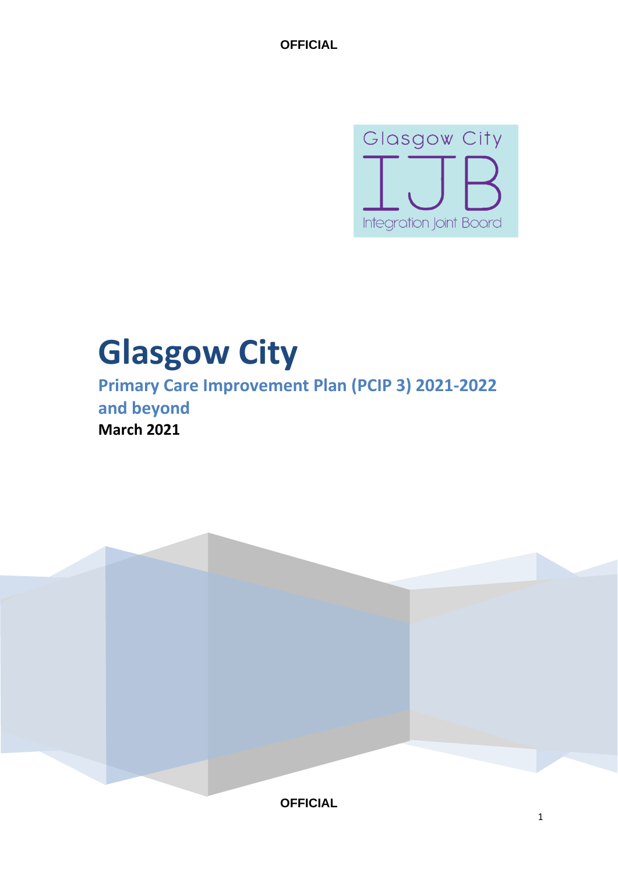

# **Glasgow City**

**Primary Care Improvement Plan (PCIP 3) 2021-2022 and beyond March 2021**

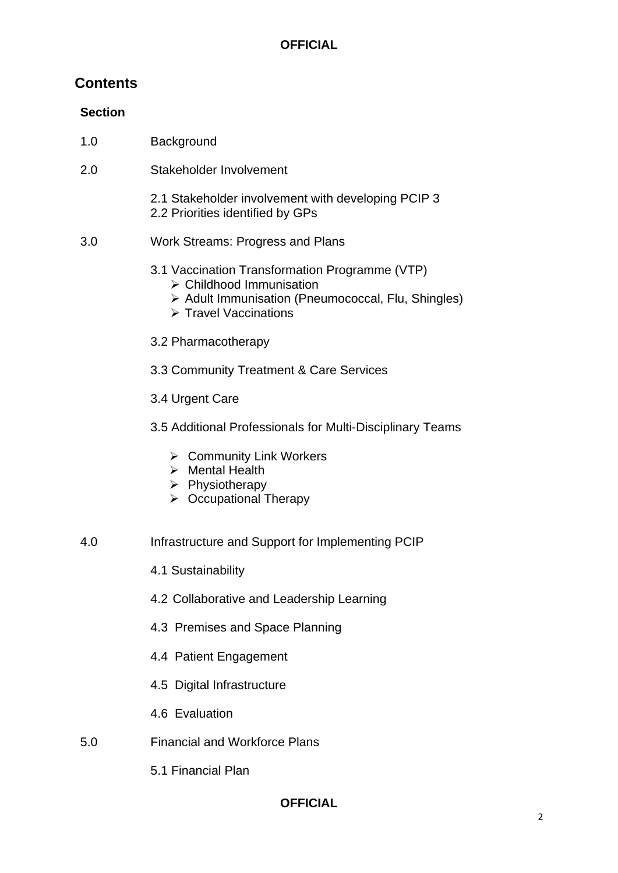### **Contents**

#### **Section**

- 1.0 Background
- 2.0 Stakeholder Involvement

2.1 Stakeholder involvement with developing PCIP 3 2.2 Priorities identified by GPs

- 3.0 Work Streams: Progress and Plans
	- 3.1 Vaccination Transformation Programme (VTP) ➢ Childhood Immunisation
		- ➢ Adult Immunisation (Pneumococcal, Flu, Shingles)
		- ➢ Travel Vaccinations
	- 3.2 Pharmacotherapy
	- 3.3 Community Treatment & Care Services
	- 3.4 Urgent Care
	- 3.5 Additional Professionals for Multi-Disciplinary Teams
		- ➢ Community Link Workers
		- ➢ Mental Health
		- ➢ Physiotherapy
		- ➢ Occupational Therapy
- 4.0 Infrastructure and Support for Implementing PCIP
	- 4.1 Sustainability
	- 4.2 Collaborative and Leadership Learning
	- 4.3 Premises and Space Planning
	- 4.4 Patient Engagement
	- 4.5 Digital Infrastructure
	- 4.6 Evaluation
- 5.0 Financial and Workforce Plans
	- 5.1 Financial Plan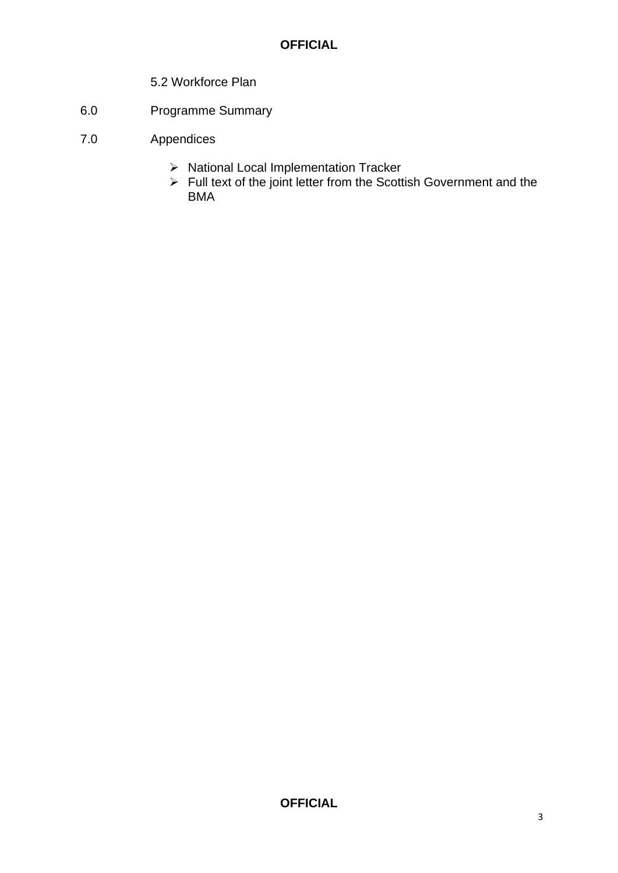- 5.2 Workforce Plan
- 6.0 Programme Summary
- 7.0 Appendices
	- ➢ National Local Implementation Tracker
	- ➢ Full text of the joint letter from the Scottish Government and the BMA<sup>1</sup>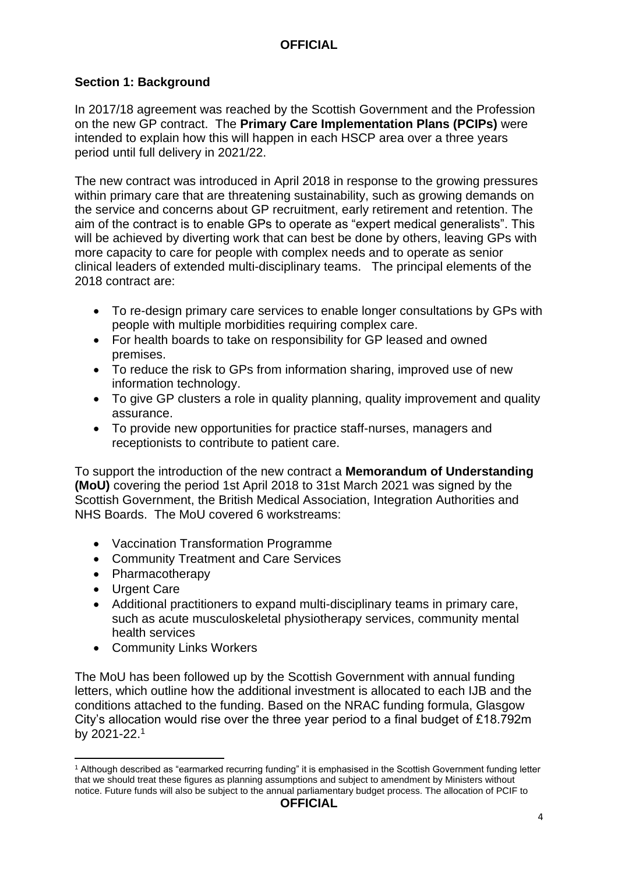#### **Section 1: Background**

In 2017/18 agreement was reached by the Scottish Government and the Profession on the new GP contract. The **Primary Care Implementation Plans (PCIPs)** were intended to explain how this will happen in each HSCP area over a three years period until full delivery in 2021/22.

The new contract was introduced in April 2018 in response to the growing pressures within primary care that are threatening sustainability, such as growing demands on the service and concerns about GP recruitment, early retirement and retention. The aim of the contract is to enable GPs to operate as "expert medical generalists". This will be achieved by diverting work that can best be done by others, leaving GPs with more capacity to care for people with complex needs and to operate as senior clinical leaders of extended multi-disciplinary teams. The principal elements of the 2018 contract are:

- To re-design primary care services to enable longer consultations by GPs with people with multiple morbidities requiring complex care.
- For health boards to take on responsibility for GP leased and owned premises.
- To reduce the risk to GPs from information sharing, improved use of new information technology.
- To give GP clusters a role in quality planning, quality improvement and quality assurance.
- To provide new opportunities for practice staff-nurses, managers and receptionists to contribute to patient care.

To support the introduction of the new contract a **Memorandum of Understanding (MoU)** covering the period 1st April 2018 to 31st March 2021 was signed by the Scottish Government, the British Medical Association, Integration Authorities and NHS Boards. The MoU covered 6 workstreams:

- Vaccination Transformation Programme
- Community Treatment and Care Services
- Pharmacotherapy
- Urgent Care

**.** 

- Additional practitioners to expand multi-disciplinary teams in primary care, such as acute musculoskeletal physiotherapy services, community mental health services
- Community Links Workers

The MoU has been followed up by the Scottish Government with annual funding letters, which outline how the additional investment is allocated to each IJB and the conditions attached to the funding. Based on the NRAC funding formula, Glasgow City's allocation would rise over the three year period to a final budget of £18.792m by 2021-22.<sup>1</sup>

<sup>1</sup> Although described as "earmarked recurring funding" it is emphasised in the Scottish Government funding letter that we should treat these figures as planning assumptions and subject to amendment by Ministers without notice. Future funds will also be subject to the annual parliamentary budget process. The allocation of PCIF to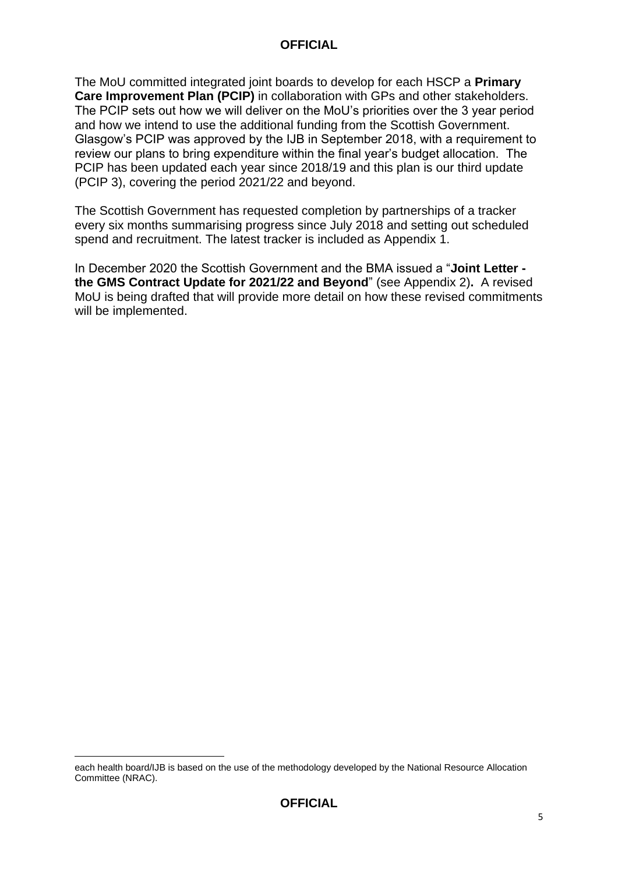The MoU committed integrated joint boards to develop for each HSCP a **Primary Care Improvement Plan (PCIP)** in collaboration with GPs and other stakeholders. The PCIP sets out how we will deliver on the MoU's priorities over the 3 year period and how we intend to use the additional funding from the Scottish Government. Glasgow's PCIP was approved by the IJB in September 2018, with a requirement to review our plans to bring expenditure within the final year's budget allocation. The PCIP has been updated each year since 2018/19 and this plan is our third update (PCIP 3), covering the period 2021/22 and beyond.

The Scottish Government has requested completion by partnerships of a tracker every six months summarising progress since July 2018 and setting out scheduled spend and recruitment. The latest tracker is included as Appendix 1.

In December 2020 the Scottish Government and the BMA issued a "**Joint Letter the GMS Contract Update for 2021/22 and Beyond**" (see Appendix 2)**.** A revised MoU is being drafted that will provide more detail on how these revised commitments will be implemented.

**<sup>.</sup>** each health board/IJB is based on the use of the methodology developed by the National Resource Allocation Committee (NRAC).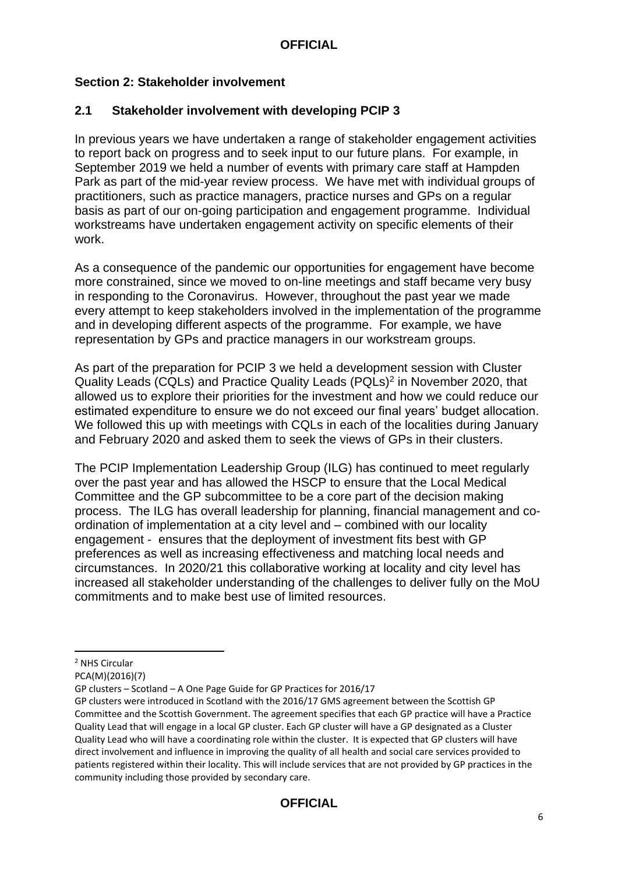#### **Section 2: Stakeholder involvement**

#### **2.1 Stakeholder involvement with developing PCIP 3**

In previous years we have undertaken a range of stakeholder engagement activities to report back on progress and to seek input to our future plans. For example, in September 2019 we held a number of events with primary care staff at Hampden Park as part of the mid-year review process. We have met with individual groups of practitioners, such as practice managers, practice nurses and GPs on a regular basis as part of our on-going participation and engagement programme. Individual workstreams have undertaken engagement activity on specific elements of their work.

As a consequence of the pandemic our opportunities for engagement have become more constrained, since we moved to on-line meetings and staff became very busy in responding to the Coronavirus. However, throughout the past year we made every attempt to keep stakeholders involved in the implementation of the programme and in developing different aspects of the programme. For example, we have representation by GPs and practice managers in our workstream groups.

As part of the preparation for PCIP 3 we held a development session with Cluster Quality Leads (CQLs) and Practice Quality Leads (PQLs)<sup>2</sup> in November 2020, that allowed us to explore their priorities for the investment and how we could reduce our estimated expenditure to ensure we do not exceed our final years' budget allocation. We followed this up with meetings with CQLs in each of the localities during January and February 2020 and asked them to seek the views of GPs in their clusters.

The PCIP Implementation Leadership Group (ILG) has continued to meet regularly over the past year and has allowed the HSCP to ensure that the Local Medical Committee and the GP subcommittee to be a core part of the decision making process. The ILG has overall leadership for planning, financial management and coordination of implementation at a city level and – combined with our locality engagement - ensures that the deployment of investment fits best with GP preferences as well as increasing effectiveness and matching local needs and circumstances. In 2020/21 this collaborative working at locality and city level has increased all stakeholder understanding of the challenges to deliver fully on the MoU commitments and to make best use of limited resources.

**.** 

<sup>2</sup> NHS Circular

PCA(M)(2016)(7)

GP clusters – Scotland – A One Page Guide for GP Practices for 2016/17

GP clusters were introduced in Scotland with the 2016/17 GMS agreement between the Scottish GP Committee and the Scottish Government. The agreement specifies that each GP practice will have a Practice Quality Lead that will engage in a local GP cluster. Each GP cluster will have a GP designated as a Cluster Quality Lead who will have a coordinating role within the cluster. It is expected that GP clusters will have direct involvement and influence in improving the quality of all health and social care services provided to patients registered within their locality. This will include services that are not provided by GP practices in the community including those provided by secondary care.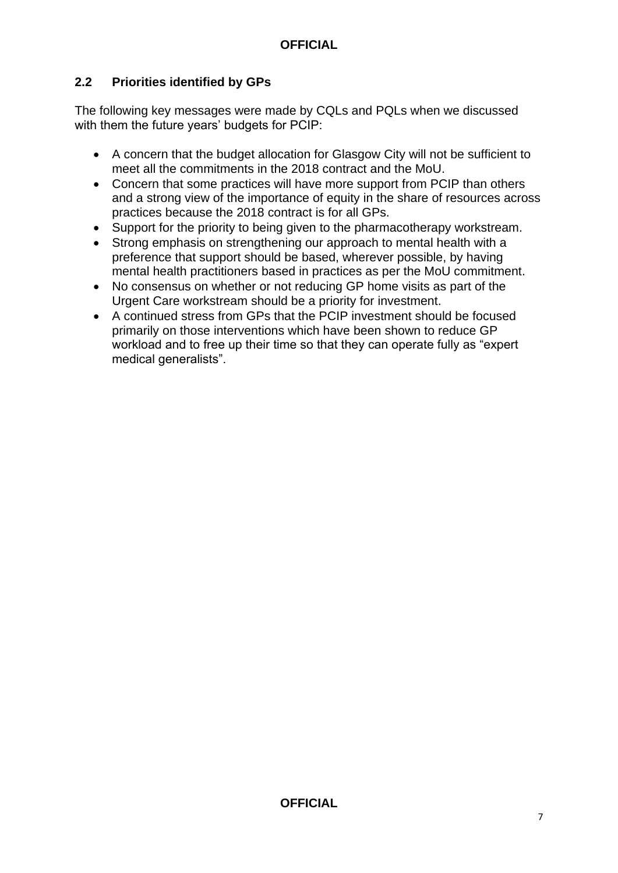#### **2.2 Priorities identified by GPs**

The following key messages were made by CQLs and PQLs when we discussed with them the future years' budgets for PCIP:

- A concern that the budget allocation for Glasgow City will not be sufficient to meet all the commitments in the 2018 contract and the MoU.
- Concern that some practices will have more support from PCIP than others and a strong view of the importance of equity in the share of resources across practices because the 2018 contract is for all GPs.
- Support for the priority to being given to the pharmacotherapy workstream.
- Strong emphasis on strengthening our approach to mental health with a preference that support should be based, wherever possible, by having mental health practitioners based in practices as per the MoU commitment.
- No consensus on whether or not reducing GP home visits as part of the Urgent Care workstream should be a priority for investment.
- A continued stress from GPs that the PCIP investment should be focused primarily on those interventions which have been shown to reduce GP workload and to free up their time so that they can operate fully as "expert medical generalists".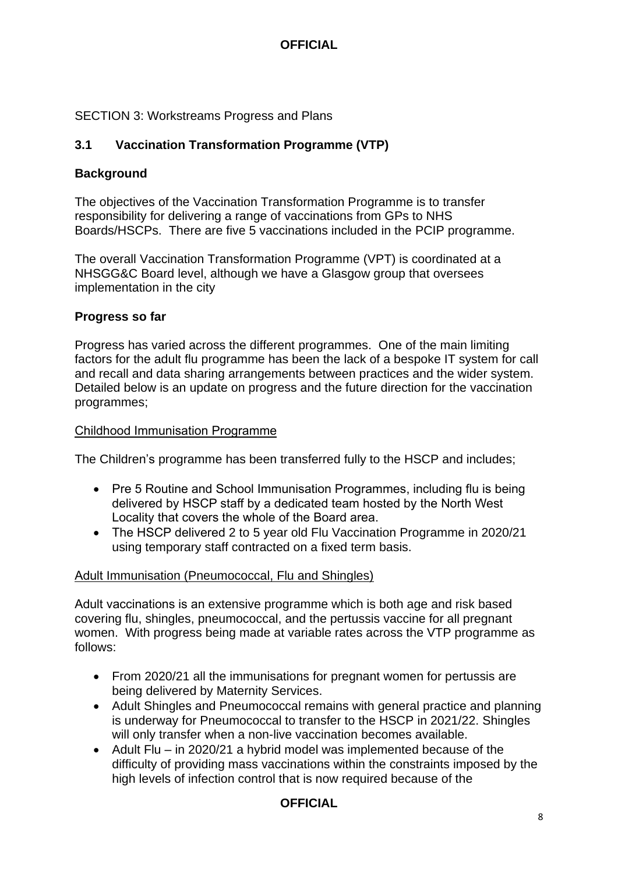#### SECTION 3: Workstreams Progress and Plans

#### **3.1 Vaccination Transformation Programme (VTP)**

#### **Background**

The objectives of the Vaccination Transformation Programme is to transfer responsibility for delivering a range of vaccinations from GPs to NHS Boards/HSCPs. There are five 5 vaccinations included in the PCIP programme.

The overall Vaccination Transformation Programme (VPT) is coordinated at a NHSGG&C Board level, although we have a Glasgow group that oversees implementation in the city

#### **Progress so far**

Progress has varied across the different programmes. One of the main limiting factors for the adult flu programme has been the lack of a bespoke IT system for call and recall and data sharing arrangements between practices and the wider system. Detailed below is an update on progress and the future direction for the vaccination programmes;

#### Childhood Immunisation Programme

The Children's programme has been transferred fully to the HSCP and includes;

- Pre 5 Routine and School Immunisation Programmes, including flu is being delivered by HSCP staff by a dedicated team hosted by the North West Locality that covers the whole of the Board area.
- The HSCP delivered 2 to 5 year old Flu Vaccination Programme in 2020/21 using temporary staff contracted on a fixed term basis.

#### Adult Immunisation (Pneumococcal, Flu and Shingles)

Adult vaccinations is an extensive programme which is both age and risk based covering flu, shingles, pneumococcal, and the pertussis vaccine for all pregnant women. With progress being made at variable rates across the VTP programme as follows:

- From 2020/21 all the immunisations for pregnant women for pertussis are being delivered by Maternity Services.
- Adult Shingles and Pneumococcal remains with general practice and planning is underway for Pneumococcal to transfer to the HSCP in 2021/22. Shingles will only transfer when a non-live vaccination becomes available.
- Adult Flu in 2020/21 a hybrid model was implemented because of the difficulty of providing mass vaccinations within the constraints imposed by the high levels of infection control that is now required because of the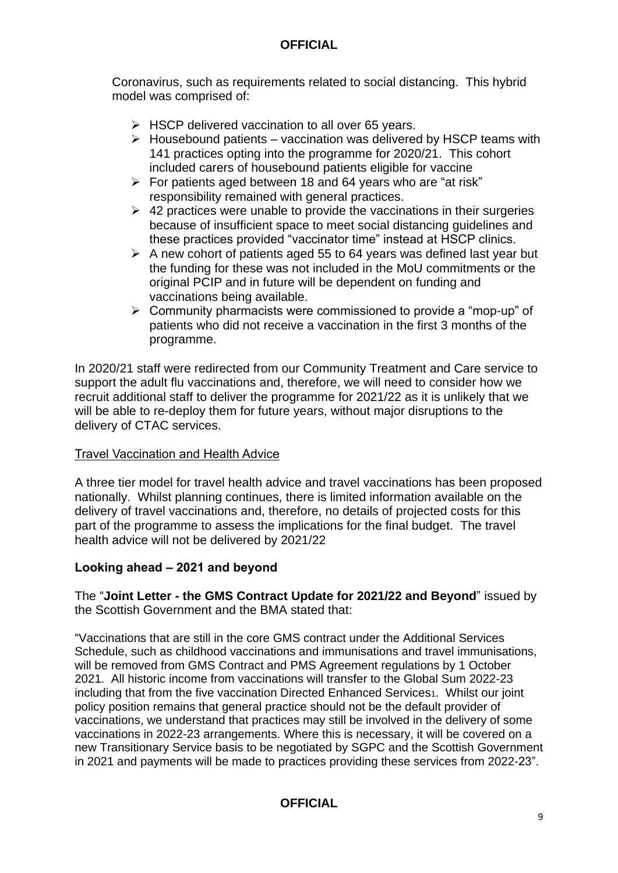Coronavirus, such as requirements related to social distancing. This hybrid model was comprised of:

- ➢ HSCP delivered vaccination to all over 65 years.
- $\triangleright$  Housebound patients vaccination was delivered by HSCP teams with 141 practices opting into the programme for 2020/21. This cohort included carers of housebound patients eligible for vaccine
- ➢ For patients aged between 18 and 64 years who are "at risk" responsibility remained with general practices.
- $\geq$  42 practices were unable to provide the vaccinations in their surgeries because of insufficient space to meet social distancing guidelines and these practices provided "vaccinator time" instead at HSCP clinics.
- $\triangleright$  A new cohort of patients aged 55 to 64 years was defined last year but the funding for these was not included in the MoU commitments or the original PCIP and in future will be dependent on funding and vaccinations being available.
- ➢ Community pharmacists were commissioned to provide a "mop-up" of patients who did not receive a vaccination in the first 3 months of the programme.

In 2020/21 staff were redirected from our Community Treatment and Care service to support the adult flu vaccinations and, therefore, we will need to consider how we recruit additional staff to deliver the programme for 2021/22 as it is unlikely that we will be able to re-deploy them for future years, without major disruptions to the delivery of CTAC services.

#### Travel Vaccination and Health Advice

A three tier model for travel health advice and travel vaccinations has been proposed nationally. Whilst planning continues, there is limited information available on the delivery of travel vaccinations and, therefore, no details of projected costs for this part of the programme to assess the implications for the final budget. The travel health advice will not be delivered by 2021/22

#### **Looking ahead – 2021 and beyond**

The "**Joint Letter - the GMS Contract Update for 2021/22 and Beyond**" issued by the Scottish Government and the BMA stated that:

"Vaccinations that are still in the core GMS contract under the Additional Services Schedule, such as childhood vaccinations and immunisations and travel immunisations, will be removed from GMS Contract and PMS Agreement regulations by 1 October 2021. All historic income from vaccinations will transfer to the Global Sum 2022-23 including that from the five vaccination Directed Enhanced Services<sup>1</sup>. Whilst our joint policy position remains that general practice should not be the default provider of vaccinations, we understand that practices may still be involved in the delivery of some vaccinations in 2022-23 arrangements. Where this is necessary, it will be covered on a new Transitionary Service basis to be negotiated by SGPC and the Scottish Government in 2021 and payments will be made to practices providing these services from 2022-23".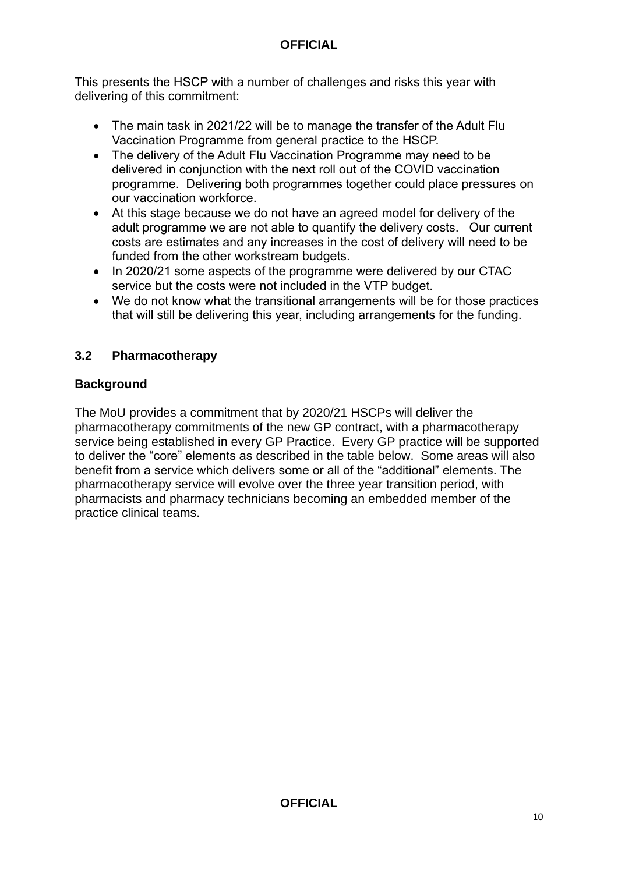This presents the HSCP with a number of challenges and risks this year with delivering of this commitment:

- The main task in 2021/22 will be to manage the transfer of the Adult Flu Vaccination Programme from general practice to the HSCP.
- The delivery of the Adult Flu Vaccination Programme may need to be delivered in conjunction with the next roll out of the COVID vaccination programme. Delivering both programmes together could place pressures on our vaccination workforce.
- At this stage because we do not have an agreed model for delivery of the adult programme we are not able to quantify the delivery costs. Our current costs are estimates and any increases in the cost of delivery will need to be funded from the other workstream budgets.
- In 2020/21 some aspects of the programme were delivered by our CTAC service but the costs were not included in the VTP budget.
- We do not know what the transitional arrangements will be for those practices that will still be delivering this year, including arrangements for the funding.

#### **3.2 Pharmacotherapy**

#### **Background**

The MoU provides a commitment that by 2020/21 HSCPs will deliver the pharmacotherapy commitments of the new GP contract, with a pharmacotherapy service being established in every GP Practice. Every GP practice will be supported to deliver the "core" elements as described in the table below. Some areas will also benefit from a service which delivers some or all of the "additional" elements. The pharmacotherapy service will evolve over the three year transition period, with pharmacists and pharmacy technicians becoming an embedded member of the practice clinical teams.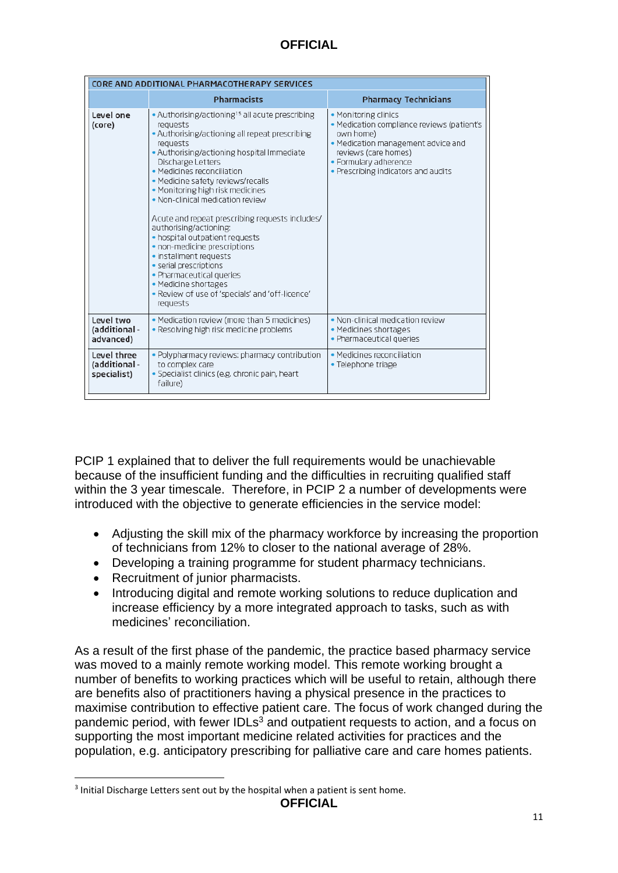| CORE AND ADDITIONAL PHARMACOTHERAPY SERVICES |                                                                                                                                                                                                                                                                                                                                                                                                                                                                                                                                                                                                                                                                           |                                                                                                                                                                                                               |  |  |
|----------------------------------------------|---------------------------------------------------------------------------------------------------------------------------------------------------------------------------------------------------------------------------------------------------------------------------------------------------------------------------------------------------------------------------------------------------------------------------------------------------------------------------------------------------------------------------------------------------------------------------------------------------------------------------------------------------------------------------|---------------------------------------------------------------------------------------------------------------------------------------------------------------------------------------------------------------|--|--|
|                                              | <b>Pharmacists</b>                                                                                                                                                                                                                                                                                                                                                                                                                                                                                                                                                                                                                                                        | <b>Pharmacy Technicians</b>                                                                                                                                                                                   |  |  |
| Level one<br>(core)                          | • Authorising/actioning <sup>15</sup> all acute prescribing<br>requests<br>• Authorising/actioning all repeat prescribing<br>requests<br>. Authorising/actioning hospital Immediate<br>Discharge Letters<br>• Medicines reconciliation<br>· Medicine safety reviews/recalls<br>• Monitoring high risk medicines<br>• Non-clinical medication review<br>Acute and repeat prescribing requests includes/<br>authorising/actioning:<br>. hospital outpatient requests<br>· non-medicine prescriptions<br>• installment requests<br>· serial prescriptions<br>• Pharmaceutical queries<br>• Medicine shortages<br>. Review of use of 'specials' and 'off-licence'<br>requests | • Monitoring clinics<br>· Medication compliance reviews (patient's<br>own home)<br>· Medication management advice and<br>reviews (care homes)<br>· Formulary adherence<br>• Prescribing indicators and audits |  |  |
| Level two<br>(additional -<br>advanced)      | • Medication review (more than 5 medicines)<br>• Resolving high risk medicine problems                                                                                                                                                                                                                                                                                                                                                                                                                                                                                                                                                                                    | • Non-clinical medication review<br>• Medicines shortages<br>• Pharmaceutical queries                                                                                                                         |  |  |
| Level three<br>(additional -<br>specialist)  | . Polypharmacy reviews: pharmacy contribution<br>to complex care<br>· Specialist clinics (e.g. chronic pain, heart<br>failure)                                                                                                                                                                                                                                                                                                                                                                                                                                                                                                                                            | • Medicines reconciliation<br>• Telephone triage                                                                                                                                                              |  |  |

PCIP 1 explained that to deliver the full requirements would be unachievable because of the insufficient funding and the difficulties in recruiting qualified staff within the 3 year timescale. Therefore, in PCIP 2 a number of developments were introduced with the objective to generate efficiencies in the service model:

- Adjusting the skill mix of the pharmacy workforce by increasing the proportion of technicians from 12% to closer to the national average of 28%.
- Developing a training programme for student pharmacy technicians.
- Recruitment of junior pharmacists.

1

• Introducing digital and remote working solutions to reduce duplication and increase efficiency by a more integrated approach to tasks, such as with medicines' reconciliation.

As a result of the first phase of the pandemic, the practice based pharmacy service was moved to a mainly remote working model. This remote working brought a number of benefits to working practices which will be useful to retain, although there are benefits also of practitioners having a physical presence in the practices to maximise contribution to effective patient care. The focus of work changed during the pandemic period, with fewer IDLs<sup>3</sup> and outpatient requests to action, and a focus on supporting the most important medicine related activities for practices and the population, e.g. anticipatory prescribing for palliative care and care homes patients.

<sup>&</sup>lt;sup>3</sup> Initial Discharge Letters sent out by the hospital when a patient is sent home.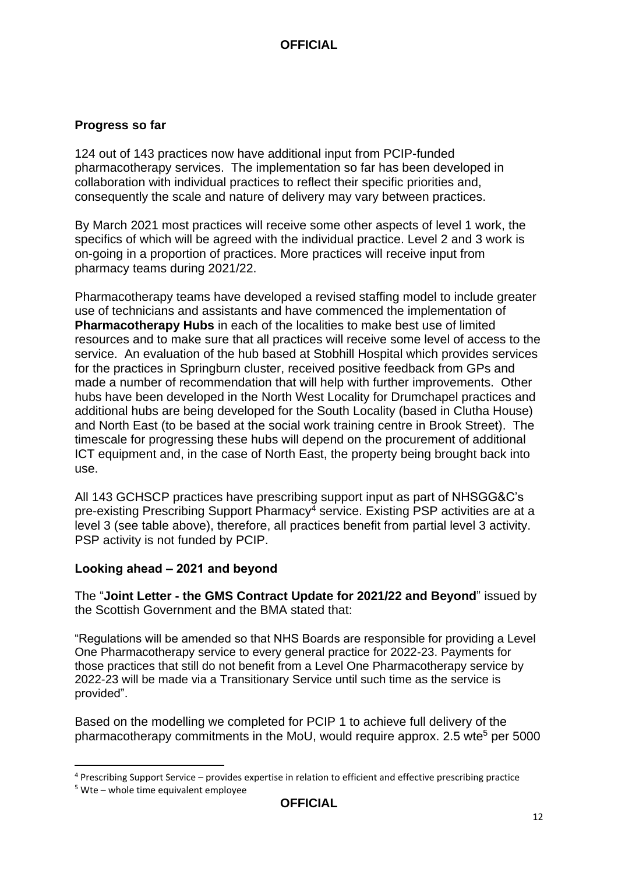#### **Progress so far**

124 out of 143 practices now have additional input from PCIP-funded pharmacotherapy services. The implementation so far has been developed in collaboration with individual practices to reflect their specific priorities and, consequently the scale and nature of delivery may vary between practices.

By March 2021 most practices will receive some other aspects of level 1 work, the specifics of which will be agreed with the individual practice. Level 2 and 3 work is on-going in a proportion of practices. More practices will receive input from pharmacy teams during 2021/22.

Pharmacotherapy teams have developed a revised staffing model to include greater use of technicians and assistants and have commenced the implementation of **Pharmacotherapy Hubs** in each of the localities to make best use of limited resources and to make sure that all practices will receive some level of access to the service. An evaluation of the hub based at Stobhill Hospital which provides services for the practices in Springburn cluster, received positive feedback from GPs and made a number of recommendation that will help with further improvements. Other hubs have been developed in the North West Locality for Drumchapel practices and additional hubs are being developed for the South Locality (based in Clutha House) and North East (to be based at the social work training centre in Brook Street). The timescale for progressing these hubs will depend on the procurement of additional ICT equipment and, in the case of North East, the property being brought back into use.

All 143 GCHSCP practices have prescribing support input as part of NHSGG&C's pre-existing Prescribing Support Pharmacy<sup>4</sup> service. Existing PSP activities are at a level 3 (see table above), therefore, all practices benefit from partial level 3 activity. PSP activity is not funded by PCIP.

#### **Looking ahead – 2021 and beyond**

The "**Joint Letter - the GMS Contract Update for 2021/22 and Beyond**" issued by the Scottish Government and the BMA stated that:

"Regulations will be amended so that NHS Boards are responsible for providing a Level One Pharmacotherapy service to every general practice for 2022-23. Payments for those practices that still do not benefit from a Level One Pharmacotherapy service by 2022-23 will be made via a Transitionary Service until such time as the service is provided".

Based on the modelling we completed for PCIP 1 to achieve full delivery of the pharmacotherapy commitments in the MoU, would require approx. 2.5 wte<sup>5</sup> per 5000

**.** 

<sup>4</sup> Prescribing Support Service – provides expertise in relation to efficient and effective prescribing practice

 $5$  Wte – whole time equivalent employee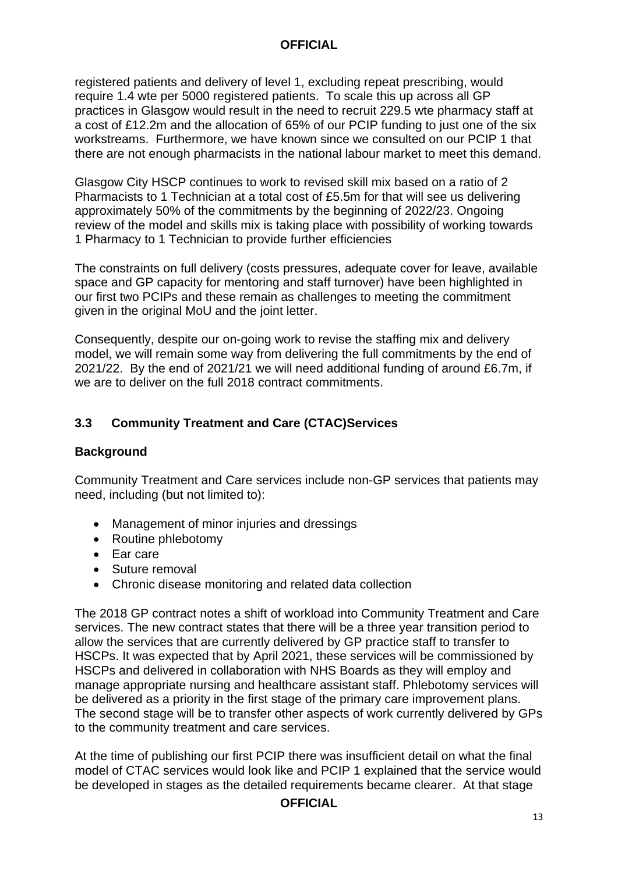registered patients and delivery of level 1, excluding repeat prescribing, would require 1.4 wte per 5000 registered patients. To scale this up across all GP practices in Glasgow would result in the need to recruit 229.5 wte pharmacy staff at a cost of £12.2m and the allocation of 65% of our PCIP funding to just one of the six workstreams. Furthermore, we have known since we consulted on our PCIP 1 that there are not enough pharmacists in the national labour market to meet this demand.

Glasgow City HSCP continues to work to revised skill mix based on a ratio of 2 Pharmacists to 1 Technician at a total cost of £5.5m for that will see us delivering approximately 50% of the commitments by the beginning of 2022/23. Ongoing review of the model and skills mix is taking place with possibility of working towards 1 Pharmacy to 1 Technician to provide further efficiencies

The constraints on full delivery (costs pressures, adequate cover for leave, available space and GP capacity for mentoring and staff turnover) have been highlighted in our first two PCIPs and these remain as challenges to meeting the commitment given in the original MoU and the joint letter.

Consequently, despite our on-going work to revise the staffing mix and delivery model, we will remain some way from delivering the full commitments by the end of 2021/22. By the end of 2021/21 we will need additional funding of around £6.7m, if we are to deliver on the full 2018 contract commitments.

#### **3.3 Community Treatment and Care (CTAC)Services**

#### **Background**

Community Treatment and Care services include non-GP services that patients may need, including (but not limited to):

- Management of minor injuries and dressings
- Routine phlebotomy
- Ear care
- Suture removal
- Chronic disease monitoring and related data collection

The 2018 GP contract notes a shift of workload into Community Treatment and Care services. The new contract states that there will be a three year transition period to allow the services that are currently delivered by GP practice staff to transfer to HSCPs. It was expected that by April 2021, these services will be commissioned by HSCPs and delivered in collaboration with NHS Boards as they will employ and manage appropriate nursing and healthcare assistant staff. Phlebotomy services will be delivered as a priority in the first stage of the primary care improvement plans. The second stage will be to transfer other aspects of work currently delivered by GPs to the community treatment and care services.

At the time of publishing our first PCIP there was insufficient detail on what the final model of CTAC services would look like and PCIP 1 explained that the service would be developed in stages as the detailed requirements became clearer. At that stage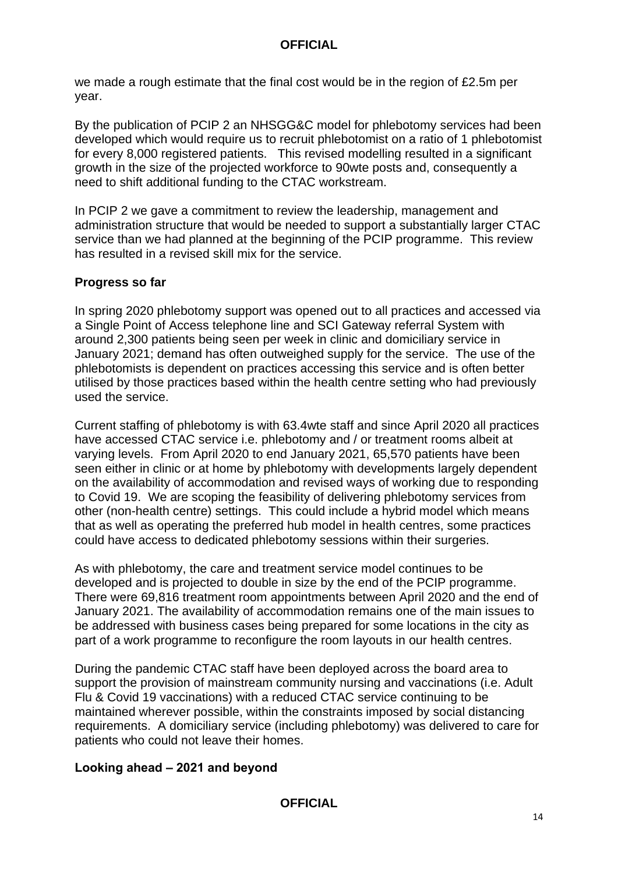we made a rough estimate that the final cost would be in the region of £2.5m per year.

By the publication of PCIP 2 an NHSGG&C model for phlebotomy services had been developed which would require us to recruit phlebotomist on a ratio of 1 phlebotomist for every 8,000 registered patients. This revised modelling resulted in a significant growth in the size of the projected workforce to 90wte posts and, consequently a need to shift additional funding to the CTAC workstream.

In PCIP 2 we gave a commitment to review the leadership, management and administration structure that would be needed to support a substantially larger CTAC service than we had planned at the beginning of the PCIP programme. This review has resulted in a revised skill mix for the service.

#### **Progress so far**

In spring 2020 phlebotomy support was opened out to all practices and accessed via a Single Point of Access telephone line and SCI Gateway referral System with around 2,300 patients being seen per week in clinic and domiciliary service in January 2021; demand has often outweighed supply for the service. The use of the phlebotomists is dependent on practices accessing this service and is often better utilised by those practices based within the health centre setting who had previously used the service.

Current staffing of phlebotomy is with 63.4wte staff and since April 2020 all practices have accessed CTAC service i.e. phlebotomy and / or treatment rooms albeit at varying levels. From April 2020 to end January 2021, 65,570 patients have been seen either in clinic or at home by phlebotomy with developments largely dependent on the availability of accommodation and revised ways of working due to responding to Covid 19. We are scoping the feasibility of delivering phlebotomy services from other (non-health centre) settings. This could include a hybrid model which means that as well as operating the preferred hub model in health centres, some practices could have access to dedicated phlebotomy sessions within their surgeries.

As with phlebotomy, the care and treatment service model continues to be developed and is projected to double in size by the end of the PCIP programme. There were 69,816 treatment room appointments between April 2020 and the end of January 2021. The availability of accommodation remains one of the main issues to be addressed with business cases being prepared for some locations in the city as part of a work programme to reconfigure the room layouts in our health centres.

During the pandemic CTAC staff have been deployed across the board area to support the provision of mainstream community nursing and vaccinations (i.e. Adult Flu & Covid 19 vaccinations) with a reduced CTAC service continuing to be maintained wherever possible, within the constraints imposed by social distancing requirements. A domiciliary service (including phlebotomy) was delivered to care for patients who could not leave their homes.

#### **Looking ahead – 2021 and beyond**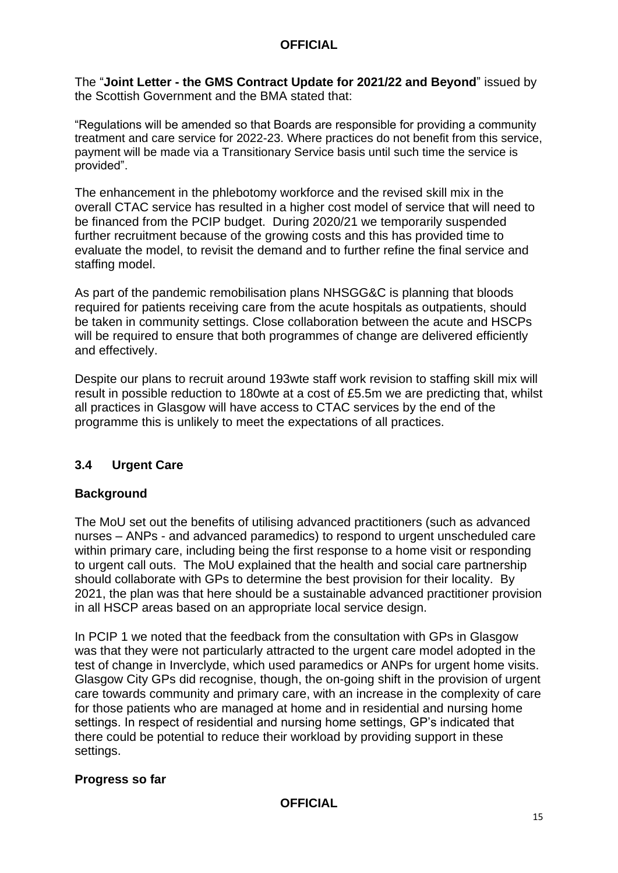The "**Joint Letter - the GMS Contract Update for 2021/22 and Beyond**" issued by the Scottish Government and the BMA stated that:

"Regulations will be amended so that Boards are responsible for providing a community treatment and care service for 2022-23. Where practices do not benefit from this service, payment will be made via a Transitionary Service basis until such time the service is provided".

The enhancement in the phlebotomy workforce and the revised skill mix in the overall CTAC service has resulted in a higher cost model of service that will need to be financed from the PCIP budget. During 2020/21 we temporarily suspended further recruitment because of the growing costs and this has provided time to evaluate the model, to revisit the demand and to further refine the final service and staffing model.

As part of the pandemic remobilisation plans NHSGG&C is planning that bloods required for patients receiving care from the acute hospitals as outpatients, should be taken in community settings. Close collaboration between the acute and HSCPs will be required to ensure that both programmes of change are delivered efficiently and effectively.

Despite our plans to recruit around 193wte staff work revision to staffing skill mix will result in possible reduction to 180wte at a cost of £5.5m we are predicting that, whilst all practices in Glasgow will have access to CTAC services by the end of the programme this is unlikely to meet the expectations of all practices.

#### **3.4 Urgent Care**

#### **Background**

The MoU set out the benefits of utilising advanced practitioners (such as advanced nurses – ANPs - and advanced paramedics) to respond to urgent unscheduled care within primary care, including being the first response to a home visit or responding to urgent call outs. The MoU explained that the health and social care partnership should collaborate with GPs to determine the best provision for their locality. By 2021, the plan was that here should be a sustainable advanced practitioner provision in all HSCP areas based on an appropriate local service design.

In PCIP 1 we noted that the feedback from the consultation with GPs in Glasgow was that they were not particularly attracted to the urgent care model adopted in the test of change in Inverclyde, which used paramedics or ANPs for urgent home visits. Glasgow City GPs did recognise, though, the on-going shift in the provision of urgent care towards community and primary care, with an increase in the complexity of care for those patients who are managed at home and in residential and nursing home settings. In respect of residential and nursing home settings, GP's indicated that there could be potential to reduce their workload by providing support in these settings.

#### **Progress so far**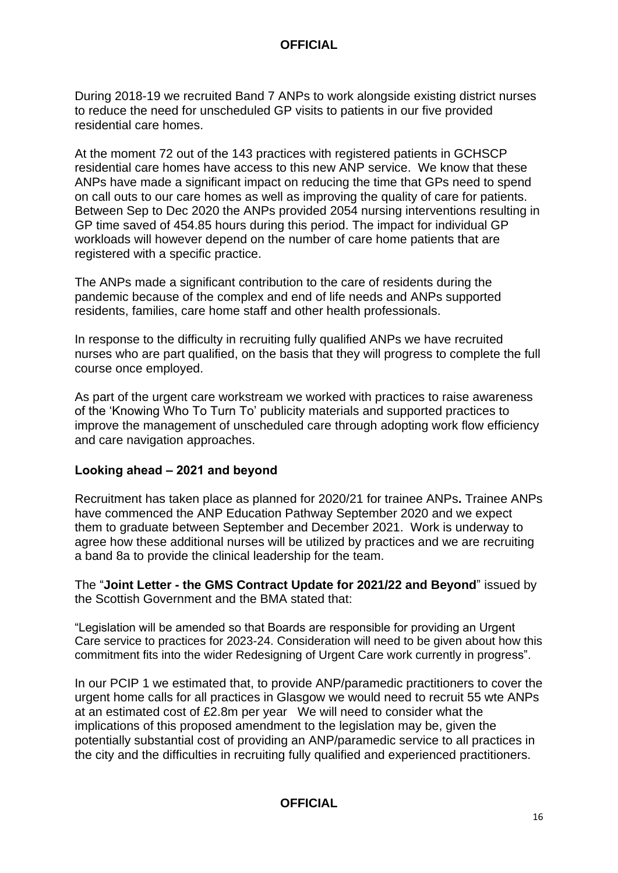During 2018-19 we recruited Band 7 ANPs to work alongside existing district nurses to reduce the need for unscheduled GP visits to patients in our five provided residential care homes.

At the moment 72 out of the 143 practices with registered patients in GCHSCP residential care homes have access to this new ANP service. We know that these ANPs have made a significant impact on reducing the time that GPs need to spend on call outs to our care homes as well as improving the quality of care for patients. Between Sep to Dec 2020 the ANPs provided 2054 nursing interventions resulting in GP time saved of 454.85 hours during this period. The impact for individual GP workloads will however depend on the number of care home patients that are registered with a specific practice.

The ANPs made a significant contribution to the care of residents during the pandemic because of the complex and end of life needs and ANPs supported residents, families, care home staff and other health professionals.

In response to the difficulty in recruiting fully qualified ANPs we have recruited nurses who are part qualified, on the basis that they will progress to complete the full course once employed.

As part of the urgent care workstream we worked with practices to raise awareness of the 'Knowing Who To Turn To' publicity materials and supported practices to improve the management of unscheduled care through adopting work flow efficiency and care navigation approaches.

#### **Looking ahead – 2021 and beyond**

Recruitment has taken place as planned for 2020/21 for trainee ANPs**.** Trainee ANPs have commenced the ANP Education Pathway September 2020 and we expect them to graduate between September and December 2021. Work is underway to agree how these additional nurses will be utilized by practices and we are recruiting a band 8a to provide the clinical leadership for the team.

The "**Joint Letter - the GMS Contract Update for 2021/22 and Beyond**" issued by the Scottish Government and the BMA stated that:

"Legislation will be amended so that Boards are responsible for providing an Urgent Care service to practices for 2023-24. Consideration will need to be given about how this commitment fits into the wider Redesigning of Urgent Care work currently in progress".

In our PCIP 1 we estimated that, to provide ANP/paramedic practitioners to cover the urgent home calls for all practices in Glasgow we would need to recruit 55 wte ANPs at an estimated cost of £2.8m per year We will need to consider what the implications of this proposed amendment to the legislation may be, given the potentially substantial cost of providing an ANP/paramedic service to all practices in the city and the difficulties in recruiting fully qualified and experienced practitioners.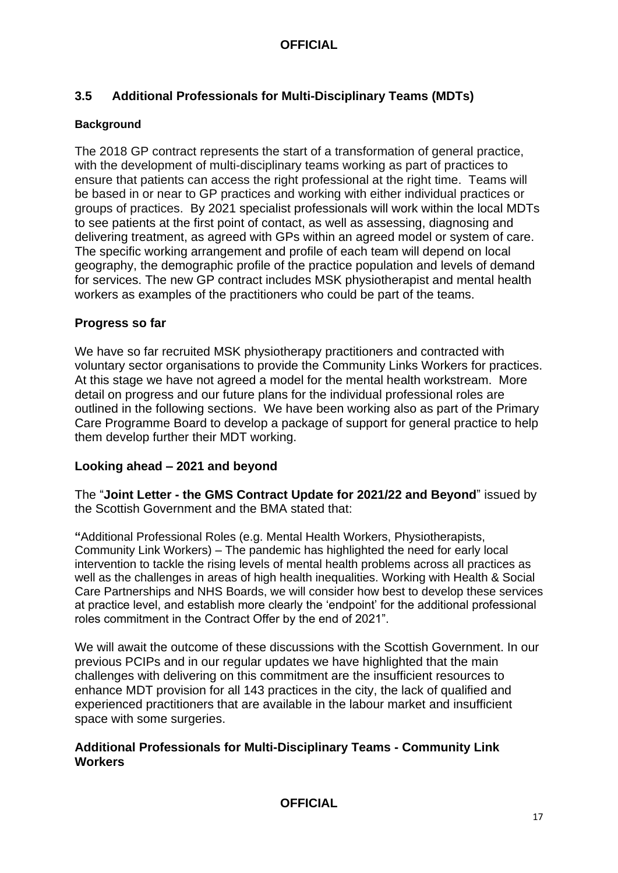#### **3.5 Additional Professionals for Multi-Disciplinary Teams (MDTs)**

#### **Background**

The 2018 GP contract represents the start of a transformation of general practice, with the development of multi-disciplinary teams working as part of practices to ensure that patients can access the right professional at the right time. Teams will be based in or near to GP practices and working with either individual practices or groups of practices. By 2021 specialist professionals will work within the local MDTs to see patients at the first point of contact, as well as assessing, diagnosing and delivering treatment, as agreed with GPs within an agreed model or system of care. The specific working arrangement and profile of each team will depend on local geography, the demographic profile of the practice population and levels of demand for services. The new GP contract includes MSK physiotherapist and mental health workers as examples of the practitioners who could be part of the teams.

#### **Progress so far**

We have so far recruited MSK physiotherapy practitioners and contracted with voluntary sector organisations to provide the Community Links Workers for practices. At this stage we have not agreed a model for the mental health workstream. More detail on progress and our future plans for the individual professional roles are outlined in the following sections. We have been working also as part of the Primary Care Programme Board to develop a package of support for general practice to help them develop further their MDT working.

#### **Looking ahead – 2021 and beyond**

The "**Joint Letter - the GMS Contract Update for 2021/22 and Beyond**" issued by the Scottish Government and the BMA stated that:

**"**Additional Professional Roles (e.g. Mental Health Workers, Physiotherapists, Community Link Workers) – The pandemic has highlighted the need for early local intervention to tackle the rising levels of mental health problems across all practices as well as the challenges in areas of high health inequalities. Working with Health & Social Care Partnerships and NHS Boards, we will consider how best to develop these services at practice level, and establish more clearly the 'endpoint' for the additional professional roles commitment in the Contract Offer by the end of 2021".

We will await the outcome of these discussions with the Scottish Government. In our previous PCIPs and in our regular updates we have highlighted that the main challenges with delivering on this commitment are the insufficient resources to enhance MDT provision for all 143 practices in the city, the lack of qualified and experienced practitioners that are available in the labour market and insufficient space with some surgeries.

#### **Additional Professionals for Multi-Disciplinary Teams - Community Link Workers**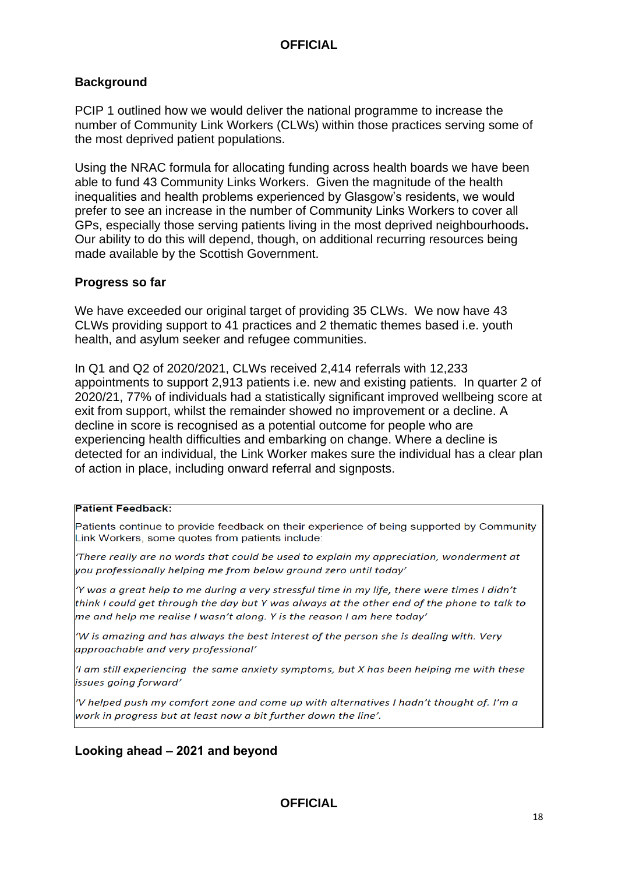#### **Background**

PCIP 1 outlined how we would deliver the national programme to increase the number of Community Link Workers (CLWs) within those practices serving some of the most deprived patient populations.

Using the NRAC formula for allocating funding across health boards we have been able to fund 43 Community Links Workers. Given the magnitude of the health inequalities and health problems experienced by Glasgow's residents, we would prefer to see an increase in the number of Community Links Workers to cover all GPs, especially those serving patients living in the most deprived neighbourhoods**.**  Our ability to do this will depend, though, on additional recurring resources being made available by the Scottish Government.

#### **Progress so far**

We have exceeded our original target of providing 35 CLWs. We now have 43 CLWs providing support to 41 practices and 2 thematic themes based i.e. youth health, and asylum seeker and refugee communities.

In Q1 and Q2 of 2020/2021, CLWs received 2,414 referrals with 12,233 appointments to support 2,913 patients i.e. new and existing patients. In quarter 2 of 2020/21, 77% of individuals had a statistically significant improved wellbeing score at exit from support, whilst the remainder showed no improvement or a decline. A decline in score is recognised as a potential outcome for people who are experiencing health difficulties and embarking on change. Where a decline is detected for an individual, the Link Worker makes sure the individual has a clear plan of action in place, including onward referral and signposts.

#### **Patient Feedback:**

Patients continue to provide feedback on their experience of being supported by Community Link Workers, some quotes from patients include:

There really are no words that could be used to explain my appreciation, wonderment at you professionally helping me from below ground zero until today'

'Y was a great help to me during a very stressful time in my life, there were times I didn't think I could get through the day but Y was always at the other end of the phone to talk to me and help me realise I wasn't along. Y is the reason I am here today'

'W is amazing and has always the best interest of the person she is dealing with. Very approachable and very professional'

'I am still experiencing the same anxiety symptoms, but X has been helping me with these issues going forward'

'V helped push my comfort zone and come up with alternatives I hadn't thought of. I'm a work in progress but at least now a bit further down the line'.

#### **Looking ahead – 2021 and beyond**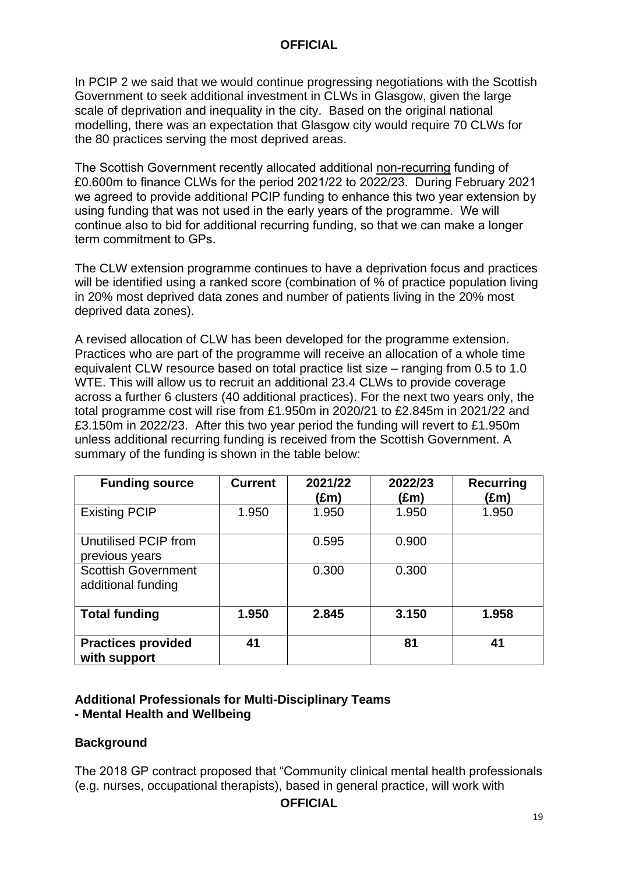In PCIP 2 we said that we would continue progressing negotiations with the Scottish Government to seek additional investment in CLWs in Glasgow, given the large scale of deprivation and inequality in the city. Based on the original national modelling, there was an expectation that Glasgow city would require 70 CLWs for the 80 practices serving the most deprived areas.

The Scottish Government recently allocated additional non-recurring funding of £0.600m to finance CLWs for the period 2021/22 to 2022/23. During February 2021 we agreed to provide additional PCIP funding to enhance this two year extension by using funding that was not used in the early years of the programme. We will continue also to bid for additional recurring funding, so that we can make a longer term commitment to GPs.

The CLW extension programme continues to have a deprivation focus and practices will be identified using a ranked score (combination of % of practice population living in 20% most deprived data zones and number of patients living in the 20% most deprived data zones).

A revised allocation of CLW has been developed for the programme extension. Practices who are part of the programme will receive an allocation of a whole time equivalent CLW resource based on total practice list size – ranging from 0.5 to 1.0 WTE. This will allow us to recruit an additional 23.4 CLWs to provide coverage across a further 6 clusters (40 additional practices). For the next two years only, the total programme cost will rise from £1.950m in 2020/21 to £2.845m in 2021/22 and £3.150m in 2022/23. After this two year period the funding will revert to £1.950m unless additional recurring funding is received from the Scottish Government. A summary of the funding is shown in the table below:

| <b>Funding source</b>                            | <b>Current</b> | 2021/22<br>(£m) | 2022/23<br>(£m) | <b>Recurring</b><br>(£m) |
|--------------------------------------------------|----------------|-----------------|-----------------|--------------------------|
| <b>Existing PCIP</b>                             | 1.950          | 1.950           | 1.950           | 1.950                    |
| Unutilised PCIP from<br>previous years           |                | 0.595           | 0.900           |                          |
| <b>Scottish Government</b><br>additional funding |                | 0.300           | 0.300           |                          |
| <b>Total funding</b>                             | 1.950          | 2.845           | 3.150           | 1.958                    |
| <b>Practices provided</b><br>with support        | 41             |                 | 81              | 41                       |

#### **Additional Professionals for Multi-Disciplinary Teams - Mental Health and Wellbeing**

#### **Background**

The 2018 GP contract proposed that "Community clinical mental health professionals (e.g. nurses, occupational therapists), based in general practice, will work with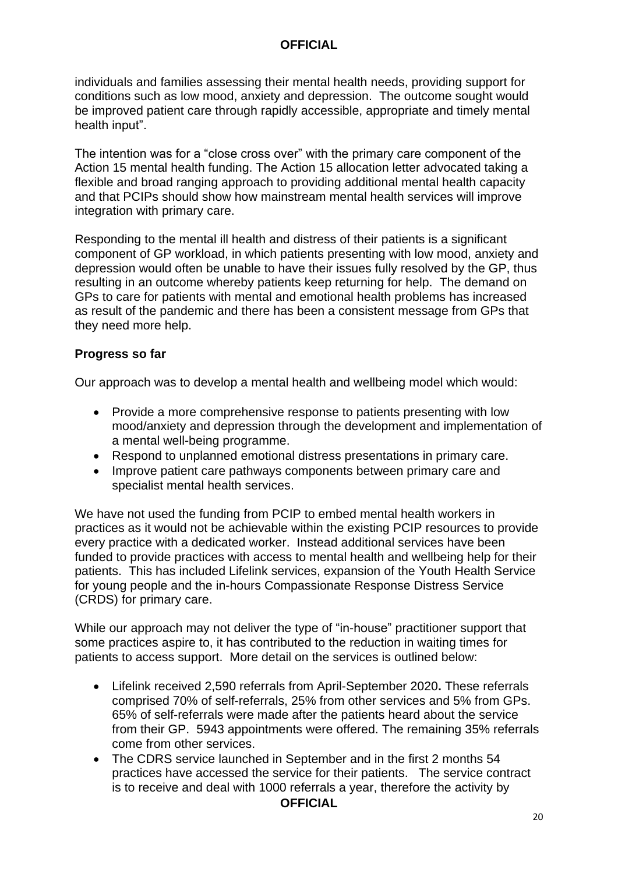individuals and families assessing their mental health needs, providing support for conditions such as low mood, anxiety and depression. The outcome sought would be improved patient care through rapidly accessible, appropriate and timely mental health input".

The intention was for a "close cross over" with the primary care component of the Action 15 mental health funding. The Action 15 allocation letter advocated taking a flexible and broad ranging approach to providing additional mental health capacity and that PCIPs should show how mainstream mental health services will improve integration with primary care.

Responding to the mental ill health and distress of their patients is a significant component of GP workload, in which patients presenting with low mood, anxiety and depression would often be unable to have their issues fully resolved by the GP, thus resulting in an outcome whereby patients keep returning for help. The demand on GPs to care for patients with mental and emotional health problems has increased as result of the pandemic and there has been a consistent message from GPs that they need more help.

#### **Progress so far**

Our approach was to develop a mental health and wellbeing model which would:

- Provide a more comprehensive response to patients presenting with low mood/anxiety and depression through the development and implementation of a mental well-being programme.
- Respond to unplanned emotional distress presentations in primary care.
- Improve patient care pathways components between primary care and specialist mental health services.

We have not used the funding from PCIP to embed mental health workers in practices as it would not be achievable within the existing PCIP resources to provide every practice with a dedicated worker. Instead additional services have been funded to provide practices with access to mental health and wellbeing help for their patients. This has included Lifelink services, expansion of the Youth Health Service for young people and the in-hours Compassionate Response Distress Service (CRDS) for primary care.

While our approach may not deliver the type of "in-house" practitioner support that some practices aspire to, it has contributed to the reduction in waiting times for patients to access support. More detail on the services is outlined below:

- Lifelink received 2,590 referrals from April-September 2020**.** These referrals comprised 70% of self-referrals, 25% from other services and 5% from GPs. 65% of self-referrals were made after the patients heard about the service from their GP. 5943 appointments were offered. The remaining 35% referrals come from other services.
- The CDRS service launched in September and in the first 2 months 54 practices have accessed the service for their patients. The service contract is to receive and deal with 1000 referrals a year, therefore the activity by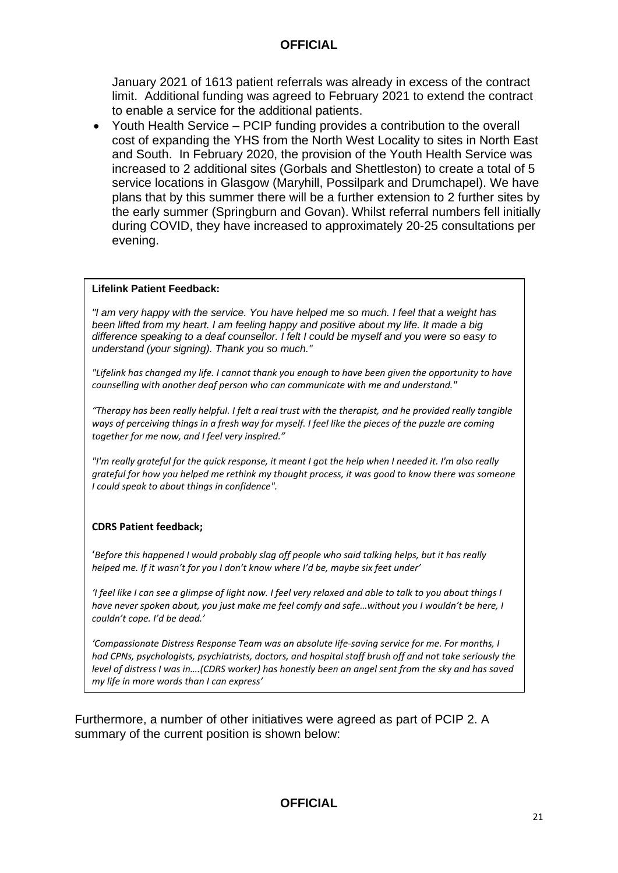January 2021 of 1613 patient referrals was already in excess of the contract limit. Additional funding was agreed to February 2021 to extend the contract to enable a service for the additional patients.

• Youth Health Service – PCIP funding provides a contribution to the overall cost of expanding the YHS from the North West Locality to sites in North East and South. In February 2020, the provision of the Youth Health Service was increased to 2 additional sites (Gorbals and Shettleston) to create a total of 5 service locations in Glasgow (Maryhill, Possilpark and Drumchapel). We have plans that by this summer there will be a further extension to 2 further sites by the early summer (Springburn and Govan). Whilst referral numbers fell initially during COVID, they have increased to approximately 20-25 consultations per evening.

#### **Lifelink Patient Feedback:**

*"I am very happy with the service. You have helped me so much. I feel that a weight has been lifted from my heart. I am feeling happy and positive about my life. It made a big difference speaking to a deaf counsellor. I felt I could be myself and you were so easy to understand (your signing). Thank you so much."* 

*"Lifelink has changed my life. I cannot thank you enough to have been given the opportunity to have counselling with another deaf person who can communicate with me and understand."*

*"Therapy has been really helpful. I felt a real trust with the therapist, and he provided really tangible ways of perceiving things in a fresh way for myself. I feel like the pieces of the puzzle are coming together for me now, and I feel very inspired."*

*"I'm really grateful for the quick response, it meant I got the help when I needed it. I'm also really grateful for how you helped me rethink my thought process, it was good to know there was someone I could speak to about things in confidence".*

#### **CDRS Patient feedback;**

'*Before this happened I would probably slag off people who said talking helps, but it has really helped me. If it wasn't for you I don't know where I'd be, maybe six feet under'*

*'I feel like I can see a glimpse of light now. I feel very relaxed and able to talk to you about things I have never spoken about, you just make me feel comfy and safe…without you I wouldn't be here, I couldn't cope. I'd be dead.'*

*'Compassionate Distress Response Team was an absolute life-saving service for me. For months, I had CPNs, psychologists, psychiatrists, doctors, and hospital staff brush off and not take seriously the level of distress I was in….(CDRS worker) has honestly been an angel sent from the sky and has saved my life in more words than I can express'*

Furthermore, a number of other initiatives were agreed as part of PCIP 2. A summary of the current position is shown below: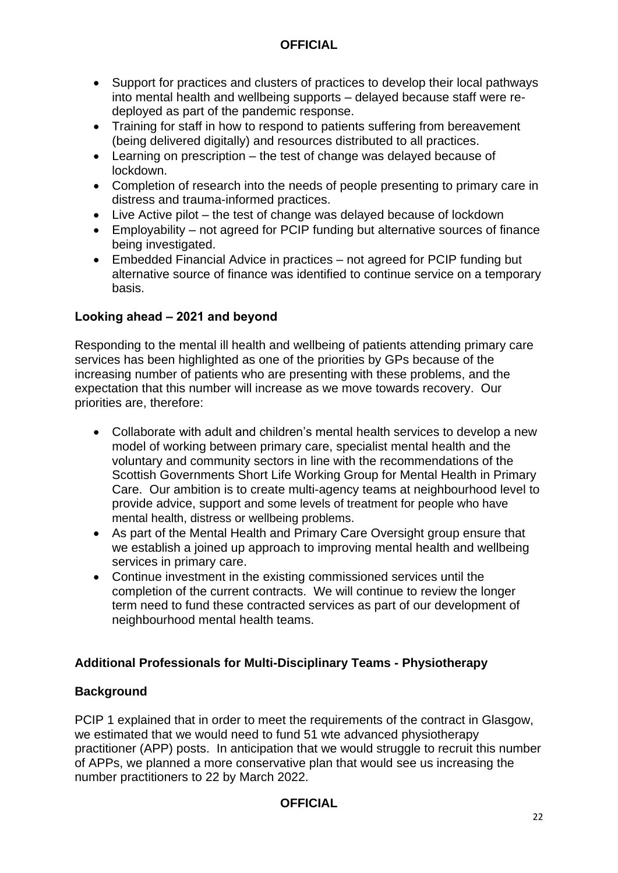- Support for practices and clusters of practices to develop their local pathways into mental health and wellbeing supports – delayed because staff were redeployed as part of the pandemic response.
- Training for staff in how to respond to patients suffering from bereavement (being delivered digitally) and resources distributed to all practices.
- Learning on prescription the test of change was delayed because of lockdown.
- Completion of research into the needs of people presenting to primary care in distress and trauma-informed practices.
- Live Active pilot the test of change was delayed because of lockdown
- Employability not agreed for PCIP funding but alternative sources of finance being investigated.
- Embedded Financial Advice in practices not agreed for PCIP funding but alternative source of finance was identified to continue service on a temporary basis.

#### **Looking ahead – 2021 and beyond**

Responding to the mental ill health and wellbeing of patients attending primary care services has been highlighted as one of the priorities by GPs because of the increasing number of patients who are presenting with these problems, and the expectation that this number will increase as we move towards recovery. Our priorities are, therefore:

- Collaborate with adult and children's mental health services to develop a new model of working between primary care, specialist mental health and the voluntary and community sectors in line with the recommendations of the Scottish Governments Short Life Working Group for Mental Health in Primary Care. Our ambition is to create multi-agency teams at neighbourhood level to provide advice, support and some levels of treatment for people who have mental health, distress or wellbeing problems.
- As part of the Mental Health and Primary Care Oversight group ensure that we establish a joined up approach to improving mental health and wellbeing services in primary care.
- Continue investment in the existing commissioned services until the completion of the current contracts. We will continue to review the longer term need to fund these contracted services as part of our development of neighbourhood mental health teams.

### **Additional Professionals for Multi-Disciplinary Teams - Physiotherapy**

#### **Background**

PCIP 1 explained that in order to meet the requirements of the contract in Glasgow, we estimated that we would need to fund 51 wte advanced physiotherapy practitioner (APP) posts. In anticipation that we would struggle to recruit this number of APPs, we planned a more conservative plan that would see us increasing the number practitioners to 22 by March 2022.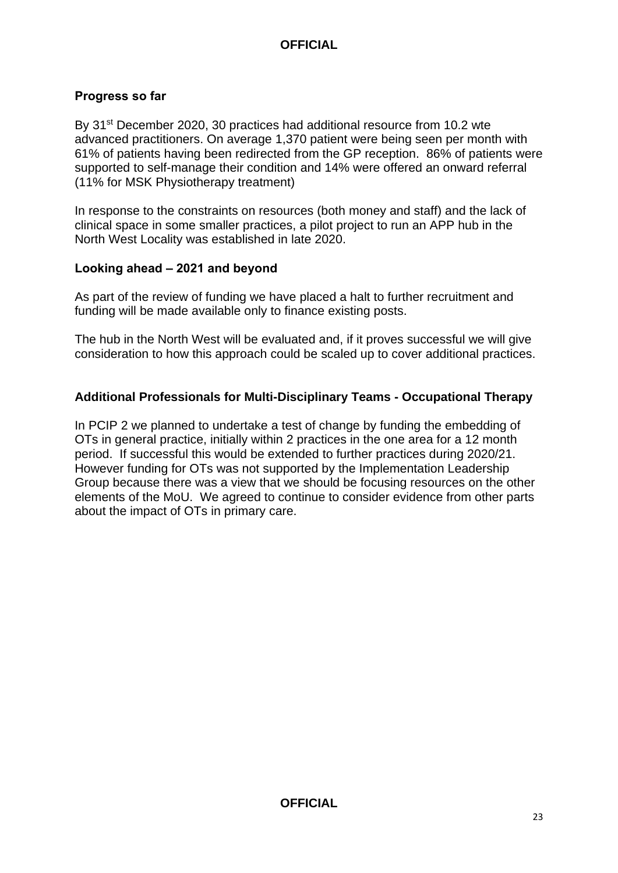#### **Progress so far**

By 31<sup>st</sup> December 2020, 30 practices had additional resource from 10.2 wte advanced practitioners. On average 1,370 patient were being seen per month with 61% of patients having been redirected from the GP reception. 86% of patients were supported to self-manage their condition and 14% were offered an onward referral (11% for MSK Physiotherapy treatment)

In response to the constraints on resources (both money and staff) and the lack of clinical space in some smaller practices, a pilot project to run an APP hub in the North West Locality was established in late 2020.

#### **Looking ahead – 2021 and beyond**

As part of the review of funding we have placed a halt to further recruitment and funding will be made available only to finance existing posts.

The hub in the North West will be evaluated and, if it proves successful we will give consideration to how this approach could be scaled up to cover additional practices.

#### **Additional Professionals for Multi-Disciplinary Teams - Occupational Therapy**

In PCIP 2 we planned to undertake a test of change by funding the embedding of OTs in general practice, initially within 2 practices in the one area for a 12 month period. If successful this would be extended to further practices during 2020/21. However funding for OTs was not supported by the Implementation Leadership Group because there was a view that we should be focusing resources on the other elements of the MoU. We agreed to continue to consider evidence from other parts about the impact of OTs in primary care.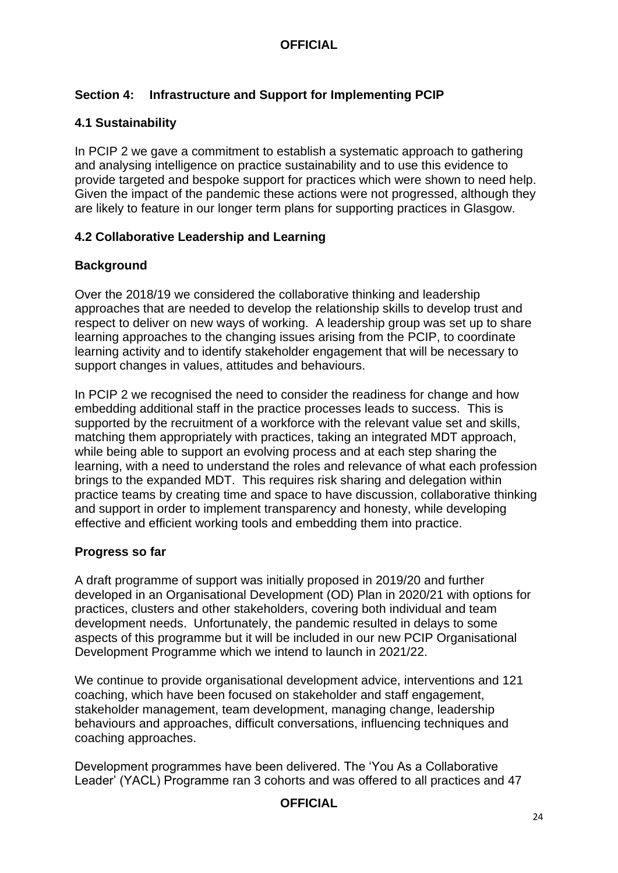#### **Section 4: Infrastructure and Support for Implementing PCIP**

#### **4.1 Sustainability**

In PCIP 2 we gave a commitment to establish a systematic approach to gathering and analysing intelligence on practice sustainability and to use this evidence to provide targeted and bespoke support for practices which were shown to need help. Given the impact of the pandemic these actions were not progressed, although they are likely to feature in our longer term plans for supporting practices in Glasgow.

#### **4.2 Collaborative Leadership and Learning**

#### **Background**

Over the 2018/19 we considered the collaborative thinking and leadership approaches that are needed to develop the relationship skills to develop trust and respect to deliver on new ways of working. A leadership group was set up to share learning approaches to the changing issues arising from the PCIP, to coordinate learning activity and to identify stakeholder engagement that will be necessary to support changes in values, attitudes and behaviours.

In PCIP 2 we recognised the need to consider the readiness for change and how embedding additional staff in the practice processes leads to success. This is supported by the recruitment of a workforce with the relevant value set and skills, matching them appropriately with practices, taking an integrated MDT approach, while being able to support an evolving process and at each step sharing the learning, with a need to understand the roles and relevance of what each profession brings to the expanded MDT. This requires risk sharing and delegation within practice teams by creating time and space to have discussion, collaborative thinking and support in order to implement transparency and honesty, while developing effective and efficient working tools and embedding them into practice.

#### **Progress so far**

A draft programme of support was initially proposed in 2019/20 and further developed in an Organisational Development (OD) Plan in 2020/21 with options for practices, clusters and other stakeholders, covering both individual and team development needs. Unfortunately, the pandemic resulted in delays to some aspects of this programme but it will be included in our new PCIP Organisational Development Programme which we intend to launch in 2021/22.

We continue to provide organisational development advice, interventions and 121 coaching, which have been focused on stakeholder and staff engagement, stakeholder management, team development, managing change, leadership behaviours and approaches, difficult conversations, influencing techniques and coaching approaches.

Development programmes have been delivered. The 'You As a Collaborative Leader' (YACL) Programme ran 3 cohorts and was offered to all practices and 47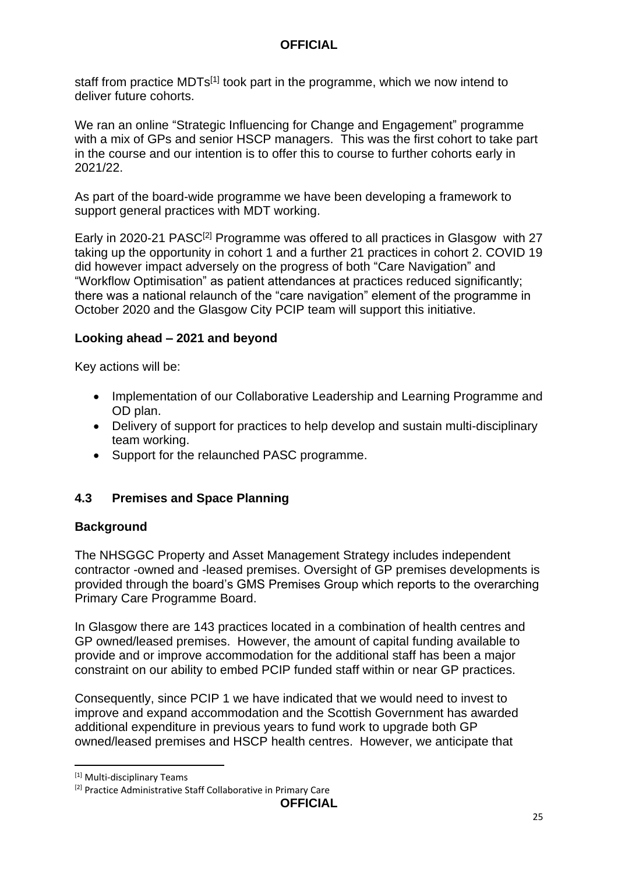staff from practice MDTs<sup>[1]</sup> took part in the programme, which we now intend to deliver future cohorts.

We ran an online "Strategic Influencing for Change and Engagement" programme with a mix of GPs and senior HSCP managers. This was the first cohort to take part in the course and our intention is to offer this to course to further cohorts early in 2021/22.

As part of the board-wide programme we have been developing a framework to support general practices with MDT working.

Early in 2020-21 PASC<sup>[2]</sup> Programme was offered to all practices in Glasgow with 27 taking up the opportunity in cohort 1 and a further 21 practices in cohort 2. COVID 19 did however impact adversely on the progress of both "Care Navigation" and "Workflow Optimisation" as patient attendances at practices reduced significantly; there was a national relaunch of the "care navigation" element of the programme in October 2020 and the Glasgow City PCIP team will support this initiative.

#### **Looking ahead – 2021 and beyond**

Key actions will be:

- Implementation of our Collaborative Leadership and Learning Programme and OD plan.
- Delivery of support for practices to help develop and sustain multi-disciplinary team working.
- Support for the relaunched PASC programme.

#### **4.3 Premises and Space Planning**

#### **Background**

The NHSGGC Property and Asset Management Strategy includes independent contractor -owned and -leased premises. Oversight of GP premises developments is provided through the board's GMS Premises Group which reports to the overarching Primary Care Programme Board.

In Glasgow there are 143 practices located in a combination of health centres and GP owned/leased premises. However, the amount of capital funding available to provide and or improve accommodation for the additional staff has been a major constraint on our ability to embed PCIP funded staff within or near GP practices.

Consequently, since PCIP 1 we have indicated that we would need to invest to improve and expand accommodation and the Scottish Government has awarded additional expenditure in previous years to fund work to upgrade both GP owned/leased premises and HSCP health centres. However, we anticipate that

**.** 

<sup>[1]</sup> Multi-disciplinary Teams

<sup>[2]</sup> Practice Administrative Staff Collaborative in Primary Care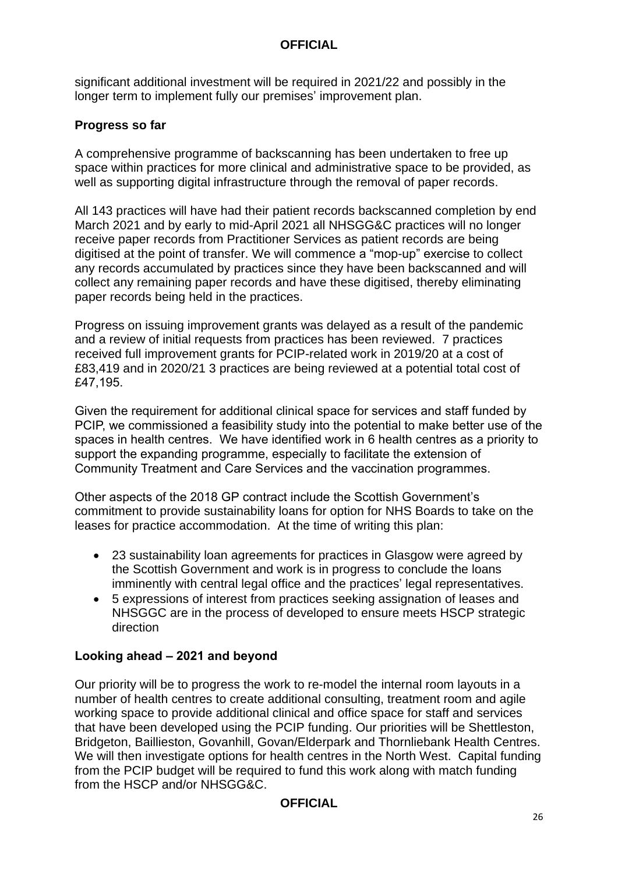significant additional investment will be required in 2021/22 and possibly in the longer term to implement fully our premises' improvement plan.

#### **Progress so far**

A comprehensive programme of backscanning has been undertaken to free up space within practices for more clinical and administrative space to be provided, as well as supporting digital infrastructure through the removal of paper records.

All 143 practices will have had their patient records backscanned completion by end March 2021 and by early to mid-April 2021 all NHSGG&C practices will no longer receive paper records from Practitioner Services as patient records are being digitised at the point of transfer. We will commence a "mop-up" exercise to collect any records accumulated by practices since they have been backscanned and will collect any remaining paper records and have these digitised, thereby eliminating paper records being held in the practices.

Progress on issuing improvement grants was delayed as a result of the pandemic and a review of initial requests from practices has been reviewed. 7 practices received full improvement grants for PCIP-related work in 2019/20 at a cost of £83,419 and in 2020/21 3 practices are being reviewed at a potential total cost of £47,195.

Given the requirement for additional clinical space for services and staff funded by PCIP, we commissioned a feasibility study into the potential to make better use of the spaces in health centres. We have identified work in 6 health centres as a priority to support the expanding programme, especially to facilitate the extension of Community Treatment and Care Services and the vaccination programmes.

Other aspects of the 2018 GP contract include the Scottish Government's commitment to provide sustainability loans for option for NHS Boards to take on the leases for practice accommodation. At the time of writing this plan:

- 23 sustainability loan agreements for practices in Glasgow were agreed by the Scottish Government and work is in progress to conclude the loans imminently with central legal office and the practices' legal representatives.
- 5 expressions of interest from practices seeking assignation of leases and NHSGGC are in the process of developed to ensure meets HSCP strategic direction

#### **Looking ahead – 2021 and beyond**

Our priority will be to progress the work to re-model the internal room layouts in a number of health centres to create additional consulting, treatment room and agile working space to provide additional clinical and office space for staff and services that have been developed using the PCIP funding. Our priorities will be Shettleston, Bridgeton, Baillieston, Govanhill, Govan/Elderpark and Thornliebank Health Centres. We will then investigate options for health centres in the North West. Capital funding from the PCIP budget will be required to fund this work along with match funding from the HSCP and/or NHSGG&C.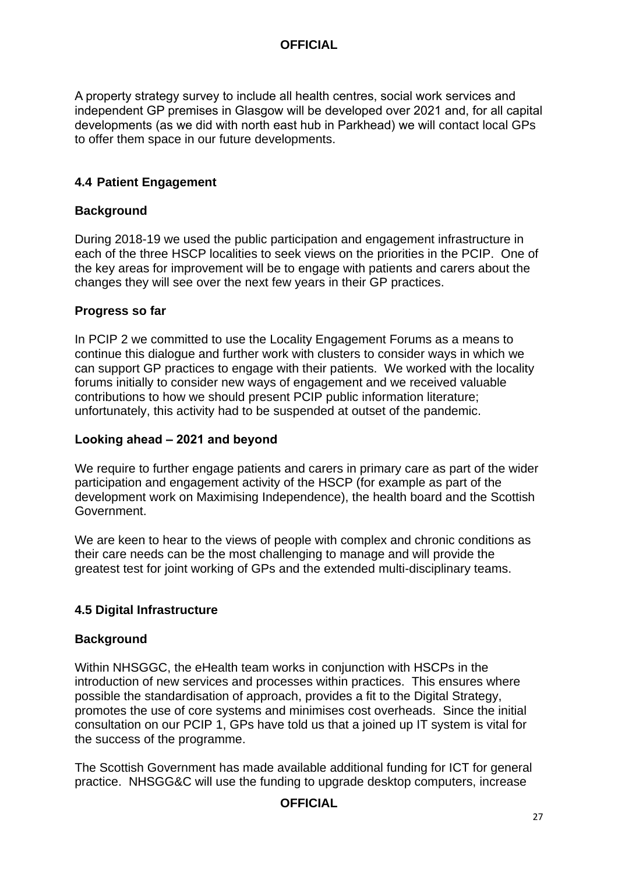A property strategy survey to include all health centres, social work services and independent GP premises in Glasgow will be developed over 2021 and, for all capital developments (as we did with north east hub in Parkhead) we will contact local GPs to offer them space in our future developments.

#### **4.4 Patient Engagement**

#### **Background**

During 2018-19 we used the public participation and engagement infrastructure in each of the three HSCP localities to seek views on the priorities in the PCIP. One of the key areas for improvement will be to engage with patients and carers about the changes they will see over the next few years in their GP practices.

#### **Progress so far**

In PCIP 2 we committed to use the Locality Engagement Forums as a means to continue this dialogue and further work with clusters to consider ways in which we can support GP practices to engage with their patients. We worked with the locality forums initially to consider new ways of engagement and we received valuable contributions to how we should present PCIP public information literature; unfortunately, this activity had to be suspended at outset of the pandemic.

#### **Looking ahead – 2021 and beyond**

We require to further engage patients and carers in primary care as part of the wider participation and engagement activity of the HSCP (for example as part of the development work on Maximising Independence), the health board and the Scottish Government.

We are keen to hear to the views of people with complex and chronic conditions as their care needs can be the most challenging to manage and will provide the greatest test for joint working of GPs and the extended multi-disciplinary teams.

#### **4.5 Digital Infrastructure**

#### **Background**

Within NHSGGC, the eHealth team works in conjunction with HSCPs in the introduction of new services and processes within practices. This ensures where possible the standardisation of approach, provides a fit to the Digital Strategy, promotes the use of core systems and minimises cost overheads. Since the initial consultation on our PCIP 1, GPs have told us that a joined up IT system is vital for the success of the programme.

The Scottish Government has made available additional funding for ICT for general practice. NHSGG&C will use the funding to upgrade desktop computers, increase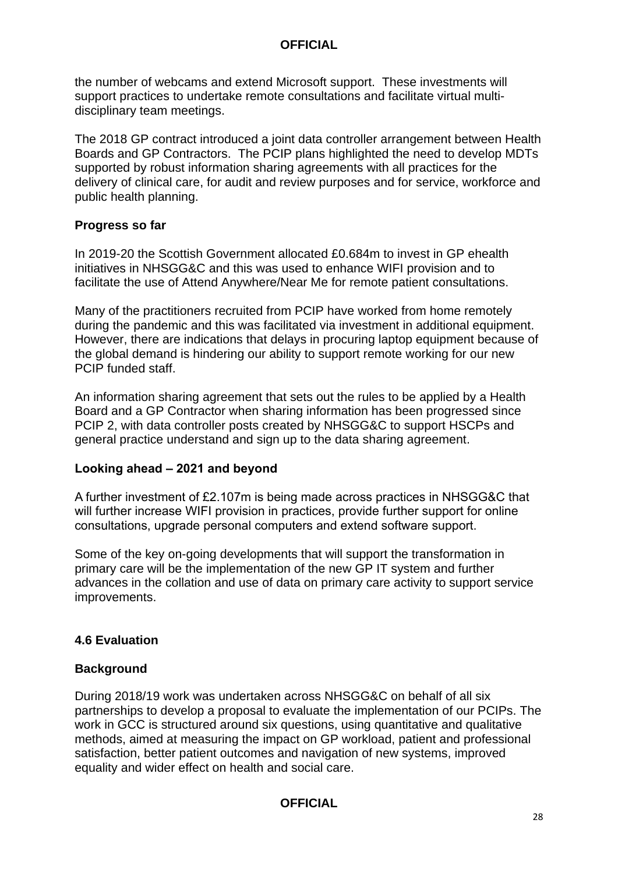the number of webcams and extend Microsoft support. These investments will support practices to undertake remote consultations and facilitate virtual multidisciplinary team meetings.

The 2018 GP contract introduced a joint data controller arrangement between Health Boards and GP Contractors. The PCIP plans highlighted the need to develop MDTs supported by robust information sharing agreements with all practices for the delivery of clinical care, for audit and review purposes and for service, workforce and public health planning.

#### **Progress so far**

In 2019-20 the Scottish Government allocated £0.684m to invest in GP ehealth initiatives in NHSGG&C and this was used to enhance WIFI provision and to facilitate the use of Attend Anywhere/Near Me for remote patient consultations.

Many of the practitioners recruited from PCIP have worked from home remotely during the pandemic and this was facilitated via investment in additional equipment. However, there are indications that delays in procuring laptop equipment because of the global demand is hindering our ability to support remote working for our new PCIP funded staff.

An information sharing agreement that sets out the rules to be applied by a Health Board and a GP Contractor when sharing information has been progressed since PCIP 2, with data controller posts created by NHSGG&C to support HSCPs and general practice understand and sign up to the data sharing agreement.

#### **Looking ahead – 2021 and beyond**

A further investment of £2.107m is being made across practices in NHSGG&C that will further increase WIFI provision in practices, provide further support for online consultations, upgrade personal computers and extend software support.

Some of the key on-going developments that will support the transformation in primary care will be the implementation of the new GP IT system and further advances in the collation and use of data on primary care activity to support service improvements.

#### **4.6 Evaluation**

#### **Background**

During 2018/19 work was undertaken across NHSGG&C on behalf of all six partnerships to develop a proposal to evaluate the implementation of our PCIPs. The work in GCC is structured around six questions, using quantitative and qualitative methods, aimed at measuring the impact on GP workload, patient and professional satisfaction, better patient outcomes and navigation of new systems, improved equality and wider effect on health and social care.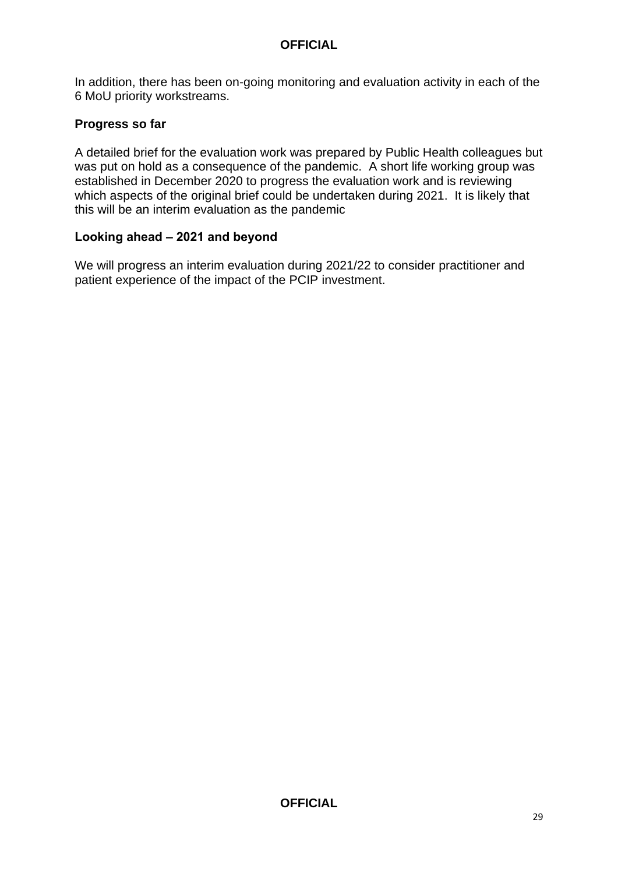In addition, there has been on-going monitoring and evaluation activity in each of the 6 MoU priority workstreams.

#### **Progress so far**

A detailed brief for the evaluation work was prepared by Public Health colleagues but was put on hold as a consequence of the pandemic. A short life working group was established in December 2020 to progress the evaluation work and is reviewing which aspects of the original brief could be undertaken during 2021. It is likely that this will be an interim evaluation as the pandemic

#### **Looking ahead – 2021 and beyond**

We will progress an interim evaluation during 2021/22 to consider practitioner and patient experience of the impact of the PCIP investment.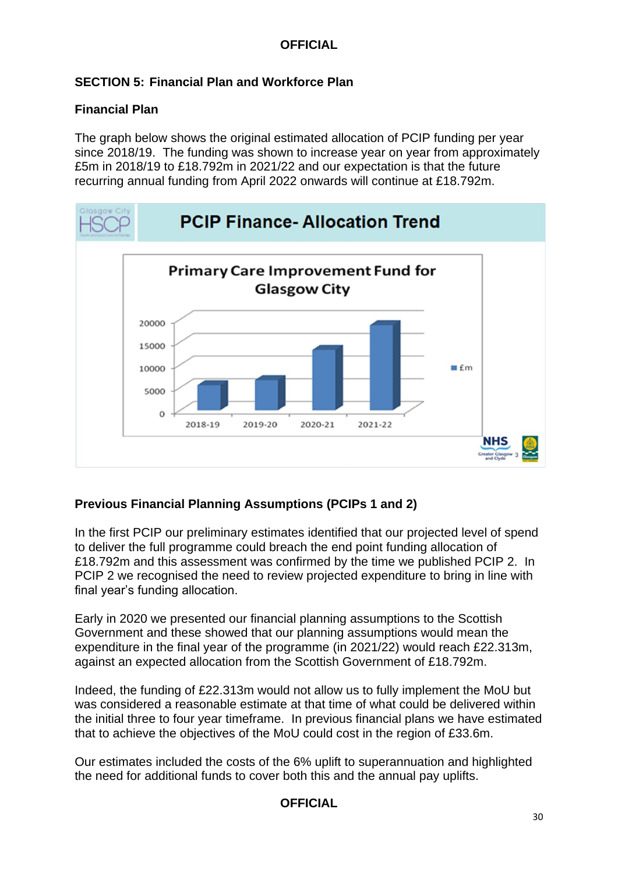#### **SECTION 5: Financial Plan and Workforce Plan**

#### **Financial Plan**

The graph below shows the original estimated allocation of PCIP funding per year since 2018/19. The funding was shown to increase year on year from approximately £5m in 2018/19 to £18.792m in 2021/22 and our expectation is that the future recurring annual funding from April 2022 onwards will continue at £18.792m.



#### **Previous Financial Planning Assumptions (PCIPs 1 and 2)**

In the first PCIP our preliminary estimates identified that our projected level of spend to deliver the full programme could breach the end point funding allocation of £18.792m and this assessment was confirmed by the time we published PCIP 2. In PCIP 2 we recognised the need to review projected expenditure to bring in line with final year's funding allocation.

Early in 2020 we presented our financial planning assumptions to the Scottish Government and these showed that our planning assumptions would mean the expenditure in the final year of the programme (in 2021/22) would reach £22.313m, against an expected allocation from the Scottish Government of £18.792m.

Indeed, the funding of £22.313m would not allow us to fully implement the MoU but was considered a reasonable estimate at that time of what could be delivered within the initial three to four year timeframe. In previous financial plans we have estimated that to achieve the objectives of the MoU could cost in the region of £33.6m.

Our estimates included the costs of the 6% uplift to superannuation and highlighted the need for additional funds to cover both this and the annual pay uplifts.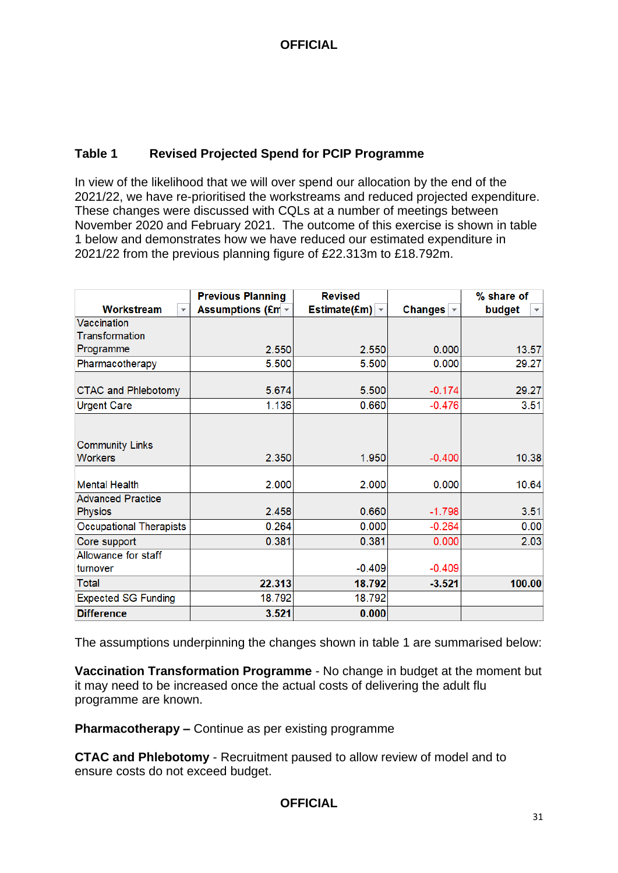#### **Table 1 Revised Projected Spend for PCIP Programme**

In view of the likelihood that we will over spend our allocation by the end of the 2021/22, we have re-prioritised the workstreams and reduced projected expenditure. These changes were discussed with CQLs at a number of meetings between November 2020 and February 2021. The outcome of this exercise is shown in table 1 below and demonstrates how we have reduced our estimated expenditure in 2021/22 from the previous planning figure of £22.313m to £18.792m.

|                                       | <b>Previous Planning</b> | <b>Revised</b>      |                             | % share of                     |
|---------------------------------------|--------------------------|---------------------|-----------------------------|--------------------------------|
| Workstream<br>$\overline{\mathbf{v}}$ | <b>Assumptions (£m -</b> | Estimate(£m) $\sim$ | Changes $\vert \cdot \vert$ | budget<br>$\blacktriangledown$ |
| Vaccination                           |                          |                     |                             |                                |
| <b>Transformation</b>                 |                          |                     |                             |                                |
| Programme                             | 2.550                    | 2.550               | 0.000                       | 13.57                          |
| Pharmacotherapy                       | 5.500                    | 5.500               | 0.000                       | 29.27                          |
|                                       |                          |                     |                             |                                |
| <b>CTAC and Phlebotomy</b>            | 5.674                    | 5.500               | $-0.174$                    | 29.27                          |
| <b>Urgent Care</b>                    | 1.136                    | 0.660               | $-0.476$                    | 3.51                           |
|                                       |                          |                     |                             |                                |
|                                       |                          |                     |                             |                                |
| <b>Community Links</b>                |                          |                     |                             |                                |
| <b>Workers</b>                        | 2.350                    | 1.950               | $-0.400$                    | 10.38                          |
|                                       |                          |                     |                             |                                |
| <b>Mental Health</b>                  | 2.000                    | 2.000               | 0.000                       | 10.64                          |
| <b>Advanced Practice</b>              |                          |                     |                             |                                |
| <b>Physios</b>                        | 2.458                    | 0.660               | $-1.798$                    | 3.51                           |
| Occupational Therapists               | 0.264                    | 0.000               | $-0.264$                    | 0.00                           |
| Core support                          | 0.381                    | 0.381               | 0.000                       | 2.03                           |
| Allowance for staff                   |                          |                     |                             |                                |
| turnover                              |                          | $-0.409$            | $-0.409$                    |                                |
| <b>Total</b>                          | 22.313                   | 18.792              | $-3.521$                    | 100.00                         |
| <b>Expected SG Funding</b>            | 18.792                   | 18.792              |                             |                                |
| <b>Difference</b>                     | 3.521                    | 0.000               |                             |                                |

The assumptions underpinning the changes shown in table 1 are summarised below:

**Vaccination Transformation Programme** - No change in budget at the moment but it may need to be increased once the actual costs of delivering the adult flu programme are known.

**Pharmacotherapy –** Continue as per existing programme

**CTAC and Phlebotomy** - Recruitment paused to allow review of model and to ensure costs do not exceed budget.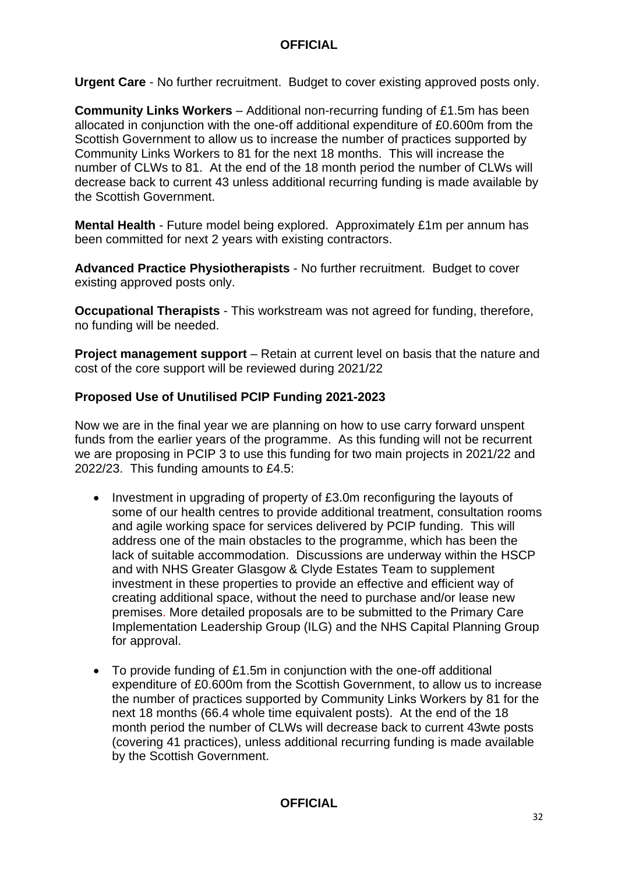**Urgent Care** - No further recruitment. Budget to cover existing approved posts only.

**Community Links Workers** – Additional non-recurring funding of £1.5m has been allocated in conjunction with the one-off additional expenditure of £0.600m from the Scottish Government to allow us to increase the number of practices supported by Community Links Workers to 81 for the next 18 months. This will increase the number of CLWs to 81. At the end of the 18 month period the number of CLWs will decrease back to current 43 unless additional recurring funding is made available by the Scottish Government.

**Mental Health** - Future model being explored. Approximately £1m per annum has been committed for next 2 years with existing contractors.

**Advanced Practice Physiotherapists** - No further recruitment. Budget to cover existing approved posts only.

**Occupational Therapists** - This workstream was not agreed for funding, therefore, no funding will be needed.

**Project management support** – Retain at current level on basis that the nature and cost of the core support will be reviewed during 2021/22

#### **Proposed Use of Unutilised PCIP Funding 2021-2023**

Now we are in the final year we are planning on how to use carry forward unspent funds from the earlier years of the programme. As this funding will not be recurrent we are proposing in PCIP 3 to use this funding for two main projects in 2021/22 and 2022/23. This funding amounts to £4.5:

- Investment in upgrading of property of £3.0m reconfiguring the layouts of some of our health centres to provide additional treatment, consultation rooms and agile working space for services delivered by PCIP funding. This will address one of the main obstacles to the programme, which has been the lack of suitable accommodation. Discussions are underway within the HSCP and with NHS Greater Glasgow & Clyde Estates Team to supplement investment in these properties to provide an effective and efficient way of creating additional space, without the need to purchase and/or lease new premises. More detailed proposals are to be submitted to the Primary Care Implementation Leadership Group (ILG) and the NHS Capital Planning Group for approval.
- To provide funding of £1.5m in conjunction with the one-off additional expenditure of £0.600m from the Scottish Government, to allow us to increase the number of practices supported by Community Links Workers by 81 for the next 18 months (66.4 whole time equivalent posts). At the end of the 18 month period the number of CLWs will decrease back to current 43wte posts (covering 41 practices), unless additional recurring funding is made available by the Scottish Government.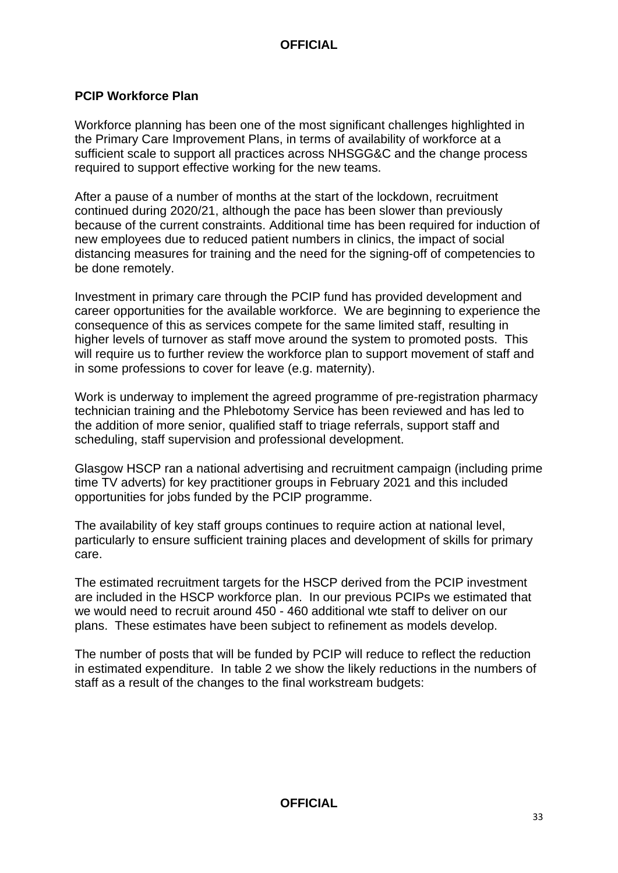#### **PCIP Workforce Plan**

Workforce planning has been one of the most significant challenges highlighted in the Primary Care Improvement Plans, in terms of availability of workforce at a sufficient scale to support all practices across NHSGG&C and the change process required to support effective working for the new teams.

After a pause of a number of months at the start of the lockdown, recruitment continued during 2020/21, although the pace has been slower than previously because of the current constraints. Additional time has been required for induction of new employees due to reduced patient numbers in clinics, the impact of social distancing measures for training and the need for the signing-off of competencies to be done remotely.

Investment in primary care through the PCIP fund has provided development and career opportunities for the available workforce. We are beginning to experience the consequence of this as services compete for the same limited staff, resulting in higher levels of turnover as staff move around the system to promoted posts. This will require us to further review the workforce plan to support movement of staff and in some professions to cover for leave (e.g. maternity).

Work is underway to implement the agreed programme of pre-registration pharmacy technician training and the Phlebotomy Service has been reviewed and has led to the addition of more senior, qualified staff to triage referrals, support staff and scheduling, staff supervision and professional development.

Glasgow HSCP ran a national advertising and recruitment campaign (including prime time TV adverts) for key practitioner groups in February 2021 and this included opportunities for jobs funded by the PCIP programme.

The availability of key staff groups continues to require action at national level, particularly to ensure sufficient training places and development of skills for primary care.

The estimated recruitment targets for the HSCP derived from the PCIP investment are included in the HSCP workforce plan. In our previous PCIPs we estimated that we would need to recruit around 450 - 460 additional wte staff to deliver on our plans. These estimates have been subject to refinement as models develop.

The number of posts that will be funded by PCIP will reduce to reflect the reduction in estimated expenditure. In table 2 we show the likely reductions in the numbers of staff as a result of the changes to the final workstream budgets: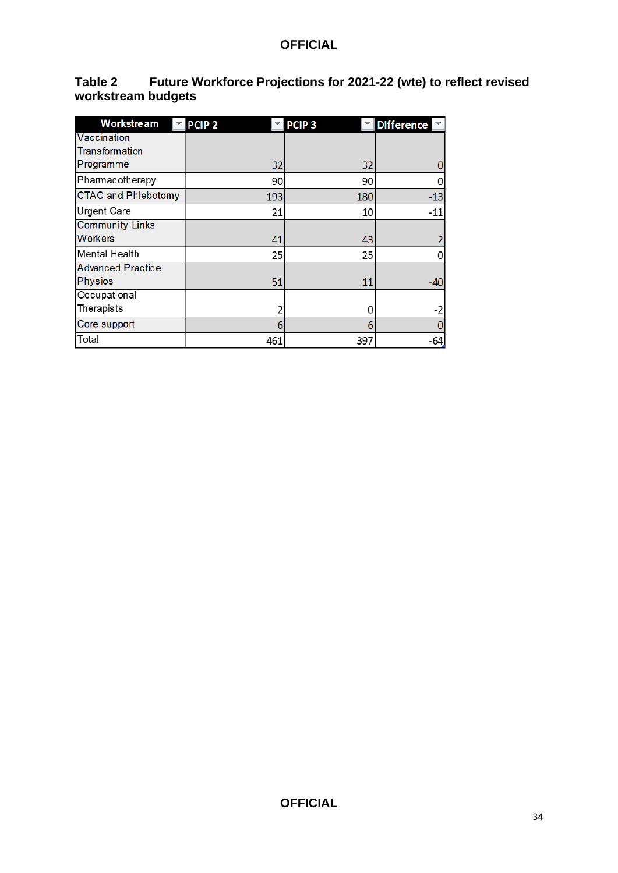| Table 2            | Future Workforce Projections for 2021-22 (wte) to reflect revised |
|--------------------|-------------------------------------------------------------------|
| workstream budgets |                                                                   |

| <b>Workstream</b>          | PCIP <sub>2</sub> | PCIP <sub>3</sub> | <b>Difference</b> |
|----------------------------|-------------------|-------------------|-------------------|
| Vaccination                |                   |                   |                   |
| Transformation             |                   |                   |                   |
| Programme                  | 32                | 32                |                   |
| Pharmacotherapy            | 90                | 90                | 0                 |
| <b>CTAC and Phlebotomy</b> | 193               | 180               | $-13$             |
| <b>Urgent Care</b>         | 21                | 10                | $-11$             |
| <b>Community Links</b>     |                   |                   |                   |
| <b>Workers</b>             | 41                | 43                |                   |
| Mental Health              | 25                | 25                | 0                 |
| <b>Advanced Practice</b>   |                   |                   |                   |
| <b>Physios</b>             | 51                | 11                | -40               |
| Occupational               |                   |                   |                   |
| Therapists                 | 2                 | Ω                 | -2                |
| Core support               | 6                 | 6                 | 0                 |
| Total                      | 461               | 397               | $-64$             |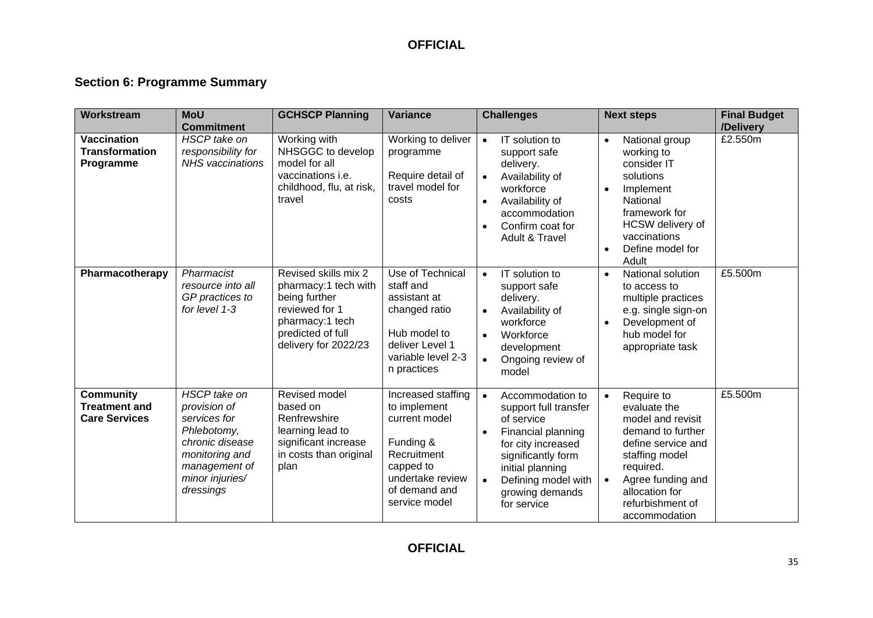### **Section 6: Programme Summary**

| Workstream                                                       | <b>MoU</b><br><b>Commitment</b>                                                                                                                   | <b>GCHSCP Planning</b>                                                                                                                          | <b>Variance</b>                                                                                                                                    | <b>Challenges</b>                                                                                                                                                                                                                             | <b>Next steps</b>                                                                                                                                                                                                               | <b>Final Budget</b><br>/Delivery |
|------------------------------------------------------------------|---------------------------------------------------------------------------------------------------------------------------------------------------|-------------------------------------------------------------------------------------------------------------------------------------------------|----------------------------------------------------------------------------------------------------------------------------------------------------|-----------------------------------------------------------------------------------------------------------------------------------------------------------------------------------------------------------------------------------------------|---------------------------------------------------------------------------------------------------------------------------------------------------------------------------------------------------------------------------------|----------------------------------|
| <b>Vaccination</b><br><b>Transformation</b><br>Programme         | HSCP take on<br>responsibility for<br><b>NHS</b> vaccinations                                                                                     | Working with<br>NHSGGC to develop<br>model for all<br>vaccinations i.e.<br>childhood, flu, at risk,<br>travel                                   | Working to deliver<br>programme<br>Require detail of<br>travel model for<br>costs                                                                  | IT solution to<br>$\bullet$<br>support safe<br>delivery.<br>Availability of<br>$\bullet$<br>workforce<br>Availability of<br>$\bullet$<br>accommodation<br>Confirm coat for<br>$\bullet$<br>Adult & Travel                                     | National group<br>$\bullet$<br>working to<br>consider IT<br>solutions<br>Implement<br>$\bullet$<br>National<br>framework for<br>HCSW delivery of<br>vaccinations<br>Define model for<br>$\bullet$<br>Adult                      | £2.550m                          |
| Pharmacotherapy                                                  | Pharmacist<br>resource into all<br>GP practices to<br>for level 1-3                                                                               | Revised skills mix 2<br>pharmacy:1 tech with<br>being further<br>reviewed for 1<br>pharmacy:1 tech<br>predicted of full<br>delivery for 2022/23 | Use of Technical<br>staff and<br>assistant at<br>changed ratio<br>Hub model to<br>deliver Level 1<br>variable level 2-3<br>n practices             | IT solution to<br>$\bullet$<br>support safe<br>delivery.<br>Availability of<br>$\bullet$<br>workforce<br>Workforce<br>$\bullet$<br>development<br>Ongoing review of<br>$\bullet$<br>model                                                     | National solution<br>$\bullet$<br>to access to<br>multiple practices<br>e.g. single sign-on<br>Development of<br>hub model for<br>appropriate task                                                                              | £5.500m                          |
| <b>Community</b><br><b>Treatment and</b><br><b>Care Services</b> | HSCP take on<br>provision of<br>services for<br>Phlebotomy,<br>chronic disease<br>monitoring and<br>management of<br>minor injuries/<br>dressings | Revised model<br>based on<br>Renfrewshire<br>learning lead to<br>significant increase<br>in costs than original<br>plan                         | Increased staffing<br>to implement<br>current model<br>Funding &<br>Recruitment<br>capped to<br>undertake review<br>of demand and<br>service model | Accommodation to<br>$\bullet$<br>support full transfer<br>of service<br>Financial planning<br>$\bullet$<br>for city increased<br>significantly form<br>initial planning<br>Defining model with<br>$\bullet$<br>growing demands<br>for service | Require to<br>$\bullet$<br>evaluate the<br>model and revisit<br>demand to further<br>define service and<br>staffing model<br>required.<br>Agree funding and<br>$\bullet$<br>allocation for<br>refurbishment of<br>accommodation | £5.500m                          |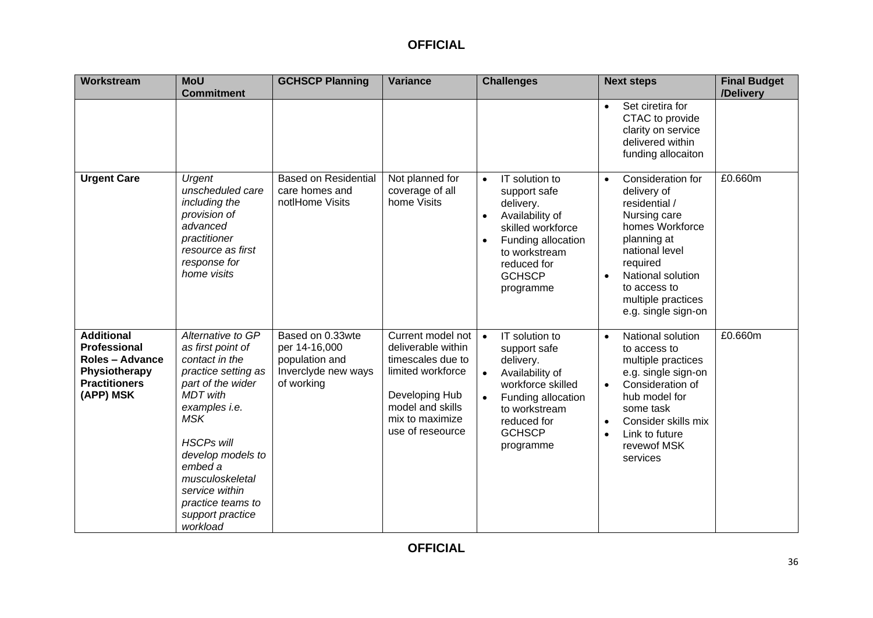| Workstream                                                                                                               | <b>MoU</b><br><b>Commitment</b>                                                                                                                                                                                                                                                                | <b>GCHSCP Planning</b>                                                                   | <b>Variance</b>                                                                                                                                                | <b>Challenges</b>                                                                                                                                                                                              | <b>Next steps</b>                                                                                                                                                                                                                                        | <b>Final Budget</b><br>/Delivery |
|--------------------------------------------------------------------------------------------------------------------------|------------------------------------------------------------------------------------------------------------------------------------------------------------------------------------------------------------------------------------------------------------------------------------------------|------------------------------------------------------------------------------------------|----------------------------------------------------------------------------------------------------------------------------------------------------------------|----------------------------------------------------------------------------------------------------------------------------------------------------------------------------------------------------------------|----------------------------------------------------------------------------------------------------------------------------------------------------------------------------------------------------------------------------------------------------------|----------------------------------|
|                                                                                                                          |                                                                                                                                                                                                                                                                                                |                                                                                          |                                                                                                                                                                |                                                                                                                                                                                                                | Set ciretira for<br>$\bullet$<br>CTAC to provide<br>clarity on service<br>delivered within<br>funding allocaiton                                                                                                                                         |                                  |
| <b>Urgent Care</b>                                                                                                       | Urgent<br>unscheduled care<br>including the<br>provision of<br>advanced<br>practitioner<br>resource as first<br>response for<br>home visits                                                                                                                                                    | <b>Based on Residential</b><br>care homes and<br>notlHome Visits                         | Not planned for<br>coverage of all<br>home Visits                                                                                                              | IT solution to<br>$\bullet$<br>support safe<br>delivery.<br>Availability of<br>$\bullet$<br>skilled workforce<br>Funding allocation<br>$\bullet$<br>to workstream<br>reduced for<br><b>GCHSCP</b><br>programme | Consideration for<br>$\bullet$<br>delivery of<br>residential /<br>Nursing care<br>homes Workforce<br>planning at<br>national level<br>required<br>National solution<br>to access to<br>multiple practices<br>e.g. single sign-on                         | £0.660m                          |
| <b>Additional</b><br><b>Professional</b><br><b>Roles - Advance</b><br>Physiotherapy<br><b>Practitioners</b><br>(APP) MSK | Alternative to GP<br>as first point of<br>contact in the<br>practice setting as<br>part of the wider<br><b>MDT</b> with<br>examples i.e.<br>MSK<br><b>HSCPs will</b><br>develop models to<br>embed a<br>musculoskeletal<br>service within<br>practice teams to<br>support practice<br>workload | Based on 0.33wte<br>per 14-16,000<br>population and<br>Inverclyde new ways<br>of working | Current model not<br>deliverable within<br>timescales due to<br>limited workforce<br>Developing Hub<br>model and skills<br>mix to maximize<br>use of reseource | IT solution to<br>$\bullet$<br>support safe<br>delivery.<br>Availability of<br>$\bullet$<br>workforce skilled<br>Funding allocation<br>to workstream<br>reduced for<br><b>GCHSCP</b><br>programme              | National solution<br>$\bullet$<br>to access to<br>multiple practices<br>e.g. single sign-on<br>Consideration of<br>$\bullet$<br>hub model for<br>some task<br>Consider skills mix<br>$\bullet$<br>Link to future<br>$\bullet$<br>revewof MSK<br>services | £0.660m                          |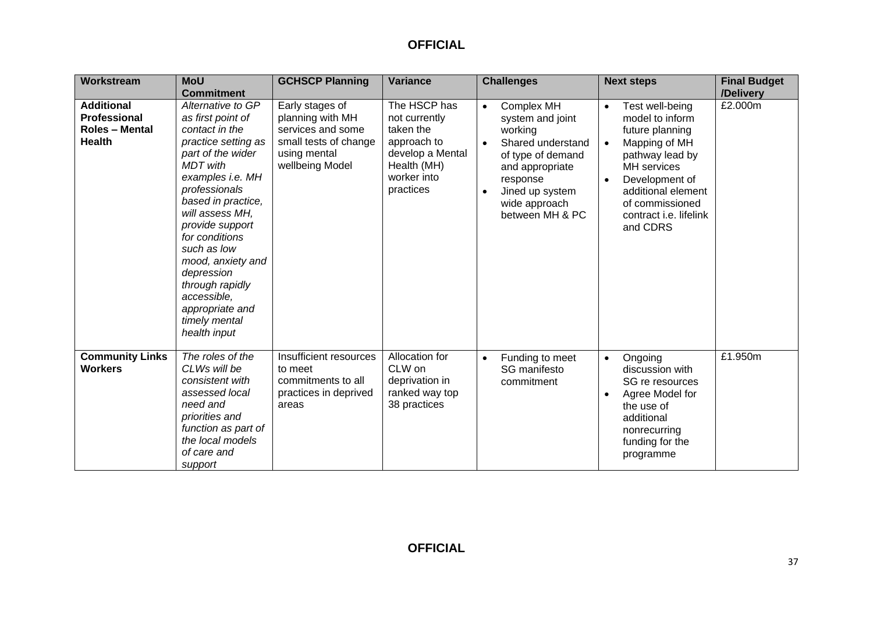| Workstream                                                                         | <b>MoU</b><br><b>Commitment</b>                                                                                                                                                                                                                                                                                                                                                    | <b>GCHSCP Planning</b>                                                                                               | <b>Variance</b>                                                                                                          | <b>Challenges</b>                                                                                                                                                                                                       | <b>Next steps</b>                                                                                                                                                                                                      |                      |
|------------------------------------------------------------------------------------|------------------------------------------------------------------------------------------------------------------------------------------------------------------------------------------------------------------------------------------------------------------------------------------------------------------------------------------------------------------------------------|----------------------------------------------------------------------------------------------------------------------|--------------------------------------------------------------------------------------------------------------------------|-------------------------------------------------------------------------------------------------------------------------------------------------------------------------------------------------------------------------|------------------------------------------------------------------------------------------------------------------------------------------------------------------------------------------------------------------------|----------------------|
| <b>Additional</b><br><b>Professional</b><br><b>Roles - Mental</b><br><b>Health</b> | Alternative to GP<br>as first point of<br>contact in the<br>practice setting as<br>part of the wider<br><b>MDT</b> with<br>examples i.e. MH<br>professionals<br>based in practice,<br>will assess MH,<br>provide support<br>for conditions<br>such as low<br>mood, anxiety and<br>depression<br>through rapidly<br>accessible,<br>appropriate and<br>timely mental<br>health input | Early stages of<br>planning with MH<br>services and some<br>small tests of change<br>using mental<br>wellbeing Model | The HSCP has<br>not currently<br>taken the<br>approach to<br>develop a Mental<br>Health (MH)<br>worker into<br>practices | <b>Complex MH</b><br>$\bullet$<br>system and joint<br>working<br>Shared understand<br>$\bullet$<br>of type of demand<br>and appropriate<br>response<br>Jined up system<br>$\bullet$<br>wide approach<br>between MH & PC | Test well-being<br>$\bullet$<br>model to inform<br>future planning<br>Mapping of MH<br>pathway lead by<br>MH services<br>Development of<br>additional element<br>of commissioned<br>contract i.e. lifelink<br>and CDRS | /Delivery<br>£2.000m |
| <b>Community Links</b><br><b>Workers</b>                                           | The roles of the<br>CLWs will be<br>consistent with<br>assessed local<br>need and<br>priorities and<br>function as part of<br>the local models<br>of care and<br>support                                                                                                                                                                                                           | Insufficient resources<br>to meet<br>commitments to all<br>practices in deprived<br>areas                            | Allocation for<br>CLW on<br>deprivation in<br>ranked way top<br>38 practices                                             | Funding to meet<br>$\bullet$<br>SG manifesto<br>commitment                                                                                                                                                              | Ongoing<br>$\bullet$<br>discussion with<br>SG re resources<br>Agree Model for<br>the use of<br>additional<br>nonrecurring<br>funding for the<br>programme                                                              | £1.950m              |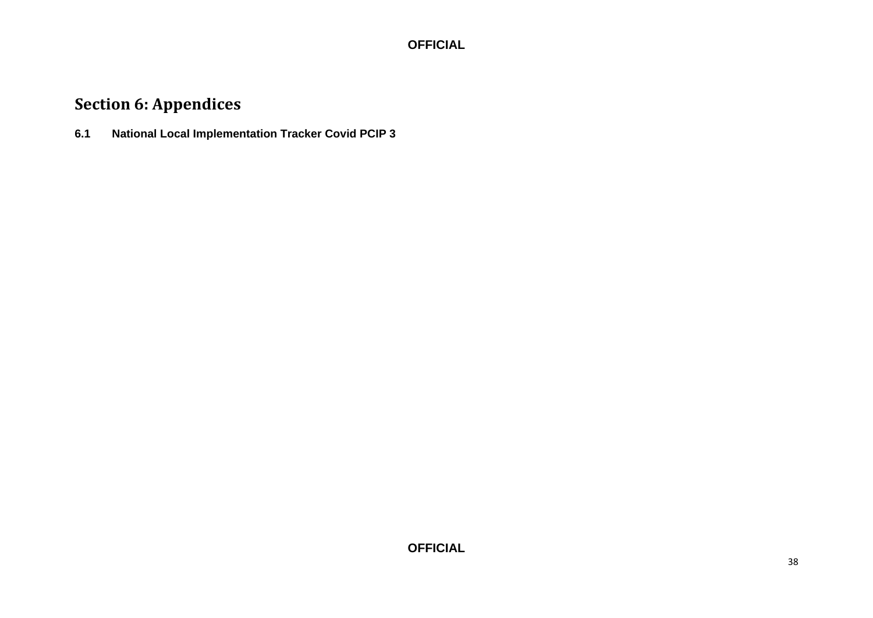# **Section 6: Appendices**

**6.1 National Local Implementation Tracker Covid PCIP 3**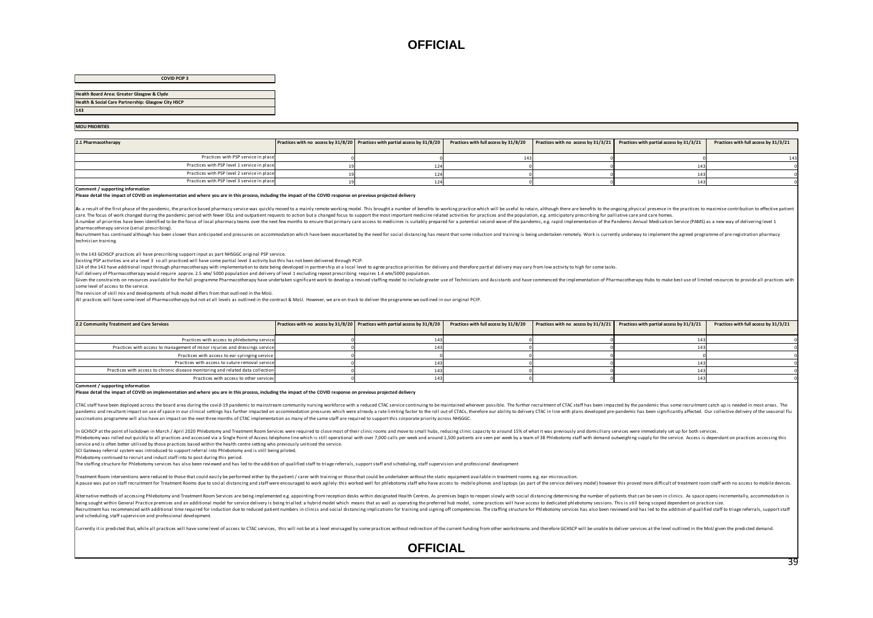#### **COVID PCIP 3**

**Health Board Area: Greater Glasgow & Clyde**

#### **Health & Social Care Partnership: Glasgow City HSCP**

| <b>Thealth Doal of Allea. Organici Grasgow &amp; Civue</b>                                                                                                       |                                                                              |                                       |                                     |                                          |                                       |
|------------------------------------------------------------------------------------------------------------------------------------------------------------------|------------------------------------------------------------------------------|---------------------------------------|-------------------------------------|------------------------------------------|---------------------------------------|
| Health & Social Care Partnership: Glasgow City HSCP                                                                                                              |                                                                              |                                       |                                     |                                          |                                       |
| 143                                                                                                                                                              |                                                                              |                                       |                                     |                                          |                                       |
|                                                                                                                                                                  |                                                                              |                                       |                                     |                                          |                                       |
| <b>MOU PRIORITIES</b>                                                                                                                                            |                                                                              |                                       |                                     |                                          |                                       |
|                                                                                                                                                                  |                                                                              |                                       |                                     |                                          |                                       |
| 2.1 Pharmacotherapy                                                                                                                                              | Practices with no access by 31/8/20 Practices with partial access by 31/8/20 | Practices with full access by 31/8/20 | Practices with no access by 31/3/21 | Practices with partial access by 31/3/21 | Practices with full access by 31/3/21 |
|                                                                                                                                                                  |                                                                              |                                       |                                     |                                          |                                       |
| Practices with PSP service in place                                                                                                                              |                                                                              |                                       |                                     |                                          |                                       |
| Practices with PSP level 1 service in place                                                                                                                      |                                                                              |                                       |                                     |                                          |                                       |
| Practices with PSP level 2 service in place                                                                                                                      |                                                                              |                                       |                                     |                                          |                                       |
| Practices with PSP level 3 service in place                                                                                                                      | 12 <sub>1</sub>                                                              |                                       |                                     | 14                                       |                                       |
| Comment / supporting information                                                                                                                                 |                                                                              |                                       |                                     |                                          |                                       |
| Please detail the impact of COVID on implementation and where you are in this process, including the impact of the COVID response on previous projected delivery |                                                                              |                                       |                                     |                                          |                                       |
|                                                                                                                                                                  |                                                                              |                                       |                                     |                                          |                                       |
|                                                                                                                                                                  |                                                                              |                                       |                                     |                                          |                                       |

#### **Please detail the impact of COVID on implementation and where you are in this process, including the impact of the COVID response on previous projected delivery**

As a result of the first phase of the pandemic, the practice based pharmacy service was quickly moved to a mainly remote working model. This brought a number of benefits to working practice which will be useful to retain, care. The focus of work changed during the pandemic period with fewer IDLs and outpatient requests to action but a changed focus to support the most important medicine related activities for practices and the population. e

A number of priorities have been identified to be the focus of local pharmacy teams over the next few months to ensure that primary care access to medicines is suitably prepared for a potential second wave of the pandemic, pharmacotherapy service (serial prescribing).

Recruitment has continued although has been slower than anticipated and pressures on accommodation which have been exacerbated by the need for social distancing has meant that some induction and training is being undertake technician training.

In the 143 GCHSCP practices all have prescribing support input as part NHSGGC original PSP service.

Existing PSP activities are at a level 3 so all practiced will have some partial level 3 activity but this has not been delivered through PCIP.

124 of the 143 have additional input through pharmacotherapy with implementation to date being developed in partnership at a local level to agree practice priorities for delivery and therefore partial delivery may vary fro

Full delivery of Pharmacotherapy would require approx. 2.5 wte/ 5000 population and delivery of level 1 excluding repeat prescribing requires 1.4 wte/5000 population.

Given the constraints on resources available for the full programme Pharmacotherapy have undertaken significant work to develop a revised staffing model to include greater use of Technicians and Assistants and have commenc some level of access to the service.

The revision of skill mix and developments of hub model differs from that outlined in the MoU.

All practices will have some level of Pharmacotherapy but not at all levels as outlined in the contract & MoU. However, we are on track to deliver the programme we outlined in our original PCIP.

| 2.2 Community Treatment and Care Services                                       | Practices with no access by 31/8/20 Practices with partial access by 31/8/20 | Practices with full access by 31/8/20 | Practices with no access by 31/3/21 Practices with partial access by 31/3/21 | Practices with full access by 31/3/21 |
|---------------------------------------------------------------------------------|------------------------------------------------------------------------------|---------------------------------------|------------------------------------------------------------------------------|---------------------------------------|
| Practices with access to phlebotomy service                                     |                                                                              |                                       |                                                                              |                                       |
| Practices with access to management of minor injuries and dressings service     |                                                                              |                                       |                                                                              |                                       |
| Practices with access to ear syringing service                                  |                                                                              |                                       |                                                                              |                                       |
| Practices with access to suture removal service                                 |                                                                              |                                       |                                                                              |                                       |
| Practices with access to chronic disease monitoring and related data collection |                                                                              |                                       |                                                                              |                                       |
| Practices with access to other services                                         |                                                                              |                                       |                                                                              |                                       |

**Comment / supporting information**

**Please detail the impact of COVID on implementation and where you are in this process, including the impact of the COVID response on previous projected delivery** 

CTAC staff have been deployed across the board area during the covid-19 pandemic to mainstream community nursing workforce with a reduced CTAC service continuing to be maintained wherever possible. The further recruitment andemic and resultant impact on use of space in our clinical settings has further impacted on accommodation pressures which were already a rate limiting factor to the roll out of CTACs, therefore our ability to delivery CT vaccinations programme will also have an impact on the next three months of CTAC implementation as many of the same staff are required to support this corporate priority across NHSGGC.

n GCHSCP at the point of lockdown in March / April 2020 Phlebotomy and Treatment Room Services were required to close most of their clinic rooms and move to small hubs, reducing clinic capacity to around 15% of what it was Phlebotomy was rolled out quickly to all practices and accessed via a Single Point of Access telephone line which is still operational with over 7,000 calls per week and around 1,500 patients are seen per week by a team of service and is often better utilised by those practices based within the health centre setting who previously unitised the service.

SCI Gateway referral system was introduced to support referral into Phlebotomy and is still being piloted.

Phlebotomy continued to recruit and induct staff into to post during this period.

The staffing structure for Phlebotomy services has also been reviewed and has led to the addition of qualified staff to triage referrals, support staff and scheduling, staff supervision and professional development

Treatment Room interventions were reduced to those that could easily be performed either by the patient / carer with training or those that could be undertaken without the static equipment available in treatment rooms e.g. A pause was put on staff recruitment for Treatment Rooms due to social distancing and staff were encouraged to work agilely: this worked well for phlebotomy staff who have access to mobile phones and laptops (as part of th

|<br>|Alternative methods of accessing Phlebotomy and Treatment Room Services are being implemented e.g. appointing from reception desks within designated Health Centres. As premises begin to reopen slowly with social distanc being sought within General Practice premises and an additional model for service delivery is being trialled: a hybrid model which means that as well as operating the preferred hub model, some practices will have access to Recruitment has recommenced with additional time required for induction due to reduced patient numbers in clinics and social distancine implications for training and signing off competencies. The staffing structure for Phl and scheduling, staff supervision and professional development.

Currently it is predicted that, while all practices will have some level of access to CTAC services, this will not be at a level envisaged by some practices without redirection of the current funding from other workstreams

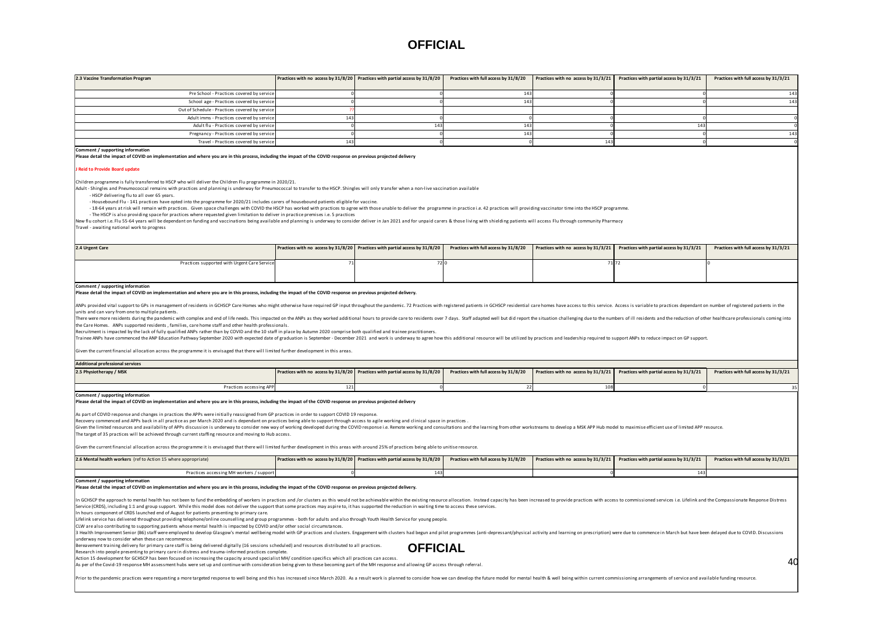| 2.3 Vaccine Transformation Program                                                                                                                                                                                                                                                                                                                                                                                                                                                                                                                                                                                                                                                                                                                                                                                                                                                                                                                                                                                                                                                                                                                                                                                                                                                                                                                                                                                                                                                                                                                                                          |     |                                                                              |                                       |                                     | Practices with no access by 31/8/20 Practices with partial access by 31/8/20 Practices with full access by 31/8/20 Practices with no access by 31/3/21 Practices with no access by 31/3/21 | Practices with full access by 31/3/21 |  |  |  |  |
|---------------------------------------------------------------------------------------------------------------------------------------------------------------------------------------------------------------------------------------------------------------------------------------------------------------------------------------------------------------------------------------------------------------------------------------------------------------------------------------------------------------------------------------------------------------------------------------------------------------------------------------------------------------------------------------------------------------------------------------------------------------------------------------------------------------------------------------------------------------------------------------------------------------------------------------------------------------------------------------------------------------------------------------------------------------------------------------------------------------------------------------------------------------------------------------------------------------------------------------------------------------------------------------------------------------------------------------------------------------------------------------------------------------------------------------------------------------------------------------------------------------------------------------------------------------------------------------------|-----|------------------------------------------------------------------------------|---------------------------------------|-------------------------------------|--------------------------------------------------------------------------------------------------------------------------------------------------------------------------------------------|---------------------------------------|--|--|--|--|
| Pre School - Practices covered by servic                                                                                                                                                                                                                                                                                                                                                                                                                                                                                                                                                                                                                                                                                                                                                                                                                                                                                                                                                                                                                                                                                                                                                                                                                                                                                                                                                                                                                                                                                                                                                    |     |                                                                              | 14                                    |                                     |                                                                                                                                                                                            | 143                                   |  |  |  |  |
| School age - Practices covered by service                                                                                                                                                                                                                                                                                                                                                                                                                                                                                                                                                                                                                                                                                                                                                                                                                                                                                                                                                                                                                                                                                                                                                                                                                                                                                                                                                                                                                                                                                                                                                   |     |                                                                              | 14                                    |                                     |                                                                                                                                                                                            | 143                                   |  |  |  |  |
| Out of Schedule - Practices covered by service                                                                                                                                                                                                                                                                                                                                                                                                                                                                                                                                                                                                                                                                                                                                                                                                                                                                                                                                                                                                                                                                                                                                                                                                                                                                                                                                                                                                                                                                                                                                              |     |                                                                              |                                       |                                     |                                                                                                                                                                                            |                                       |  |  |  |  |
| Adult imms - Practices covered by service                                                                                                                                                                                                                                                                                                                                                                                                                                                                                                                                                                                                                                                                                                                                                                                                                                                                                                                                                                                                                                                                                                                                                                                                                                                                                                                                                                                                                                                                                                                                                   | 143 |                                                                              |                                       |                                     |                                                                                                                                                                                            |                                       |  |  |  |  |
| Adult flu - Practices covered by service                                                                                                                                                                                                                                                                                                                                                                                                                                                                                                                                                                                                                                                                                                                                                                                                                                                                                                                                                                                                                                                                                                                                                                                                                                                                                                                                                                                                                                                                                                                                                    |     | 143                                                                          | 14                                    |                                     | 14                                                                                                                                                                                         |                                       |  |  |  |  |
| Pregnancy - Practices covered by service                                                                                                                                                                                                                                                                                                                                                                                                                                                                                                                                                                                                                                                                                                                                                                                                                                                                                                                                                                                                                                                                                                                                                                                                                                                                                                                                                                                                                                                                                                                                                    |     |                                                                              | 143                                   |                                     |                                                                                                                                                                                            | 143                                   |  |  |  |  |
| Travel - Practices covered by service                                                                                                                                                                                                                                                                                                                                                                                                                                                                                                                                                                                                                                                                                                                                                                                                                                                                                                                                                                                                                                                                                                                                                                                                                                                                                                                                                                                                                                                                                                                                                       | 143 |                                                                              |                                       | 143                                 |                                                                                                                                                                                            |                                       |  |  |  |  |
| Comment / supporting information<br>Please detail the impact of COVID on implementation and where you are in this process, including the impact of the COVID response on previous projected delivery                                                                                                                                                                                                                                                                                                                                                                                                                                                                                                                                                                                                                                                                                                                                                                                                                                                                                                                                                                                                                                                                                                                                                                                                                                                                                                                                                                                        |     |                                                                              |                                       |                                     |                                                                                                                                                                                            |                                       |  |  |  |  |
| J Reid to Provide Board update<br>Children programme is fully transferred to HSCP who will deliver the Children Flu programme in 2020/21.<br>Adult - Shingles and Pneumococcal remains with practices and planning is underway for Pneumococcal to transfer to the HSCP. Shingles will only transfer when a non-live vaccination available<br>- HSCP delivering flu to all over 65 years.<br>- Housebound Flu - 141 practices have opted into the programme for 2020/21 includes carers of housebound patients eligible for vaccine.<br>- 18-64 years at risk will remain with practices. Given space challenges with COVID the HSCP has worked with practices to agree with those unable to deliver the programme in practice i.e. 42 practices will providing vaccin<br>- The HSCP is also providing space for practices where requested given limitation to deliver in practice premises i.e. 5 practices<br>New flu cohorti.e. Flu 55-64 years will be dependant on funding and vaccinations being available and planning is underway to consider deliver in Jan 2021 and for unpaid carers & those living with shielding patients will ac<br>Travel - awaiting national work to progress                                                                                                                                                                                                                                                                                                                                                                                               |     |                                                                              |                                       |                                     |                                                                                                                                                                                            |                                       |  |  |  |  |
|                                                                                                                                                                                                                                                                                                                                                                                                                                                                                                                                                                                                                                                                                                                                                                                                                                                                                                                                                                                                                                                                                                                                                                                                                                                                                                                                                                                                                                                                                                                                                                                             |     |                                                                              |                                       |                                     |                                                                                                                                                                                            |                                       |  |  |  |  |
| 2.4 Urgent Care                                                                                                                                                                                                                                                                                                                                                                                                                                                                                                                                                                                                                                                                                                                                                                                                                                                                                                                                                                                                                                                                                                                                                                                                                                                                                                                                                                                                                                                                                                                                                                             |     | Practices with no access by 31/8/20 Practices with partial access by 31/8/20 | Practices with full access by 31/8/20 | Practices with no access by 31/3/21 | Practices with partial access by 31/3/21                                                                                                                                                   | Practices with full access by 31/3/21 |  |  |  |  |
| Practices supported with Urgent Care Service                                                                                                                                                                                                                                                                                                                                                                                                                                                                                                                                                                                                                                                                                                                                                                                                                                                                                                                                                                                                                                                                                                                                                                                                                                                                                                                                                                                                                                                                                                                                                |     | 72                                                                           |                                       | 71 72                               |                                                                                                                                                                                            |                                       |  |  |  |  |
|                                                                                                                                                                                                                                                                                                                                                                                                                                                                                                                                                                                                                                                                                                                                                                                                                                                                                                                                                                                                                                                                                                                                                                                                                                                                                                                                                                                                                                                                                                                                                                                             |     |                                                                              |                                       |                                     |                                                                                                                                                                                            |                                       |  |  |  |  |
| Please detail the impact of COVID on implementation and where you are in this process, including the impact of the COVID response on previous projected delivery.<br>ANPs provided vital support to GPs in management of residents in GCHSCP Care Homes who might otherwise have required GP input throughout the pandemic. 72 Practices with registered patients in GCHSCP residential care homes<br>units and can vary from one to multiple patients.<br>There were more residents during the pandemic with complex and end of life needs. This impacted on the ANPs as they worked additional hours to provide care to residents over 7 days. Staff adapted well but did report the si<br>the Care Homes. ANPs supported residents, families, care home staff and other health professionals.<br>Recruitment is impacted by the lack of fully qualified ANPs rather than by COVID and the 10 staff in place by Autumn 2020 comprise both qualified and trainee practitioners.<br>Trainee ANPs have commenced the ANP Education Pathway September 2020 with expected date of graduation is September - December 2021 and work is underway to agree how this additional resource will be utilized by practices an<br>Given the current financial allocation across the programme it is envisaged that there will limited further development in this areas.                                                                                                                                                                                                                                |     |                                                                              |                                       |                                     |                                                                                                                                                                                            |                                       |  |  |  |  |
| <b>Additional professional services</b>                                                                                                                                                                                                                                                                                                                                                                                                                                                                                                                                                                                                                                                                                                                                                                                                                                                                                                                                                                                                                                                                                                                                                                                                                                                                                                                                                                                                                                                                                                                                                     |     |                                                                              |                                       |                                     |                                                                                                                                                                                            |                                       |  |  |  |  |
| 2.5 Physiotherapy / MSK                                                                                                                                                                                                                                                                                                                                                                                                                                                                                                                                                                                                                                                                                                                                                                                                                                                                                                                                                                                                                                                                                                                                                                                                                                                                                                                                                                                                                                                                                                                                                                     |     | Practices with no access by 31/8/20 Practices with partial access by 31/8/20 | Practices with full access by 31/8/20 | Practices with no access by 31/3/21 | Practices with partial access by 31/3/21                                                                                                                                                   | Practices with full access by 31/3/21 |  |  |  |  |
| Practices accessing APP                                                                                                                                                                                                                                                                                                                                                                                                                                                                                                                                                                                                                                                                                                                                                                                                                                                                                                                                                                                                                                                                                                                                                                                                                                                                                                                                                                                                                                                                                                                                                                     | 121 |                                                                              | 22                                    | 108                                 |                                                                                                                                                                                            |                                       |  |  |  |  |
| Comment / supporting information                                                                                                                                                                                                                                                                                                                                                                                                                                                                                                                                                                                                                                                                                                                                                                                                                                                                                                                                                                                                                                                                                                                                                                                                                                                                                                                                                                                                                                                                                                                                                            |     |                                                                              |                                       |                                     |                                                                                                                                                                                            | 35                                    |  |  |  |  |
| Please detail the impact of COVID on implementation and where you are in this process, including the impact of the COVID response on previous projected delivery<br>As part of COVID response and changes in practices the APPs were initially reassigned from GP practices in order to support COVID 19 response.<br>Recovery commenced and APPs back in all practice as per March 2020 and is dependant on practices being able to support through access to agile working and clinical space in practices.<br>Given the limited resources and availability of APPs discussion is underway to consider new way of working developed during the COVID response i.e. Remote working and consultations and the learning from other workstreams t<br>The target of 35 practices will be achieved through current staffing resource and moving to Hub access.<br>Given the current financial allocation across the programme it is envisaged that there will limited further development in this areas with around 25% of practices being able to unitise resource.<br>2.6 Mental health workers (ref to Action 15 where appropriate)                                                                                                                                                                                                                                                                                                                                                                                                                                                          |     | Practices with no access by 31/8/20 Practices with partial access by 31/8/20 | Practices with full access by 31/8/20 | Practices with no access by 31/3/21 | Practices with partial access by 31/3/21                                                                                                                                                   | Practices with full access by 31/3/21 |  |  |  |  |
| Practices accessing MH workers / support                                                                                                                                                                                                                                                                                                                                                                                                                                                                                                                                                                                                                                                                                                                                                                                                                                                                                                                                                                                                                                                                                                                                                                                                                                                                                                                                                                                                                                                                                                                                                    |     | 143                                                                          |                                       |                                     | 14 <sup>3</sup>                                                                                                                                                                            |                                       |  |  |  |  |
| Comment / supporting information                                                                                                                                                                                                                                                                                                                                                                                                                                                                                                                                                                                                                                                                                                                                                                                                                                                                                                                                                                                                                                                                                                                                                                                                                                                                                                                                                                                                                                                                                                                                                            |     |                                                                              |                                       |                                     |                                                                                                                                                                                            |                                       |  |  |  |  |
| Please detail the impact of COVID on implementation and where you are in this process, including the impact of the COVID response on previous projected delivery.<br>In GCHSCP the approach to mental health has not been to fund the embedding of workers in practices and /or clusters as this would not be achievable within the existing resource allocation. Instead capacity has been increas<br>Service (CRDS), including 1:1 and group support. While this model does not deliver the support that some practices may aspire to, it has supported the reduction in waiting time to access these services.<br>In hours component of CRDS launched end of August for patients presenting to primary care.<br>Lifelink service has delivered throughout providing telephone/online counselling and group programmes - both for adults and also through Youth Health Service for young people.<br>CLW are also contributing to supporting patients whose mental health is impacted by COVID and/or other social circumstances.<br>3 Health Improvement Senior (B6) staff were employed to develop Glasgow's mental wellbeing model with GP practices and clusters. Engagement with clusters had begun and pilot programmes (anti-depressant/physical activity an<br>underway now to consider when these can recommence.<br>Bereavement training delivery for primary care staff is being delivered digitally (16 sessions scheduled) and resources distributed to all practices.<br>Research into people presenting to primary care in distress and trauma-informed practices complete. |     | <b>OFFICIAL</b>                                                              |                                       |                                     |                                                                                                                                                                                            |                                       |  |  |  |  |
| Action 15 development for GCHSCP has been focused on increasing the capacity around specialist MH/ condition specifics which all practices can access.                                                                                                                                                                                                                                                                                                                                                                                                                                                                                                                                                                                                                                                                                                                                                                                                                                                                                                                                                                                                                                                                                                                                                                                                                                                                                                                                                                                                                                      |     |                                                                              |                                       |                                     |                                                                                                                                                                                            | 40                                    |  |  |  |  |
| As per of the Covid-19 response MH assessment hubs were set up and continue with consideration being given to these becoming part of the MH response and allowing GP access through referral.<br>Prior to the pandemic practices were requesting a more targeted response to well being and this has increased since March 2020. As a result work is planned to consider how we can develop the future model for mental health                                                                                                                                                                                                                                                                                                                                                                                                                                                                                                                                                                                                                                                                                                                                                                                                                                                                                                                                                                                                                                                                                                                                                              |     |                                                                              |                                       |                                     |                                                                                                                                                                                            |                                       |  |  |  |  |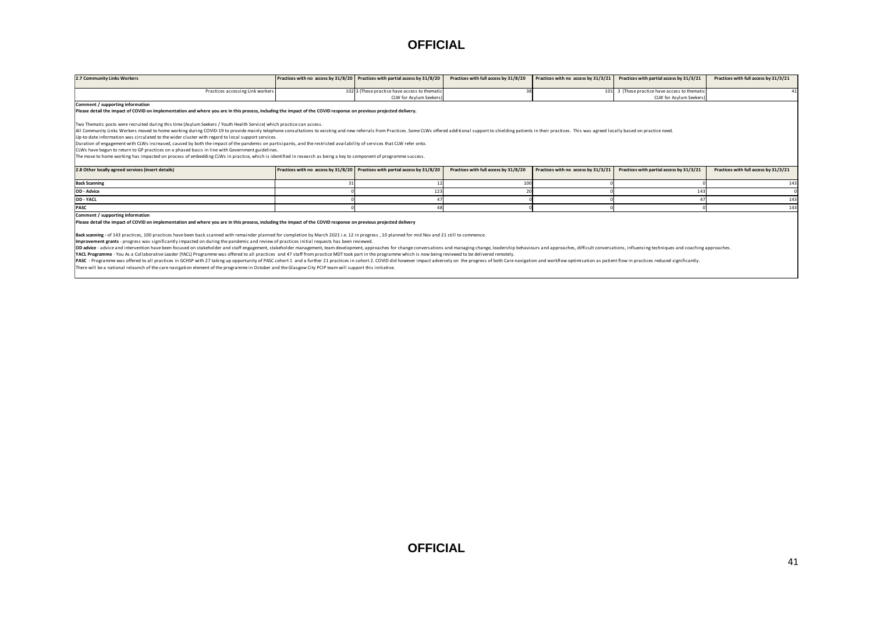| <b>OFFICIAL</b>                                                                                                                                                                                                                                                                                                                                                                                                                                                                                                                                                                                                                                                                                                                                                                                                                                                                                                                                                                                                                                                                                                                                                                                                                                                                                                                                                                                          |    |                                                                              |                                       |                                     |                                                                        |                                       |  |  |  |  |
|----------------------------------------------------------------------------------------------------------------------------------------------------------------------------------------------------------------------------------------------------------------------------------------------------------------------------------------------------------------------------------------------------------------------------------------------------------------------------------------------------------------------------------------------------------------------------------------------------------------------------------------------------------------------------------------------------------------------------------------------------------------------------------------------------------------------------------------------------------------------------------------------------------------------------------------------------------------------------------------------------------------------------------------------------------------------------------------------------------------------------------------------------------------------------------------------------------------------------------------------------------------------------------------------------------------------------------------------------------------------------------------------------------|----|------------------------------------------------------------------------------|---------------------------------------|-------------------------------------|------------------------------------------------------------------------|---------------------------------------|--|--|--|--|
| 2.7 Community Links Workers                                                                                                                                                                                                                                                                                                                                                                                                                                                                                                                                                                                                                                                                                                                                                                                                                                                                                                                                                                                                                                                                                                                                                                                                                                                                                                                                                                              |    | Practices with no access by 31/8/20 Practices with partial access by 31/8/20 | Practices with full access by 31/8/20 | Practices with no access by 31/3/21 | Practices with partial access by 31/3/21                               | Practices with full access by 31/3/21 |  |  |  |  |
| Practices accessing Link workers                                                                                                                                                                                                                                                                                                                                                                                                                                                                                                                                                                                                                                                                                                                                                                                                                                                                                                                                                                                                                                                                                                                                                                                                                                                                                                                                                                         |    | 102 3 (These practice have access to themation<br>CLW for Asylum Seekers     |                                       |                                     | 101 3 (These practice have access to thematic<br>CLW for Asylum Seeker | 41                                    |  |  |  |  |
| Two Thematic posts were recruited during this time (Asylum Seekers / Youth Health Service) which practice can access.<br>All Community Links Workers moved to home working during COVID-19 to provide mainly telephone consultations to existing and new referrals from Practices. Some CLWs offered additional support to shielding patients in their<br>Up-to-date information was circulated to the wider cluster with regard to local support services.<br>Duration of engagement with CLWs increased, caused by both the impact of the pandemic on participants, and the restricted availability of services that CLW refer onto.<br>CLWs have begun to return to GP practices on a phased basis in line with Government guidelines.<br>The move to home working has impacted on process of embedding CLWs in practice, which is identified in research as being a key to component of programme success.                                                                                                                                                                                                                                                                                                                                                                                                                                                                                           |    |                                                                              |                                       |                                     |                                                                        |                                       |  |  |  |  |
| 2.8 Other locally agreed services (insert details)                                                                                                                                                                                                                                                                                                                                                                                                                                                                                                                                                                                                                                                                                                                                                                                                                                                                                                                                                                                                                                                                                                                                                                                                                                                                                                                                                       |    | Practices with no access by 31/8/20 Practices with partial access by 31/8/20 | Practices with full access by 31/8/20 | Practices with no access by 31/3/21 | Practices with partial access by 31/3/21                               | Practices with full access by 31/3/21 |  |  |  |  |
| <b>Back Scanning</b>                                                                                                                                                                                                                                                                                                                                                                                                                                                                                                                                                                                                                                                                                                                                                                                                                                                                                                                                                                                                                                                                                                                                                                                                                                                                                                                                                                                     | 31 | 12                                                                           | 100                                   |                                     |                                                                        | 143                                   |  |  |  |  |
| OD - Advice                                                                                                                                                                                                                                                                                                                                                                                                                                                                                                                                                                                                                                                                                                                                                                                                                                                                                                                                                                                                                                                                                                                                                                                                                                                                                                                                                                                              |    | 123                                                                          |                                       |                                     | 143                                                                    |                                       |  |  |  |  |
| OD - YACL                                                                                                                                                                                                                                                                                                                                                                                                                                                                                                                                                                                                                                                                                                                                                                                                                                                                                                                                                                                                                                                                                                                                                                                                                                                                                                                                                                                                |    | $\mathbf{A}$                                                                 |                                       |                                     |                                                                        | 143                                   |  |  |  |  |
| PASC                                                                                                                                                                                                                                                                                                                                                                                                                                                                                                                                                                                                                                                                                                                                                                                                                                                                                                                                                                                                                                                                                                                                                                                                                                                                                                                                                                                                     |    | 48                                                                           |                                       |                                     |                                                                        | 143                                   |  |  |  |  |
| Comment / supporting information<br>Please detail the impact of COVID on implementation and where you are in this process, including the impact of the COVID response on previous projected delivery<br>Back scanning - of 143 practices, 100 practices have been back scanned with remainder planned for completion by March 2021 i.e. 12 in progress, 10 planned for mid Nov and 21 still to commence.<br>Improvement grants - progress was significantly impacted on during the pandemic and review of practices initial requests has been reviewed.<br>OD advice - advice and intervention have been focused on stakeholder and staff engagement, stakeholder management, team development, approaches for change conversations and managing change, leadership behaviours and approa<br>YACL Programme - You As a Collaborative Leader (YACL) Programme was offered to all practices and 47 staff from practice MDT took part in the programme which is now being reviewed to be delivered remotely.<br>PASC - Programme was offered to all practices in GCHSP with 27 taking up opportunity of PASC cohort 1 and a further 21 practices in cohort 2. COVID did however impact adversely on the progress of both Care navigation and w<br>There will be a national relaunch of the care navigation element of the programme in October and the Glasgow City PCIP team will support this initiative. |    |                                                                              |                                       |                                     |                                                                        |                                       |  |  |  |  |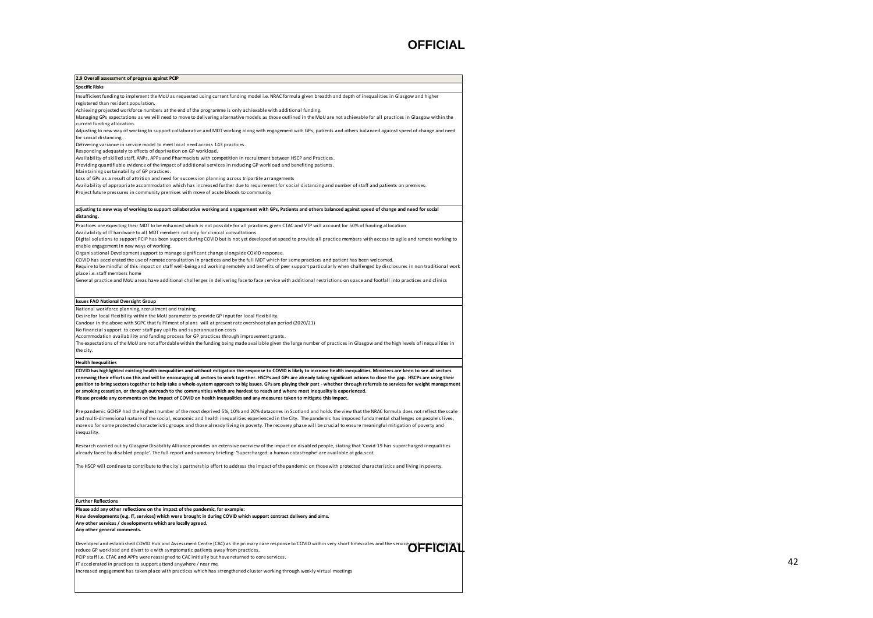| 2.9 Overall assessment of progress against PCIP                                                                                                                                                                                                                                             |
|---------------------------------------------------------------------------------------------------------------------------------------------------------------------------------------------------------------------------------------------------------------------------------------------|
| <b>Specific Risks</b>                                                                                                                                                                                                                                                                       |
| Insufficient funding to implement the MoU as requested using current funding model i.e. NRAC formula given breadth and depth of inequalities in Glasgow and higher                                                                                                                          |
| registered than resident population.                                                                                                                                                                                                                                                        |
| Achieving projected workforce numbers at the end of the programme is only achievable with additional funding.<br>Managing GPs expectations as we will need to move to delivering alternative models as those outlined in the MoU are not achievable for all practices in Glasgow within the |
| current funding allocation.                                                                                                                                                                                                                                                                 |
| Adjusting to new way of working to support collaborative and MDT working along with engagement with GPs, patients and others balanced against speed of change and need                                                                                                                      |
| for social distancing.                                                                                                                                                                                                                                                                      |
| Delivering variance in service model to meet local need across 143 practices.                                                                                                                                                                                                               |
| Responding adequately to effects of deprivation on GP workload.                                                                                                                                                                                                                             |
| Availability of skilled staff, ANPs, APPs and Pharmacists with competition in recruitment between HSCP and Practices.<br>Providing quantifiable evidence of the impact of additional services in reducing GP workload and benefiting patients.                                              |
| Maintaining sustainability of GP practices.                                                                                                                                                                                                                                                 |
| Loss of GPs as a result of attrition and need for succession planning across tripartite arrangements                                                                                                                                                                                        |
| Availability of appropriate accommodation which has increased further due to requirement for social distancing and number of staff and patients on premises.                                                                                                                                |
| Project future pressures in community premises with move of acute bloods to community                                                                                                                                                                                                       |
|                                                                                                                                                                                                                                                                                             |
| adjusting to new way of working to support collaborative working and engagement with GPs, Patients and others balanced against speed of change and need for social                                                                                                                          |
| distancing.                                                                                                                                                                                                                                                                                 |
| Practices are expecting their MDT to be enhanced which is not possible for all practices given CTAC and VTP will account for 50% of funding allocation                                                                                                                                      |
| Availability of IT hardware to all MDT members not only for clinical consultations                                                                                                                                                                                                          |
| Digital solutions to support PCIP has been support during COVID but is not yet developed at speed to provide all practice members with access to agile and remote working to                                                                                                                |
| enable engagement in new ways of working.<br>Organisational Development support to manage significant change alongside COVID response.                                                                                                                                                      |
| COVID has accelerated the use of remote consultation in practices and by the full MDT which for some practices and patient has been welcomed.                                                                                                                                               |
| Require to be mindful of this impact on staff well-being and working remotely and benefits of peer support particularly when challenged by disclosures in non traditional work                                                                                                              |
| place i.e. staff members home                                                                                                                                                                                                                                                               |
| General practice and MoU areas have additional challenges in delivering face to face service with additional restrictions on space and footfall into practices and clinics                                                                                                                  |
|                                                                                                                                                                                                                                                                                             |
|                                                                                                                                                                                                                                                                                             |
| <b>Issues FAO National Oversight Group</b>                                                                                                                                                                                                                                                  |
| National workforce planning, recruitment and training.<br>Desire for local flexibility within the MoU parameter to provide GP input for local flexibility.                                                                                                                                  |
| Candour in the above with SGPC that fulfilment of plans will at present rate overshoot plan period (2020/21)                                                                                                                                                                                |
| No financial support to cover staff pay uplifts and superannuation costs                                                                                                                                                                                                                    |
| Accommodation availability and funding process for GP practices through improvement grants.                                                                                                                                                                                                 |
| The expectations of the MoU are not affordable within the funding being made available given the large number of practices in Glasgow and the high levels of inequalities in                                                                                                                |
| the city.                                                                                                                                                                                                                                                                                   |
| <b>Health Inequalities</b>                                                                                                                                                                                                                                                                  |
| COVID has highlighted existing health inequalities and without mitigation the response to COVID is likely to increase health inequalities. Ministers are keen to see all sectors                                                                                                            |
| renewing their efforts on this and will be encouraging all sectors to work together. HSCPs and GPs are already taking significant actions to close the gap. HSCPs are using their                                                                                                           |
| position to bring sectors together to help take a whole-system approach to big issues. GPs are playing their part - whether through referrals to services for weight management                                                                                                             |
| or smoking cessation, or through outreach to the communities which are hardest to reach and where most inequality is experienced.                                                                                                                                                           |
| Please provide any comments on the impact of COVID on health inequalities and any measures taken to mitigate this impact.                                                                                                                                                                   |
| Pre pandemic GCHSP had the highest number of the most deprived 5%, 10% and 20% datazones in Scotland and holds the view that the NRAC formula does not reflect the scale                                                                                                                    |
| and multi-dimensional nature of the social, economic and health inequalities experienced in the City. The pandemic has imposed fundamental challenges on people's lives,                                                                                                                    |
| more so for some protected characteristic groups and those already living in poverty. The recovery phase will be crucial to ensure meaningful mitigation of poverty and                                                                                                                     |
| inequality.                                                                                                                                                                                                                                                                                 |
|                                                                                                                                                                                                                                                                                             |
| Research carried out by Glasgow Disability Alliance provides an extensive overview of the impact on disabled people, stating that 'Covid-19 has supercharged inequalities                                                                                                                   |
| already faced by disabled people'. The full report and summary briefing- 'Supercharged: a human catastrophe' are available at gda.scot.                                                                                                                                                     |
| The HSCP will continue to contribute to the city's partnership effort to address the impact of the pandemic on those with protected characteristics and living in poverty.                                                                                                                  |
|                                                                                                                                                                                                                                                                                             |
|                                                                                                                                                                                                                                                                                             |
|                                                                                                                                                                                                                                                                                             |
| <b>Further Reflections</b>                                                                                                                                                                                                                                                                  |
| Please add any other reflections on the impact of the pandemic, for example:                                                                                                                                                                                                                |
| New developments (e.g. IT, services) which were brought in during COVID which support contract delivery and aims.                                                                                                                                                                           |
| Any other services / developments which are locally agreed.                                                                                                                                                                                                                                 |
| Any other general comments.                                                                                                                                                                                                                                                                 |
|                                                                                                                                                                                                                                                                                             |
| Developed and established COVID Hub and Assessment Centre (CAC) as the primary care response to COVID within very short timescales and the service continues to COVID Within Very short timescales and the service continues t                                                              |
| reduce GP workload and divert to e with symptomatic patients away from practices.                                                                                                                                                                                                           |
| PCIP staff i.e. CTAC and APPs were reassigned to CAC initially but have returned to core services.                                                                                                                                                                                          |
| IT accelerated in practices to support attend anywhere / near me.<br>Increased engagement has taken place with practices which has strengthened cluster working through weekly virtual meetings                                                                                             |
|                                                                                                                                                                                                                                                                                             |
|                                                                                                                                                                                                                                                                                             |
|                                                                                                                                                                                                                                                                                             |
|                                                                                                                                                                                                                                                                                             |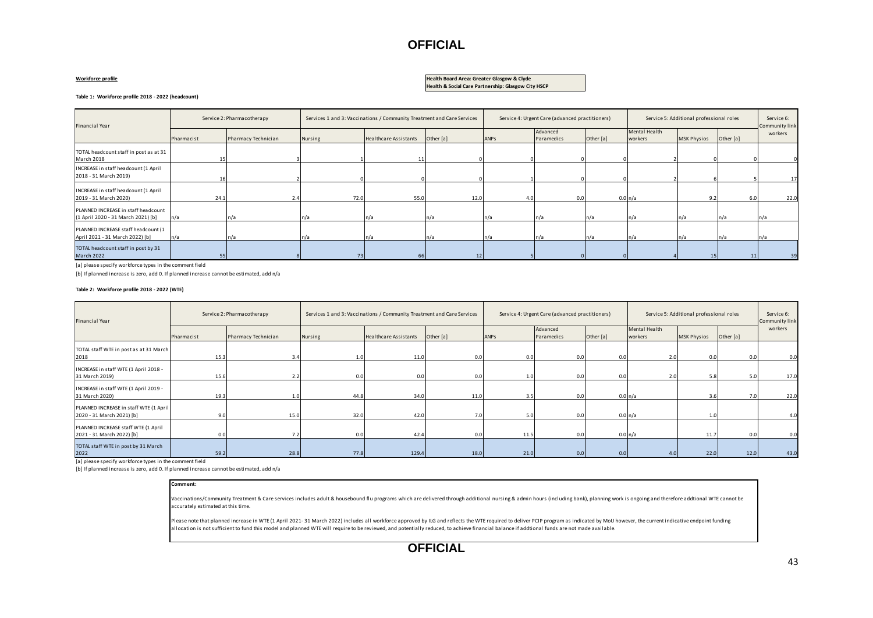#### **Workforce profile**

#### **Health Board Area: Greater Glasgow & Clyde Health & Social Care Partnership: Glasgow City HSCP**

| Table 1: Workforce profile 2018 - 2022 (headcount)                        |                                                                                                                                                     |                            |         |                                                                        |           |      |                                                 |           |                          |                                          |           |                           |
|---------------------------------------------------------------------------|-----------------------------------------------------------------------------------------------------------------------------------------------------|----------------------------|---------|------------------------------------------------------------------------|-----------|------|-------------------------------------------------|-----------|--------------------------|------------------------------------------|-----------|---------------------------|
| Financial Year                                                            |                                                                                                                                                     | Service 2: Pharmacotherapy |         | Services 1 and 3: Vaccinations / Community Treatment and Care Services |           |      | Service 4: Urgent Care (advanced practitioners) |           |                          | Service 5: Additional professional roles |           |                           |
|                                                                           | Pharmacist                                                                                                                                          | Pharmacy Technician        | Nursing | Healthcare Assistants                                                  | Other [a] | ANPS | Advanced<br>Paramedics                          | Other [a] | Mental Health<br>workers | <b>MSK Physios</b>                       | Other [a] | Community link<br>workers |
| TOTAL headcount staff in post as at 31<br>March 2018                      |                                                                                                                                                     |                            |         |                                                                        |           |      |                                                 |           |                          |                                          |           |                           |
| INCREASE in staff headcount (1 April<br>2018 - 31 March 2019)             |                                                                                                                                                     |                            |         |                                                                        |           |      |                                                 |           |                          |                                          |           | 17                        |
| INCREASE in staff headcount (1 April<br>2019 - 31 March 2020)             | 24.1                                                                                                                                                | 2.4                        | 72.0    | 55.0                                                                   | 12.0      | 4.0  | 0.0                                             |           | 0.0 n/a                  | 9.2                                      | 6.0       | 22.0                      |
| PLANNED INCREASE in staff headcount<br>(1 April 2020 - 31 March 2021) [b] | n/a                                                                                                                                                 | n/a                        | n/a     | In/a                                                                   |           | In/a | n/a                                             | n/a       | n/a                      |                                          | In/a      |                           |
| PLANNED INCREASE staff headcount (1<br>April 2021 - 31 March 2022) [b]    | n/a                                                                                                                                                 | n/a                        | ٦/a     | n/a                                                                    |           | n/a  | n/a                                             |           |                          |                                          |           |                           |
| TOTAL headcount staff in post by 31<br>March 2022                         | 55                                                                                                                                                  |                            | 73      | 66                                                                     |           |      |                                                 |           |                          | 15                                       | 11        | 39                        |
|                                                                           | [a] please specify workforce types in the comment field<br>[b] If planned increase is zero, add 0. If planned increase cannot be estimated, add n/a |                            |         |                                                                        |           |      |                                                 |           |                          |                                          |           |                           |

#### **Table 2: Workforce profile 2018 - 2022 (WTE)**

| Financial Year                                                      |            | Service 2: Pharmacotherapy | Services 1 and 3: Vaccinations / Community Treatment and Care Services |                              |           | Service 4: Urgent Care (advanced practitioners) |                        |           | Service 5: Additional professional roles |                    |           | Service 6:<br>Community link |
|---------------------------------------------------------------------|------------|----------------------------|------------------------------------------------------------------------|------------------------------|-----------|-------------------------------------------------|------------------------|-----------|------------------------------------------|--------------------|-----------|------------------------------|
|                                                                     | Pharmacist | Pharmacy Technician        | Nursing                                                                | <b>Healthcare Assistants</b> | Other [a] | ANPS                                            | Advanced<br>Paramedics | Other [a] | Mental Health<br>workers                 | <b>MSK Physios</b> | Other [a] | workers                      |
| TOTAL staff WTE in post as at 31 March<br>2018                      | 15.3       | 3.4                        |                                                                        | 11.0                         | 0.0       | 0.0                                             | 0.0                    | 0.0       | 2.0                                      | 0.0 <sub>1</sub>   | 0.0       | 0.0                          |
| INCREASE in staff WTE (1 April 2018 -<br>31 March 2019)             | 15.6       |                            |                                                                        | 0.0                          | 0.0       |                                                 | 0.0                    | 0.0       | 2.0                                      | 5.8                | 5.0       | 17.0                         |
| INCREASE in staff WTE (1 April 2019 -<br>31 March 2020)             | 19.3       | 1.0                        | 44.8                                                                   | 34.0                         | 11.0      | 3.5                                             | 0.0                    |           | 0.0 n/a                                  | 3.6                | 7.0       | 22.0                         |
| PLANNED INCREASE in staff WTE (1 April<br>2020 - 31 March 2021) [b] | 9.0        | 15.0                       | 32.0                                                                   | 42.0                         |           |                                                 | 0.0                    |           | 0.0 n/a                                  | 1.0                |           | 4.0                          |
| PLANNED INCREASE staff WTE (1 April<br>2021 - 31 March 2022) [b]    | n n        |                            |                                                                        | 42.4                         |           | 11.5                                            | 0.0                    |           | 0.0 n/a                                  | 11.7               | 0.0       | 0.0                          |
| TOTAL staff WTE in post by 31 March<br>2022                         | 59.2       | 28.8                       | 77.8                                                                   | 129.4                        | 18.0      | 21.0                                            | 0.0                    | 0.0       |                                          | 22.0               | 12.0      | 43.0                         |

[a] please specify workforce types in the comment field

[b] If planned increase is zero, add 0. If planned increase cannot be estimated, add n/a

#### **Comment:**

Vaccinations/Community Treatment & Care services includes adult & housebound flu programs which are delivered through additional nursing & admin hours (including bank), planning work is ongoing and therefore addtional WTE accurately estimated at this time.

Please note that planned increase in WTE (1 April 2021- 31 March 2022) includes all workforce approved by ILG and reflects the WTE required to deliver PCIP program as indicated by MoU however, the current indicative endpoi allocation is not sufficient to fund this model and planned WTE will require to be reviewed, and potentially reduced, to achieve financial balance if addtional funds are not made available.

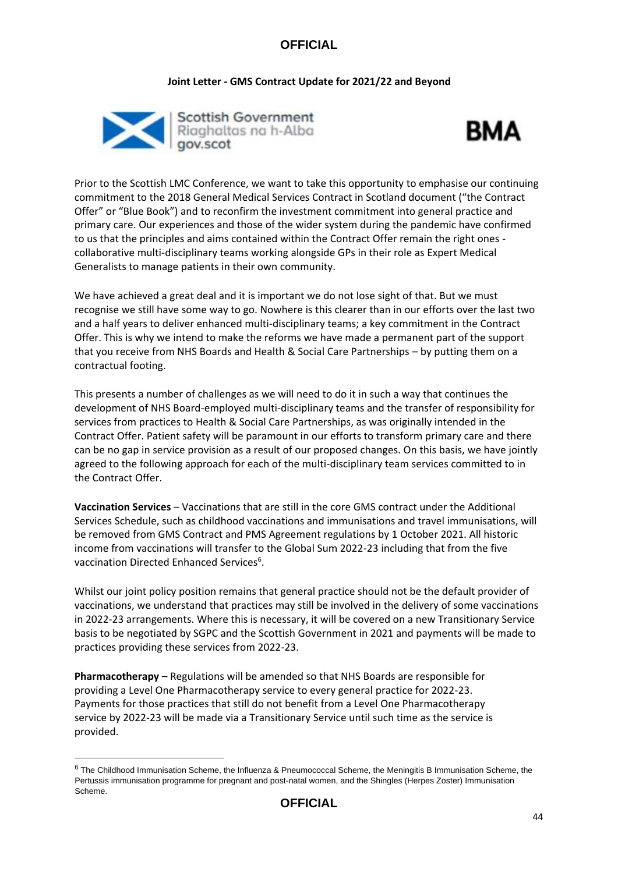#### **Joint Letter - GMS Contract Update for 2021/22 and Beyond**





Prior to the Scottish LMC Conference, we want to take this opportunity to emphasise our continuing commitment to the 2018 General Medical Services Contract in Scotland document ("the Contract Offer" or "Blue Book") and to reconfirm the investment commitment into general practice and primary care. Our experiences and those of the wider system during the pandemic have confirmed to us that the principles and aims contained within the Contract Offer remain the right ones collaborative multi-disciplinary teams working alongside GPs in their role as Expert Medical Generalists to manage patients in their own community.

We have achieved a great deal and it is important we do not lose sight of that. But we must recognise we still have some way to go. Nowhere is this clearer than in our efforts over the last two and a half years to deliver enhanced multi-disciplinary teams; a key commitment in the Contract Offer. This is why we intend to make the reforms we have made a permanent part of the support that you receive from NHS Boards and Health & Social Care Partnerships – by putting them on a contractual footing.

This presents a number of challenges as we will need to do it in such a way that continues the development of NHS Board-employed multi-disciplinary teams and the transfer of responsibility for services from practices to Health & Social Care Partnerships, as was originally intended in the Contract Offer. Patient safety will be paramount in our efforts to transform primary care and there can be no gap in service provision as a result of our proposed changes. On this basis, we have jointly agreed to the following approach for each of the multi-disciplinary team services committed to in the Contract Offer.

**Vaccination Services** – Vaccinations that are still in the core GMS contract under the Additional Services Schedule, such as childhood vaccinations and immunisations and travel immunisations, will be removed from GMS Contract and PMS Agreement regulations by 1 October 2021. All historic income from vaccinations will transfer to the Global Sum 2022-23 including that from the five vaccination Directed Enhanced Services<sup>6</sup>.

Whilst our joint policy position remains that general practice should not be the default provider of vaccinations, we understand that practices may still be involved in the delivery of some vaccinations in 2022-23 arrangements. Where this is necessary, it will be covered on a new Transitionary Service basis to be negotiated by SGPC and the Scottish Government in 2021 and payments will be made to practices providing these services from 2022-23.

**Pharmacotherapy** – Regulations will be amended so that NHS Boards are responsible for providing a Level One Pharmacotherapy service to every general practice for 2022-23. Payments for those practices that still do not benefit from a Level One Pharmacotherapy service by 2022-23 will be made via a Transitionary Service until such time as the service is provided.

**.** 

<sup>6</sup> The Childhood Immunisation Scheme, the Influenza & Pneumococcal Scheme, the Meningitis B Immunisation Scheme, the Pertussis immunisation programme for pregnant and post-natal women, and the Shingles (Herpes Zoster) Immunisation Scheme.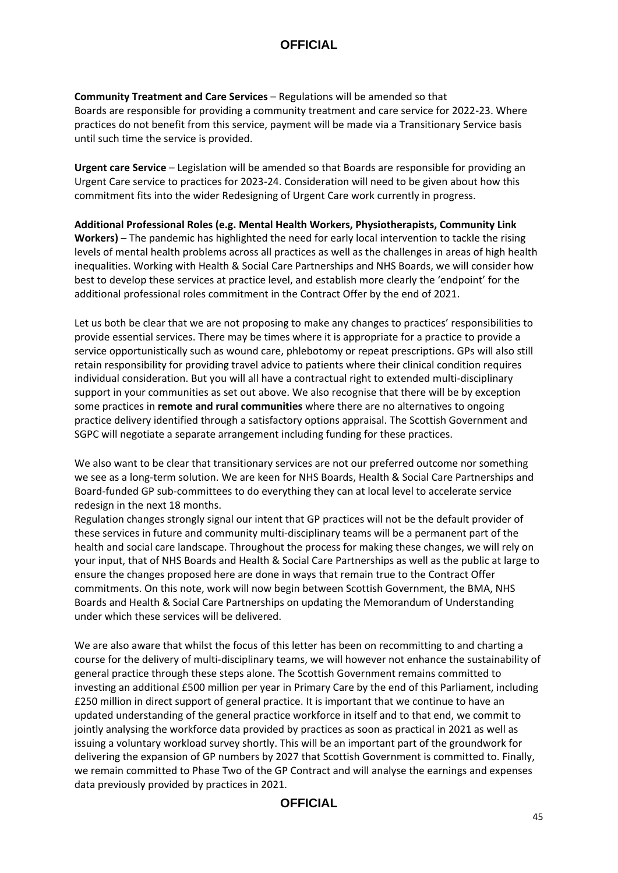**Community Treatment and Care Services** – Regulations will be amended so that Boards are responsible for providing a community treatment and care service for 2022-23. Where practices do not benefit from this service, payment will be made via a Transitionary Service basis until such time the service is provided.

**Urgent care Service** – Legislation will be amended so that Boards are responsible for providing an Urgent Care service to practices for 2023-24. Consideration will need to be given about how this commitment fits into the wider Redesigning of Urgent Care work currently in progress.

**Additional Professional Roles (e.g. Mental Health Workers, Physiotherapists, Community Link Workers)** – The pandemic has highlighted the need for early local intervention to tackle the rising levels of mental health problems across all practices as well as the challenges in areas of high health inequalities. Working with Health & Social Care Partnerships and NHS Boards, we will consider how best to develop these services at practice level, and establish more clearly the 'endpoint' for the additional professional roles commitment in the Contract Offer by the end of 2021.

Let us both be clear that we are not proposing to make any changes to practices' responsibilities to provide essential services. There may be times where it is appropriate for a practice to provide a service opportunistically such as wound care, phlebotomy or repeat prescriptions. GPs will also still retain responsibility for providing travel advice to patients where their clinical condition requires individual consideration. But you will all have a contractual right to extended multi-disciplinary support in your communities as set out above. We also recognise that there will be by exception some practices in **remote and rural communities** where there are no alternatives to ongoing practice delivery identified through a satisfactory options appraisal. The Scottish Government and SGPC will negotiate a separate arrangement including funding for these practices.

We also want to be clear that transitionary services are not our preferred outcome nor something we see as a long-term solution. We are keen for NHS Boards, Health & Social Care Partnerships and Board-funded GP sub-committees to do everything they can at local level to accelerate service redesign in the next 18 months.

Regulation changes strongly signal our intent that GP practices will not be the default provider of these services in future and community multi-disciplinary teams will be a permanent part of the health and social care landscape. Throughout the process for making these changes, we will rely on your input, that of NHS Boards and Health & Social Care Partnerships as well as the public at large to ensure the changes proposed here are done in ways that remain true to the Contract Offer commitments. On this note, work will now begin between Scottish Government, the BMA, NHS Boards and Health & Social Care Partnerships on updating the Memorandum of Understanding under which these services will be delivered.

We are also aware that whilst the focus of this letter has been on recommitting to and charting a course for the delivery of multi-disciplinary teams, we will however not enhance the sustainability of general practice through these steps alone. The Scottish Government remains committed to investing an additional £500 million per year in Primary Care by the end of this Parliament, including £250 million in direct support of general practice. It is important that we continue to have an updated understanding of the general practice workforce in itself and to that end, we commit to jointly analysing the workforce data provided by practices as soon as practical in 2021 as well as issuing a voluntary workload survey shortly. This will be an important part of the groundwork for delivering the expansion of GP numbers by 2027 that Scottish Government is committed to. Finally, we remain committed to Phase Two of the GP Contract and will analyse the earnings and expenses data previously provided by practices in 2021.